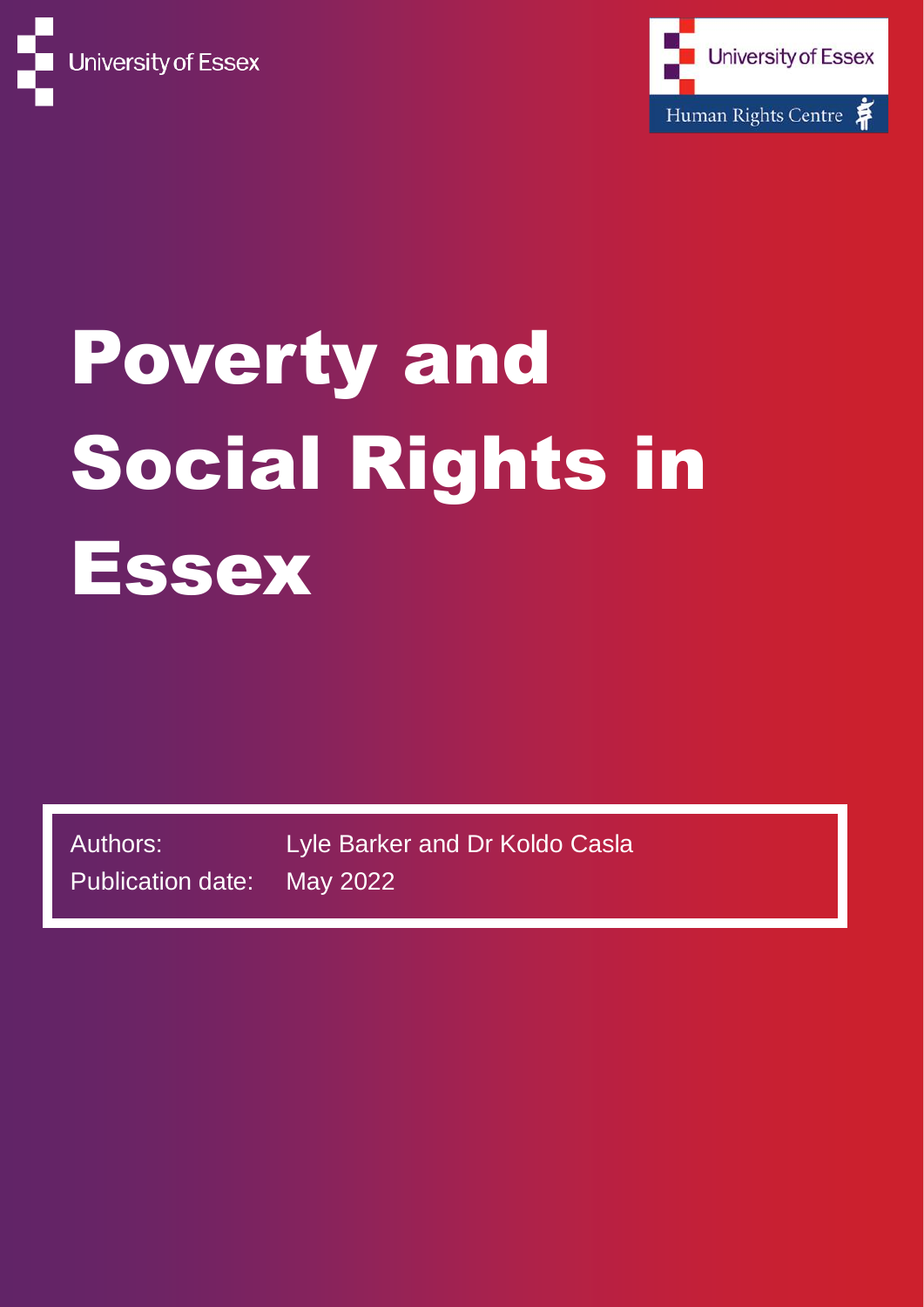<span id="page-0-0"></span>



# Poverty and Social Rights in Essex

Publication date: May 2022

Authors: Lyle Barker and Dr Koldo Casla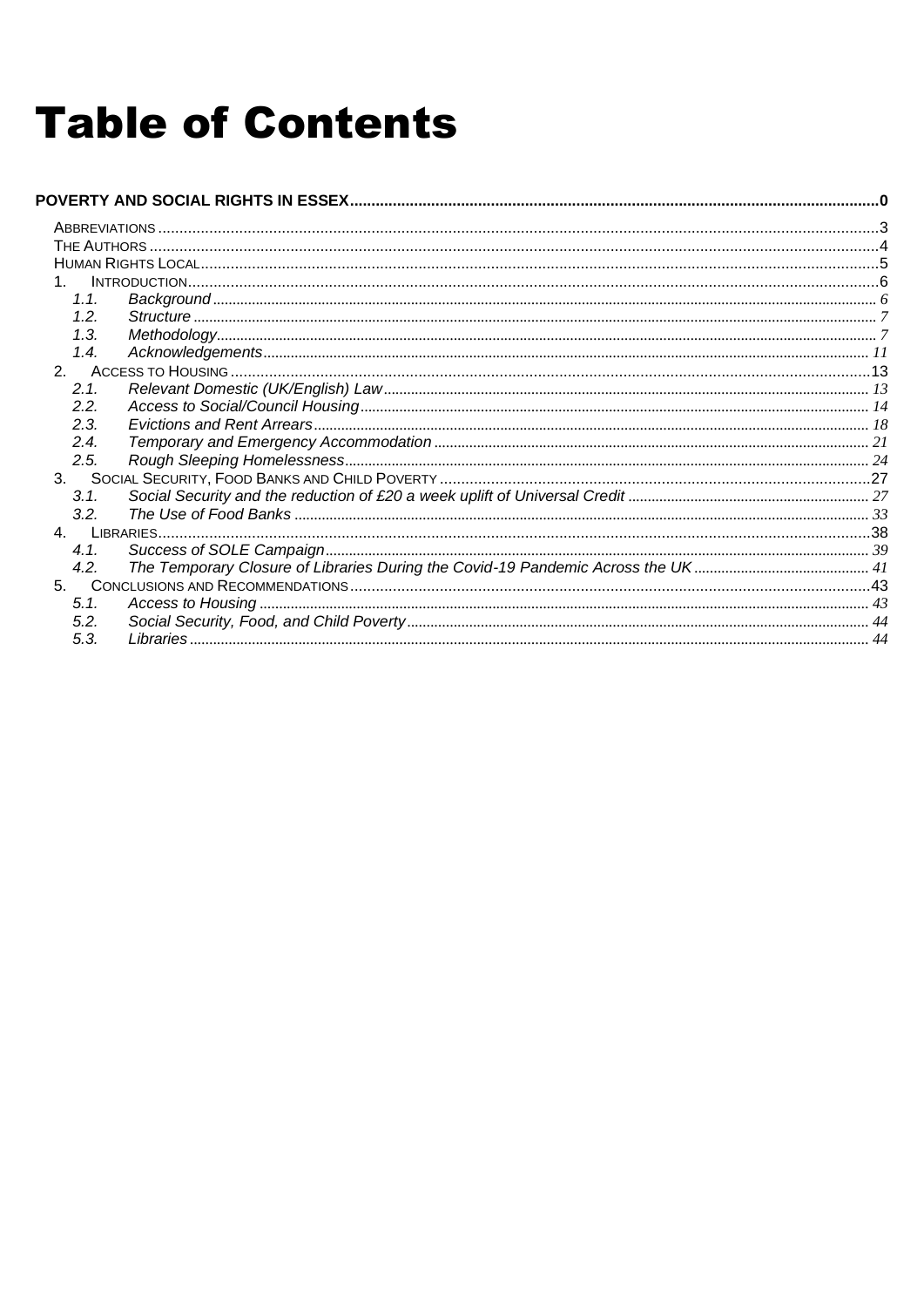# **Table of Contents**

| 1.1.    |  |
|---------|--|
| 1.2.    |  |
| 1.3.    |  |
| 1.4.    |  |
| $2^{2}$ |  |
| 2.1.    |  |
| 2.2.    |  |
| 2.3.    |  |
| 2.4.    |  |
| 2.5.    |  |
|         |  |
| 3.1.    |  |
| 3.2.    |  |
|         |  |
| 4.1.    |  |
| 4.2.    |  |
|         |  |
| 5.1.    |  |
| 5.2.    |  |
| 5.3.    |  |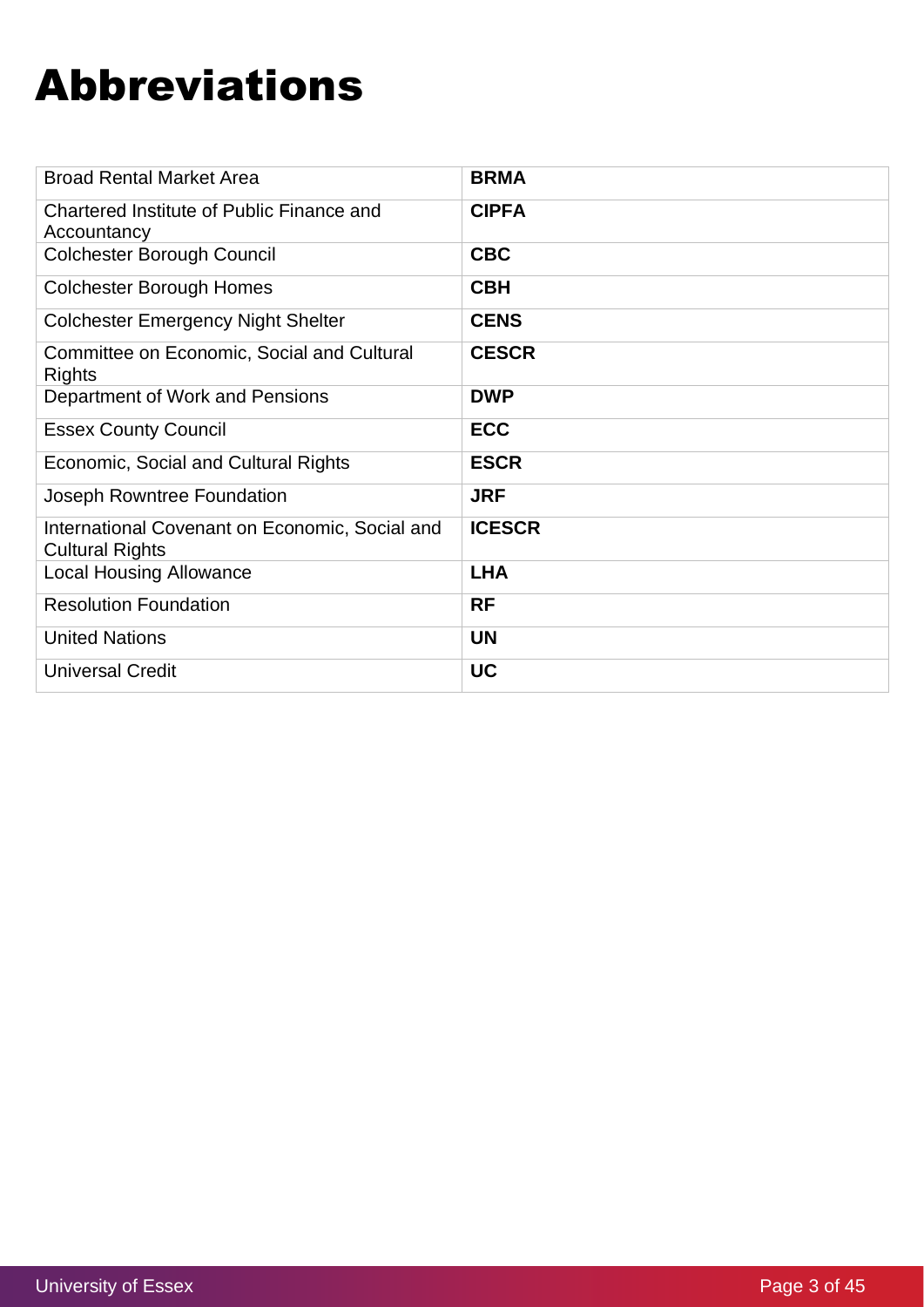# <span id="page-2-0"></span>Abbreviations

| <b>Broad Rental Market Area</b>                                          | <b>BRMA</b>   |
|--------------------------------------------------------------------------|---------------|
| Chartered Institute of Public Finance and<br>Accountancy                 | <b>CIPFA</b>  |
| <b>Colchester Borough Council</b>                                        | <b>CBC</b>    |
| <b>Colchester Borough Homes</b>                                          | <b>CBH</b>    |
| <b>Colchester Emergency Night Shelter</b>                                | <b>CENS</b>   |
| Committee on Economic, Social and Cultural<br><b>Rights</b>              | <b>CESCR</b>  |
| Department of Work and Pensions                                          | <b>DWP</b>    |
| <b>Essex County Council</b>                                              | <b>ECC</b>    |
| Economic, Social and Cultural Rights                                     | <b>ESCR</b>   |
| Joseph Rowntree Foundation                                               | <b>JRF</b>    |
| International Covenant on Economic, Social and<br><b>Cultural Rights</b> | <b>ICESCR</b> |
| <b>Local Housing Allowance</b>                                           | <b>LHA</b>    |
| <b>Resolution Foundation</b>                                             | <b>RF</b>     |
| <b>United Nations</b>                                                    | <b>UN</b>     |
| <b>Universal Credit</b>                                                  | <b>UC</b>     |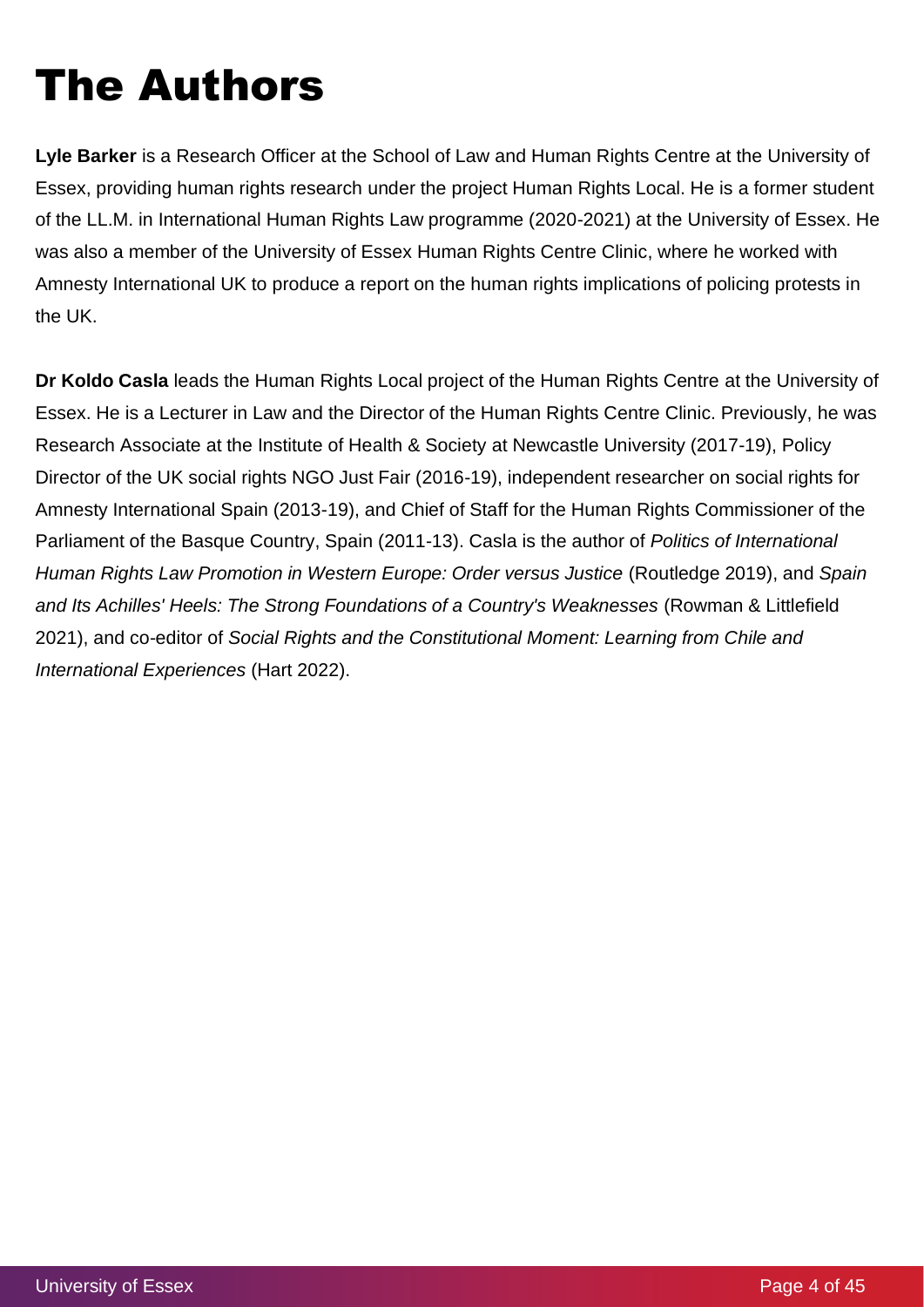# <span id="page-3-0"></span>The Authors

**Lyle Barker** is a Research Officer at the School of Law and Human Rights Centre at the University of Essex, providing human rights research under the project Human Rights Local. He is a former student of the LL.M. in International Human Rights Law programme (2020-2021) at the University of Essex. He was also a member of the University of Essex Human Rights Centre Clinic, where he worked with Amnesty International UK to produce a report on the human rights implications of policing protests in the UK.

<span id="page-3-1"></span>**Dr Koldo Casla** leads the Human Rights Local project of the Human Rights Centre at the University of Essex. He is a Lecturer in Law and the Director of the Human Rights Centre Clinic. Previously, he was Research Associate at the Institute of Health & Society at Newcastle University (2017-19), Policy Director of the UK social rights NGO Just Fair (2016-19), independent researcher on social rights for Amnesty International Spain (2013-19), and Chief of Staff for the Human Rights Commissioner of the Parliament of the Basque Country, Spain (2011-13). Casla is the author of *Politics of International Human Rights Law Promotion in Western Europe: Order versus Justice* (Routledge 2019), and *Spain and Its Achilles' Heels: The Strong Foundations of a Country's Weaknesses* (Rowman & Littlefield 2021), and co-editor of *Social Rights and the Constitutional Moment: Learning from Chile and International Experiences* (Hart 2022).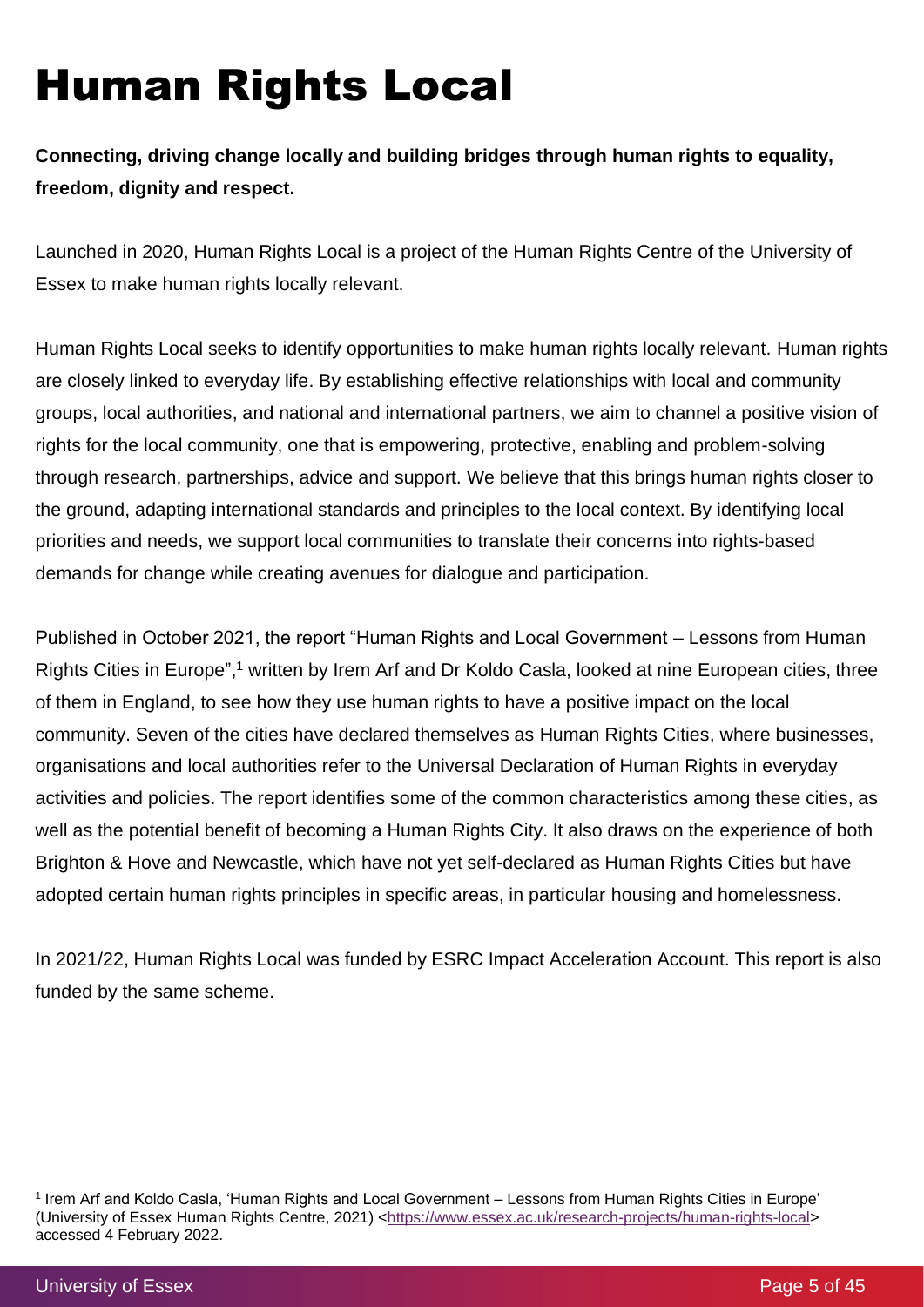# Human Rights Local

**Connecting, driving change locally and building bridges through human rights to equality, freedom, dignity and respect.** 

Launched in 2020, Human Rights Local is a project of the Human Rights Centre of the University of Essex to make human rights locally relevant.

Human Rights Local seeks to identify opportunities to make human rights locally relevant. Human rights are closely linked to everyday life. By establishing effective relationships with local and community groups, local authorities, and national and international partners, we aim to channel a positive vision of rights for the local community, one that is empowering, protective, enabling and problem-solving through research, partnerships, advice and support. We believe that this brings human rights closer to the ground, adapting international standards and principles to the local context. By identifying local priorities and needs, we support local communities to translate their concerns into rights-based demands for change while creating avenues for dialogue and participation.

Published in October 2021, the report "Human Rights and Local Government – Lessons from Human Rights Cities in Europe",<sup>1</sup> written by Irem Arf and Dr Koldo Casla, looked at nine European cities, three of them in England, to see how they use human rights to have a positive impact on the local community. Seven of the cities have declared themselves as Human Rights Cities, where businesses, organisations and local authorities refer to the Universal Declaration of Human Rights in everyday activities and policies. The report identifies some of the common characteristics among these cities, as well as the potential benefit of becoming a Human Rights City. It also draws on the experience of both Brighton & Hove and Newcastle, which have not yet self-declared as Human Rights Cities but have adopted certain human rights principles in specific areas, in particular housing and homelessness.

In 2021/22, Human Rights Local was funded by ESRC Impact Acceleration Account. This report is also funded by the same scheme.

<sup>1</sup> Irem Arf and Koldo Casla, 'Human Rights and Local Government – Lessons from Human Rights Cities in Europe' (University of Essex Human Rights Centre, 2021) [<https://www.essex.ac.uk/research-projects/human-rights-local>](https://www.essex.ac.uk/research-projects/human-rights-local) accessed 4 February 2022.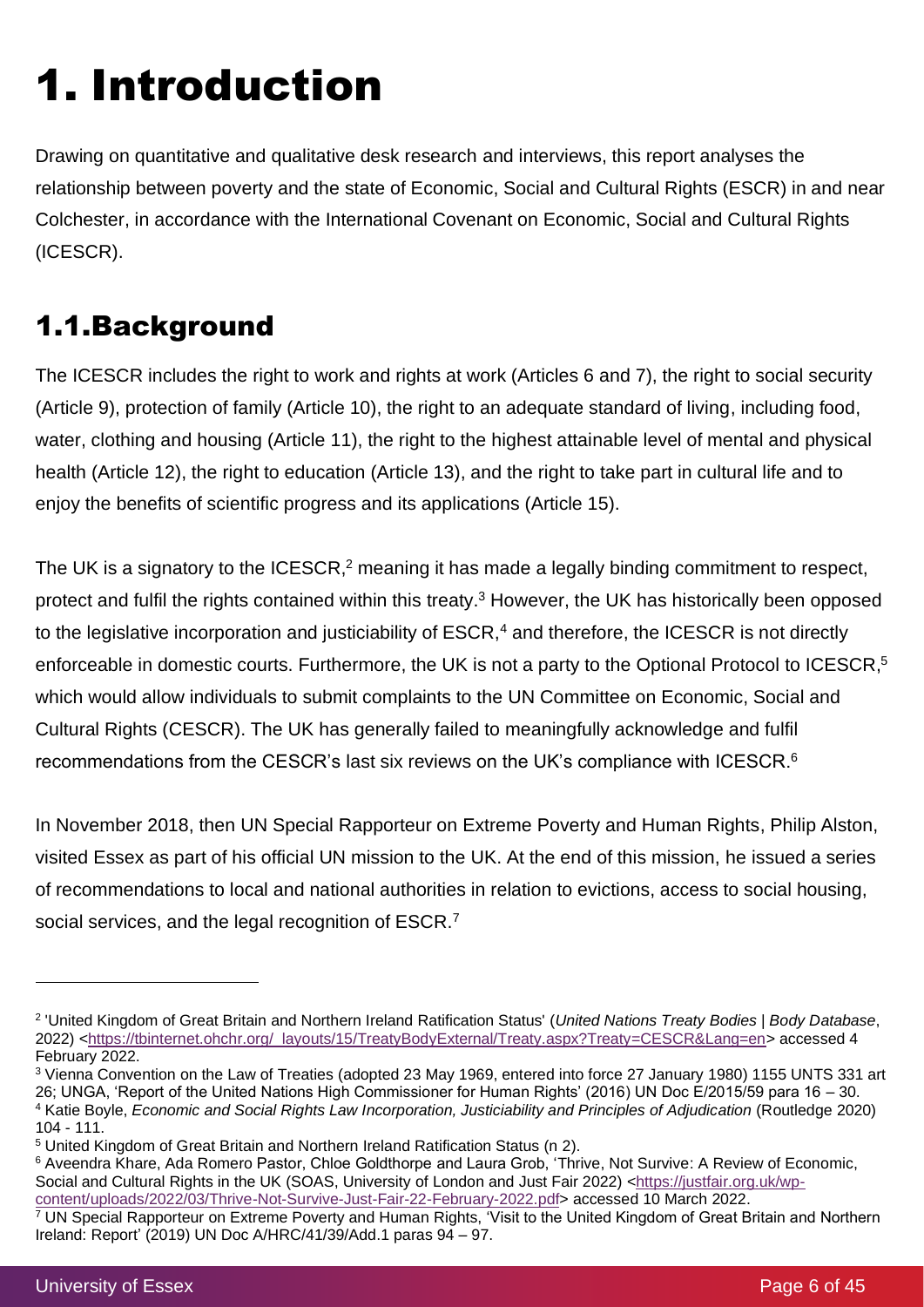# <span id="page-5-0"></span>1. Introduction

Drawing on quantitative and qualitative desk research and interviews, this report analyses the relationship between poverty and the state of Economic, Social and Cultural Rights (ESCR) in and near Colchester, in accordance with the International Covenant on Economic, Social and Cultural Rights (ICESCR).

# <span id="page-5-1"></span>1.1.Background

The ICESCR includes the right to work and rights at work (Articles 6 and 7), the right to social security (Article 9), protection of family (Article 10), the right to an adequate standard of living, including food, water, clothing and housing (Article 11), the right to the highest attainable level of mental and physical health (Article 12), the right to education (Article 13), and the right to take part in cultural life and to enjoy the benefits of scientific progress and its applications (Article 15).

The UK is a signatory to the ICESCR,<sup>2</sup> meaning it has made a legally binding commitment to respect, protect and fulfil the rights contained within this treaty. <sup>3</sup> However, the UK has historically been opposed to the legislative incorporation and justiciability of  $ESCR<sub>1</sub><sup>4</sup>$  and therefore, the ICESCR is not directly enforceable in domestic courts. Furthermore, the UK is not a party to the Optional Protocol to ICESCR,<sup>5</sup> which would allow individuals to submit complaints to the UN Committee on Economic, Social and Cultural Rights (CESCR). The UK has generally failed to meaningfully acknowledge and fulfil recommendations from the CESCR's last six reviews on the UK's compliance with ICESCR.<sup>6</sup>

In November 2018, then UN Special Rapporteur on Extreme Poverty and Human Rights, Philip Alston, visited Essex as part of his official UN mission to the UK. At the end of this mission, he issued a series of recommendations to local and national authorities in relation to evictions, access to social housing, social services, and the legal recognition of ESCR.<sup>7</sup>

<sup>6</sup> Aveendra Khare, Ada Romero Pastor, Chloe Goldthorpe and Laura Grob, 'Thrive, Not Survive: A Review of Economic, Social and Cultural Rights in the UK (SOAS, University of London and Just Fair 2022) [<https://justfair.org.uk/wp](https://justfair.org.uk/wp-content/uploads/2022/03/Thrive-Not-Survive-Just-Fair-22-February-2022.pdf)[content/uploads/2022/03/Thrive-Not-Survive-Just-Fair-22-February-2022.pdf>](https://justfair.org.uk/wp-content/uploads/2022/03/Thrive-Not-Survive-Just-Fair-22-February-2022.pdf) accessed 10 March 2022.

<sup>2</sup> 'United Kingdom of Great Britain and Northern Ireland Ratification Status' (*United Nations Treaty Bodies | Body Database*, 2022) [<https://tbinternet.ohchr.org/\\_layouts/15/TreatyBodyExternal/Treaty.aspx?Treaty=CESCR&Lang=en>](https://tbinternet.ohchr.org/_layouts/15/TreatyBodyExternal/Treaty.aspx?Treaty=CESCR&Lang=en) accessed 4 February 2022.

<sup>&</sup>lt;sup>3</sup> Vienna Convention on the Law of Treaties (adopted 23 May 1969, entered into force 27 January 1980) 1155 UNTS 331 art 26; UNGA, 'Report of the United Nations High Commissioner for Human Rights' (2016) UN Doc E/2015/59 para 16 – 30. <sup>4</sup> Katie Boyle, *Economic and Social Rights Law Incorporation, Justiciability and Principles of Adjudication* (Routledge 2020) 104 - 111.

<sup>5</sup> United Kingdom of Great Britain and Northern Ireland Ratification Status (n 2).

 $7$  UN Special Rapporteur on Extreme Poverty and Human Rights, 'Visit to the United Kingdom of Great Britain and Northern Ireland: Report' (2019) UN Doc A/HRC/41/39/Add.1 paras 94 – 97.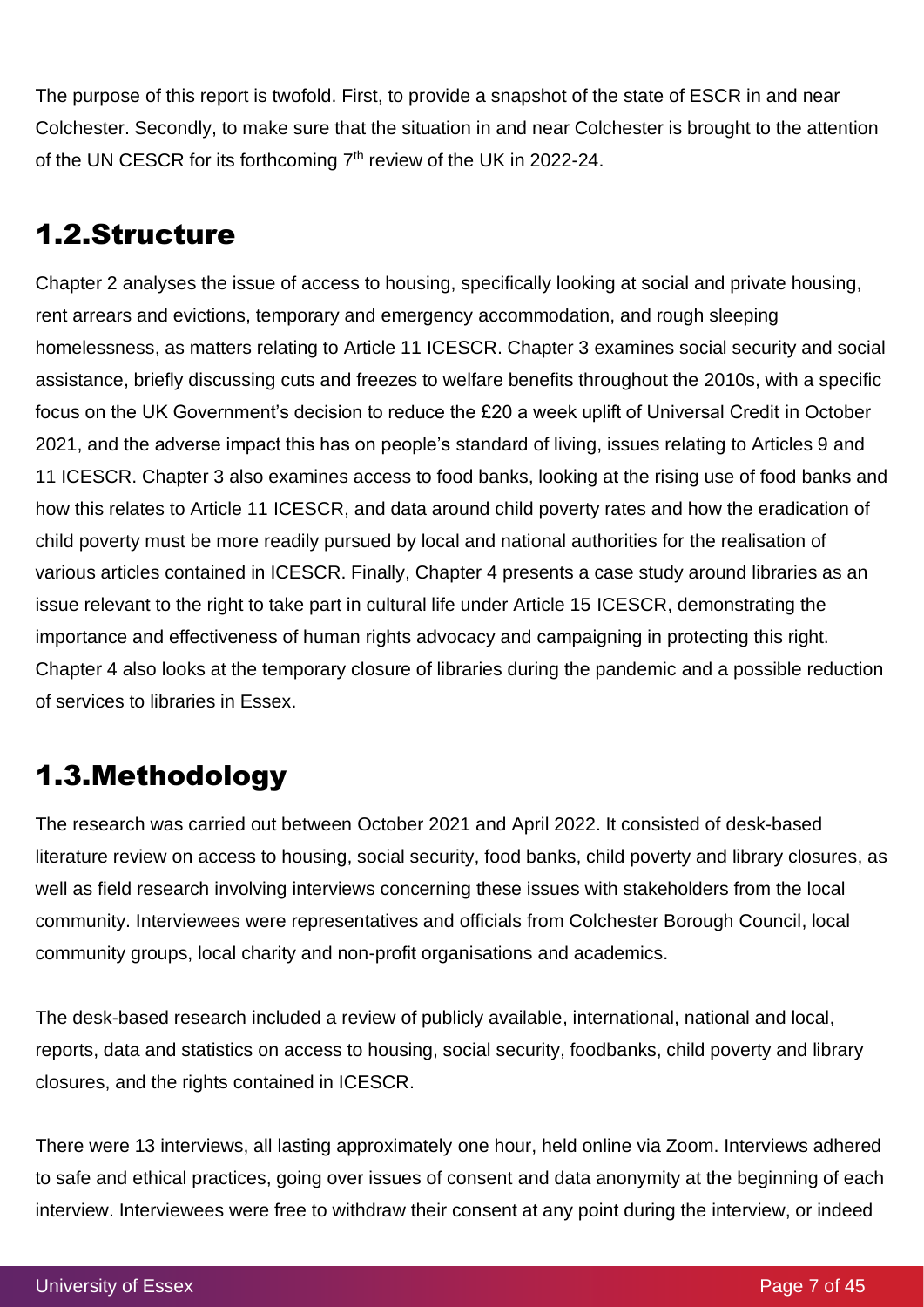The purpose of this report is twofold. First, to provide a snapshot of the state of ESCR in and near Colchester. Secondly, to make sure that the situation in and near Colchester is brought to the attention of the UN CESCR for its forthcoming 7<sup>th</sup> review of the UK in 2022-24.

# <span id="page-6-0"></span>1.2.Structure

Chapter 2 analyses the issue of access to housing, specifically looking at social and private housing, rent arrears and evictions, temporary and emergency accommodation, and rough sleeping homelessness, as matters relating to Article 11 ICESCR. Chapter 3 examines social security and social assistance, briefly discussing cuts and freezes to welfare benefits throughout the 2010s, with a specific focus on the UK Government's decision to reduce the £20 a week uplift of Universal Credit in October 2021, and the adverse impact this has on people's standard of living, issues relating to Articles 9 and 11 ICESCR. Chapter 3 also examines access to food banks, looking at the rising use of food banks and how this relates to Article 11 ICESCR, and data around child poverty rates and how the eradication of child poverty must be more readily pursued by local and national authorities for the realisation of various articles contained in ICESCR. Finally, Chapter 4 presents a case study around libraries as an issue relevant to the right to take part in cultural life under Article 15 ICESCR, demonstrating the importance and effectiveness of human rights advocacy and campaigning in protecting this right. Chapter 4 also looks at the temporary closure of libraries during the pandemic and a possible reduction of services to libraries in Essex.

# <span id="page-6-1"></span>1.3.Methodology

The research was carried out between October 2021 and April 2022. It consisted of desk-based literature review on access to housing, social security, food banks, child poverty and library closures, as well as field research involving interviews concerning these issues with stakeholders from the local community. Interviewees were representatives and officials from Colchester Borough Council, local community groups, local charity and non-profit organisations and academics.

The desk-based research included a review of publicly available, international, national and local, reports, data and statistics on access to housing, social security, foodbanks, child poverty and library closures, and the rights contained in ICESCR.

There were 13 interviews, all lasting approximately one hour, held online via Zoom. Interviews adhered to safe and ethical practices, going over issues of consent and data anonymity at the beginning of each interview. Interviewees were free to withdraw their consent at any point during the interview, or indeed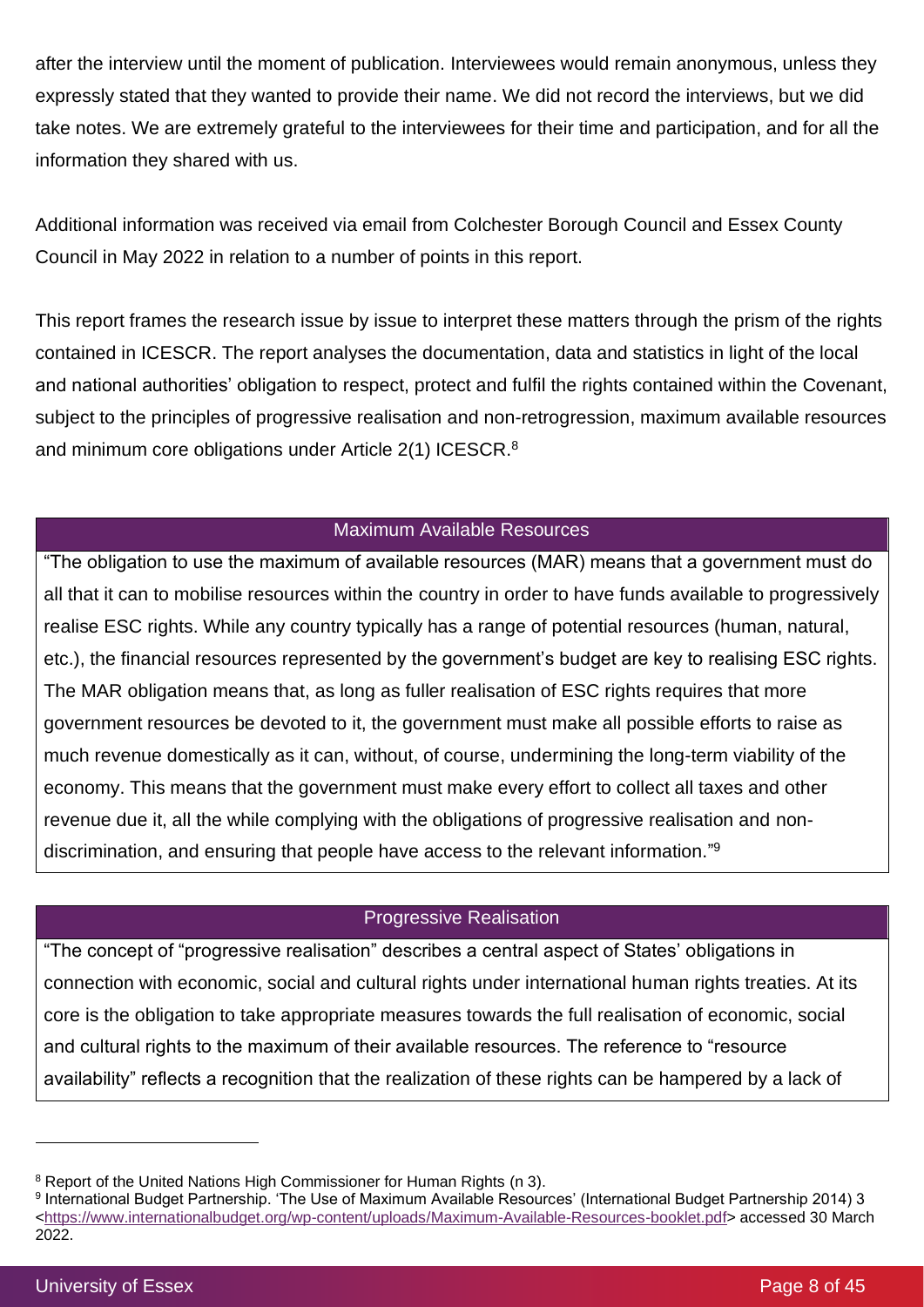after the interview until the moment of publication. Interviewees would remain anonymous, unless they expressly stated that they wanted to provide their name. We did not record the interviews, but we did take notes. We are extremely grateful to the interviewees for their time and participation, and for all the information they shared with us.

Additional information was received via email from Colchester Borough Council and Essex County Council in May 2022 in relation to a number of points in this report.

This report frames the research issue by issue to interpret these matters through the prism of the rights contained in ICESCR. The report analyses the documentation, data and statistics in light of the local and national authorities' obligation to respect, protect and fulfil the rights contained within the Covenant, subject to the principles of progressive realisation and non-retrogression, maximum available resources and minimum core obligations under Article 2(1) ICESCR.<sup>8</sup>

#### Maximum Available Resources

"The obligation to use the maximum of available resources (MAR) means that a government must do all that it can to mobilise resources within the country in order to have funds available to progressively realise ESC rights. While any country typically has a range of potential resources (human, natural, etc.), the financial resources represented by the government's budget are key to realising ESC rights. The MAR obligation means that, as long as fuller realisation of ESC rights requires that more government resources be devoted to it, the government must make all possible efforts to raise as much revenue domestically as it can, without, of course, undermining the long-term viability of the economy. This means that the government must make every effort to collect all taxes and other revenue due it, all the while complying with the obligations of progressive realisation and nondiscrimination, and ensuring that people have access to the relevant information."<sup>9</sup>

#### Progressive Realisation

"The concept of "progressive realisation" describes a central aspect of States' obligations in connection with economic, social and cultural rights under international human rights treaties. At its core is the obligation to take appropriate measures towards the full realisation of economic, social and cultural rights to the maximum of their available resources. The reference to "resource availability" reflects a recognition that the realization of these rights can be hampered by a lack of

<sup>&</sup>lt;sup>8</sup> Report of the United Nations High Commissioner for Human Rights (n 3).

<sup>9</sup> International Budget Partnership. 'The Use of Maximum Available Resources' (International Budget Partnership 2014) 3 [<https://www.internationalbudget.org/wp-content/uploads/Maximum-Available-Resources-booklet.pdf>](https://www.internationalbudget.org/wp-content/uploads/Maximum-Available-Resources-booklet.pdf) accessed 30 March 2022.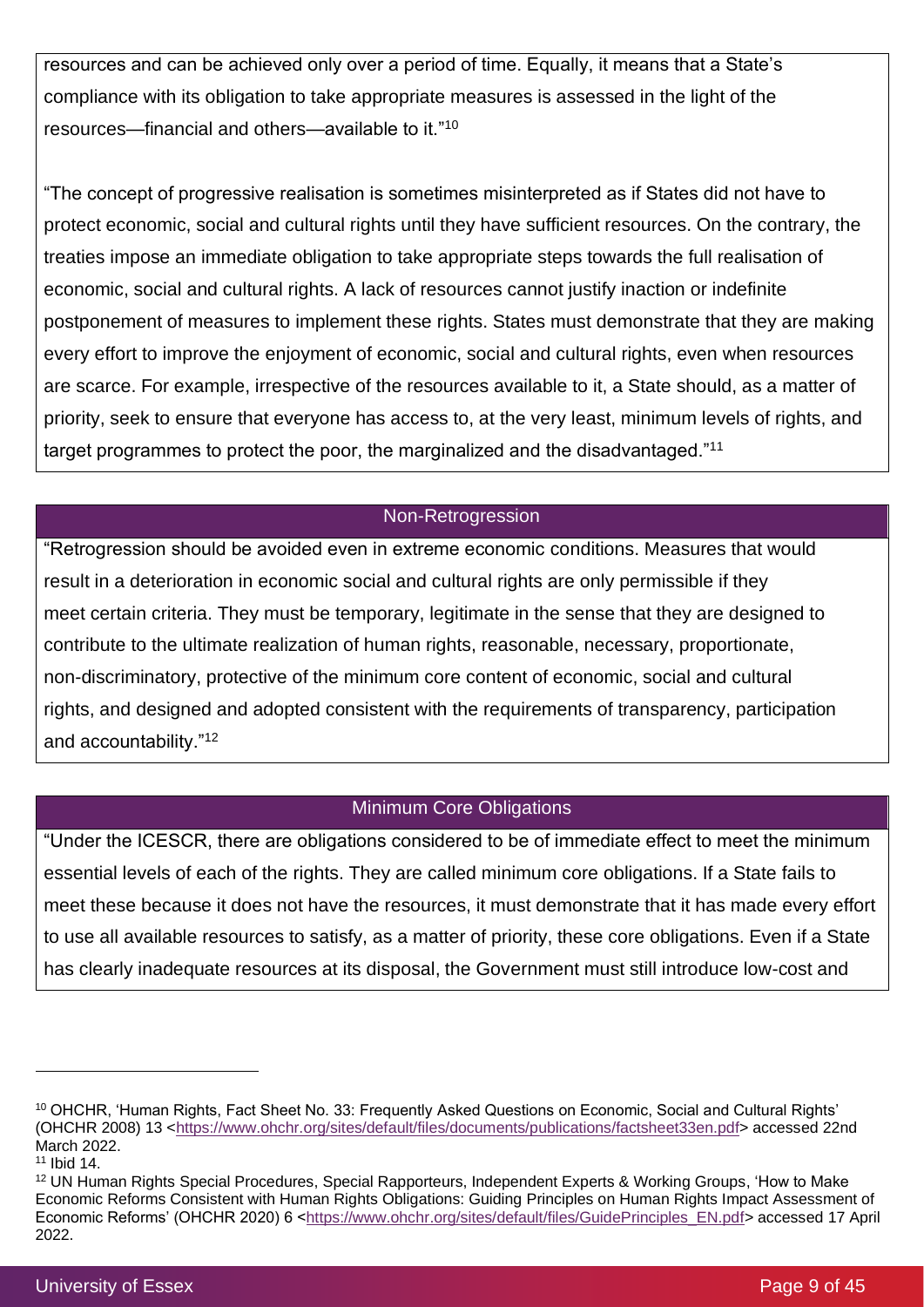resources and can be achieved only over a period of time. Equally, it means that a State's compliance with its obligation to take appropriate measures is assessed in the light of the resources—financial and others—available to it."<sup>10</sup>

"The concept of progressive realisation is sometimes misinterpreted as if States did not have to protect economic, social and cultural rights until they have sufficient resources. On the contrary, the treaties impose an immediate obligation to take appropriate steps towards the full realisation of economic, social and cultural rights. A lack of resources cannot justify inaction or indefinite postponement of measures to implement these rights. States must demonstrate that they are making every effort to improve the enjoyment of economic, social and cultural rights, even when resources are scarce. For example, irrespective of the resources available to it, a State should, as a matter of priority, seek to ensure that everyone has access to, at the very least, minimum levels of rights, and target programmes to protect the poor, the marginalized and the disadvantaged."<sup>11</sup>

#### Non-Retrogression

"Retrogression should be avoided even in extreme economic conditions. Measures that would result in a deterioration in economic social and cultural rights are only permissible if they meet certain criteria. They must be temporary, legitimate in the sense that they are designed to contribute to the ultimate realization of human rights, reasonable, necessary, proportionate, non-discriminatory, protective of the minimum core content of economic, social and cultural rights, and designed and adopted consistent with the requirements of transparency, participation and accountability."<sup>12</sup>

#### Minimum Core Obligations

"Under the ICESCR, there are obligations considered to be of immediate effect to meet the minimum essential levels of each of the rights. They are called minimum core obligations. If a State fails to meet these because it does not have the resources, it must demonstrate that it has made every effort to use all available resources to satisfy, as a matter of priority, these core obligations. Even if a State has clearly inadequate resources at its disposal, the Government must still introduce low-cost and

<sup>10</sup> OHCHR, 'Human Rights, Fact Sheet No. 33: Frequently Asked Questions on Economic, Social and Cultural Rights' (OHCHR 2008) 13 [<https://www.ohchr.org/sites/default/files/documents/publications/factsheet33en.pdf>](https://www.ohchr.org/sites/default/files/documents/publications/factsheet33en.pdf) accessed 22nd March 2022.

<sup>11</sup> Ibid 14.

<sup>12</sup> UN Human Rights Special Procedures, Special Rapporteurs, Independent Experts & Working Groups, 'How to Make Economic Reforms Consistent with Human Rights Obligations: Guiding Principles on Human Rights Impact Assessment of Economic Reforms' (OHCHR 2020) 6 [<https://www.ohchr.org/sites/default/files/GuidePrinciples\\_EN.pdf>](https://www.ohchr.org/sites/default/files/GuidePrinciples_EN.pdf) accessed 17 April 2022.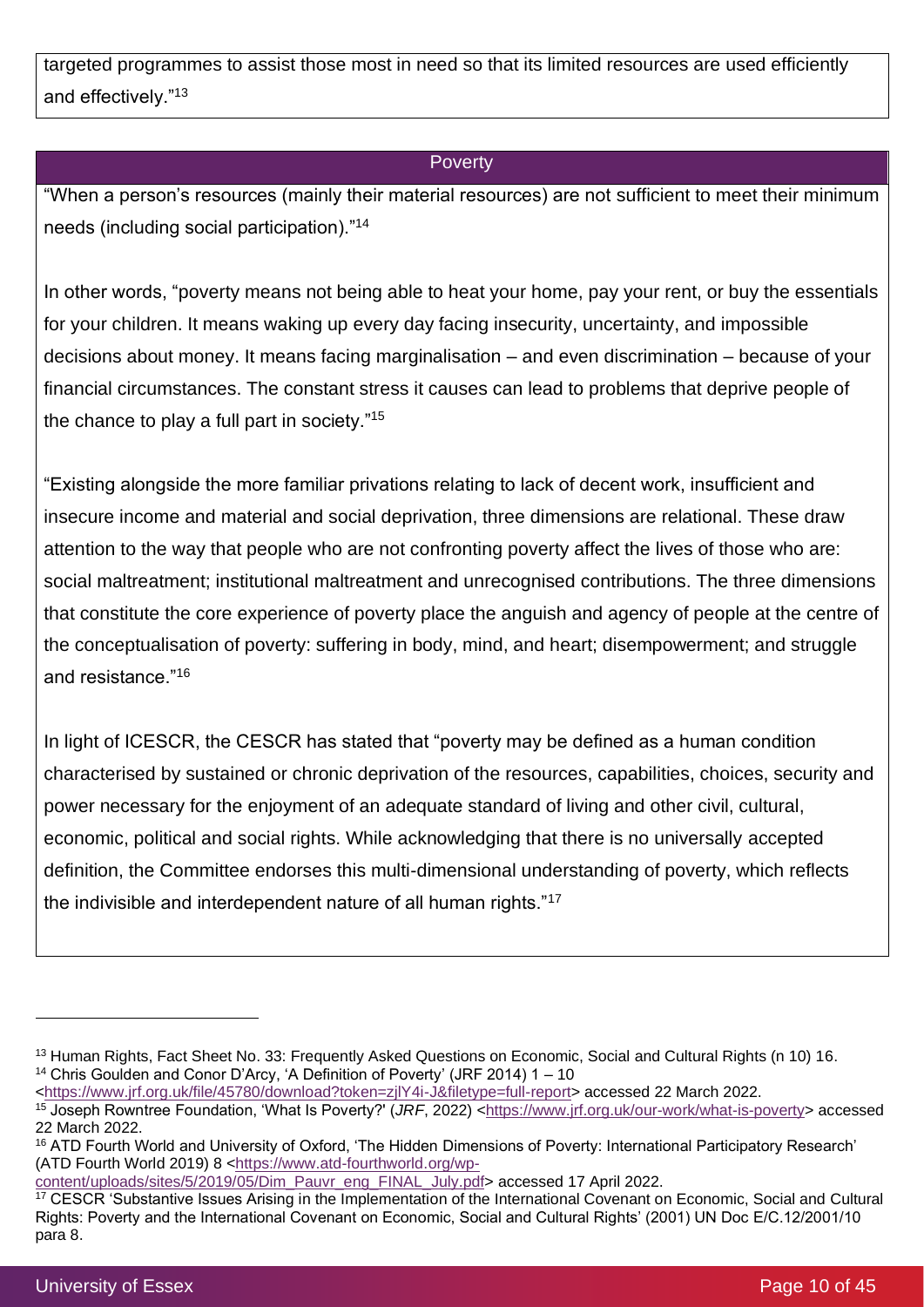targeted programmes to assist those most in need so that its limited resources are used efficiently and effectively."<sup>13</sup>

#### **Poverty**

"When a person's resources (mainly their material resources) are not sufficient to meet their minimum needs (including social participation)."<sup>14</sup>

In other words, "poverty means not being able to heat your home, pay your rent, or buy the essentials for your children. It means waking up every day facing insecurity, uncertainty, and impossible decisions about money. It means facing marginalisation – and even discrimination – because of your financial circumstances. The constant stress it causes can lead to problems that deprive people of the chance to play a full part in society."<sup>15</sup>

"Existing alongside the more familiar privations relating to lack of decent work, insufficient and insecure income and material and social deprivation, three dimensions are relational. These draw attention to the way that people who are not confronting poverty affect the lives of those who are: social maltreatment; institutional maltreatment and unrecognised contributions. The three dimensions that constitute the core experience of poverty place the anguish and agency of people at the centre of the conceptualisation of poverty: suffering in body, mind, and heart; disempowerment; and struggle and resistance."<sup>16</sup>

In light of ICESCR, the CESCR has stated that "poverty may be defined as a human condition characterised by sustained or chronic deprivation of the resources, capabilities, choices, security and power necessary for the enjoyment of an adequate standard of living and other civil, cultural, economic, political and social rights. While acknowledging that there is no universally accepted definition, the Committee endorses this multi-dimensional understanding of poverty, which reflects the indivisible and interdependent nature of all human rights."<sup>17</sup>

[<https://www.jrf.org.uk/file/45780/download?token=zjlY4i-J&filetype=full-report>](https://www.jrf.org.uk/file/45780/download?token=zjlY4i-J&filetype=full-report) accessed 22 March 2022.

[content/uploads/sites/5/2019/05/Dim\\_Pauvr\\_eng\\_FINAL\\_July.pdf>](https://www.atd-fourthworld.org/wp-content/uploads/sites/5/2019/05/Dim_Pauvr_eng_FINAL_July.pdf) accessed 17 April 2022.

<sup>13</sup> Human Rights, Fact Sheet No. 33: Frequently Asked Questions on Economic, Social and Cultural Rights (n 10) 16. <sup>14</sup> Chris Goulden and Conor D'Arcy, 'A Definition of Poverty' (JRF 2014) 1 – 10

<sup>&</sup>lt;sup>15</sup> Joseph Rowntree Foundation, 'What Is Poverty?' (JRF, 2022) [<https://www.jrf.org.uk/our-work/what-is-poverty>](https://www.jrf.org.uk/our-work/what-is-poverty) accessed 22 March 2022.

<sup>&</sup>lt;sup>16</sup> ATD Fourth World and University of Oxford, 'The Hidden Dimensions of Poverty: International Participatory Research' (ATD Fourth World 2019) 8 [<https://www.atd-fourthworld.org/wp-](https://www.atd-fourthworld.org/wp-content/uploads/sites/5/2019/05/Dim_Pauvr_eng_FINAL_July.pdf)

<sup>&</sup>lt;sup>17</sup> CESCR 'Substantive Issues Arising in the Implementation of the International Covenant on Economic, Social and Cultural Rights: Poverty and the International Covenant on Economic, Social and Cultural Rights' (2001) UN Doc E/C.12/2001/10 para 8.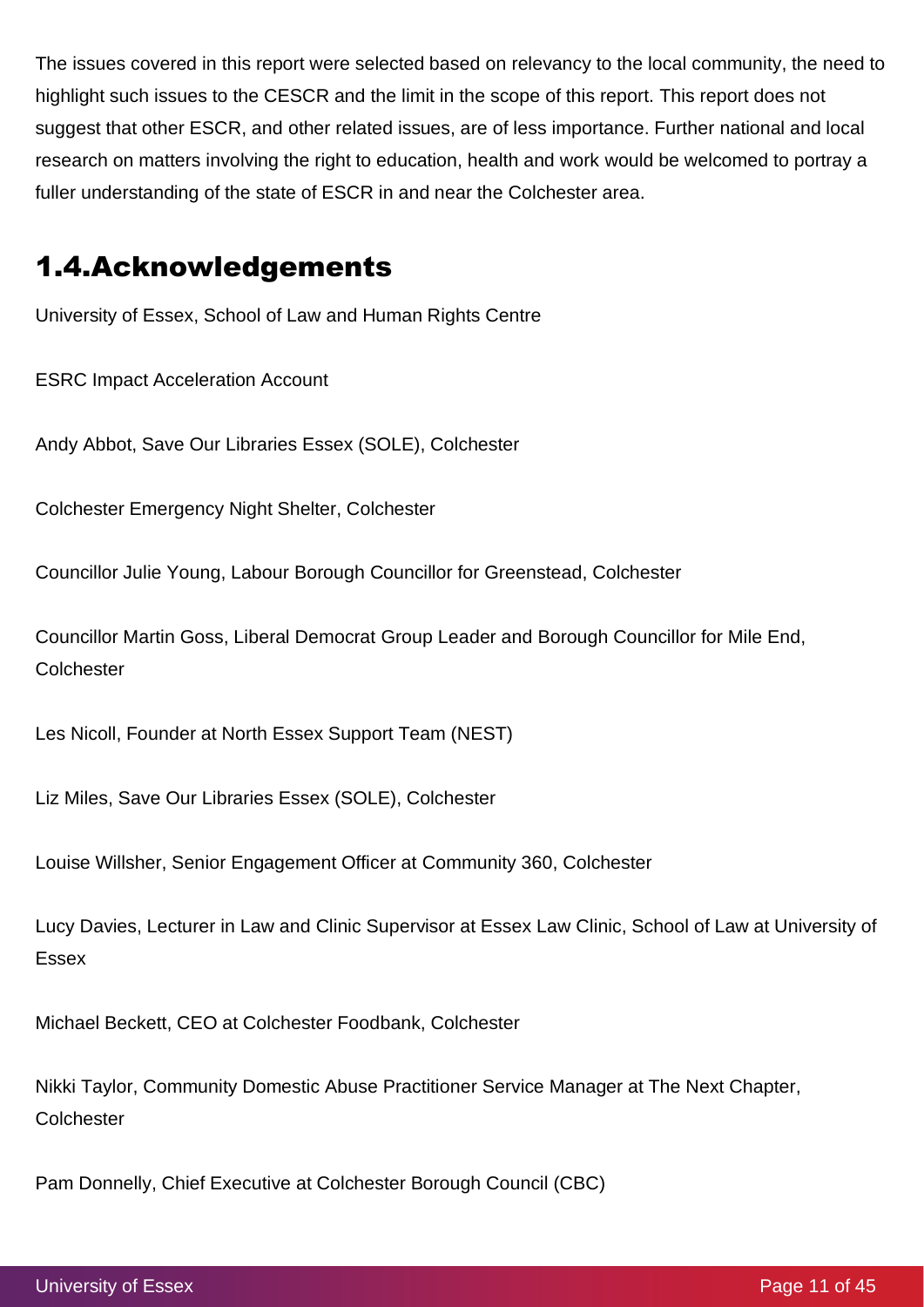The issues covered in this report were selected based on relevancy to the local community, the need to highlight such issues to the CESCR and the limit in the scope of this report. This report does not suggest that other ESCR, and other related issues, are of less importance. Further national and local research on matters involving the right to education, health and work would be welcomed to portray a fuller understanding of the state of ESCR in and near the Colchester area.

### <span id="page-10-0"></span>1.4.Acknowledgements

University of Essex, School of Law and Human Rights Centre

ESRC Impact Acceleration Account

Andy Abbot, Save Our Libraries Essex (SOLE), Colchester

Colchester Emergency Night Shelter, Colchester

Councillor Julie Young, Labour Borough Councillor for Greenstead, Colchester

Councillor Martin Goss, Liberal Democrat Group Leader and Borough Councillor for Mile End, **Colchester** 

Les Nicoll, Founder at North Essex Support Team (NEST)

Liz Miles, Save Our Libraries Essex (SOLE), Colchester

Louise Willsher, Senior Engagement Officer at Community 360, Colchester

Lucy Davies, Lecturer in Law and Clinic Supervisor at Essex Law Clinic, School of Law at University of Essex

Michael Beckett, CEO at Colchester Foodbank, Colchester

Nikki Taylor, Community Domestic Abuse Practitioner Service Manager at The Next Chapter, **Colchester** 

Pam Donnelly, Chief Executive at Colchester Borough Council (CBC)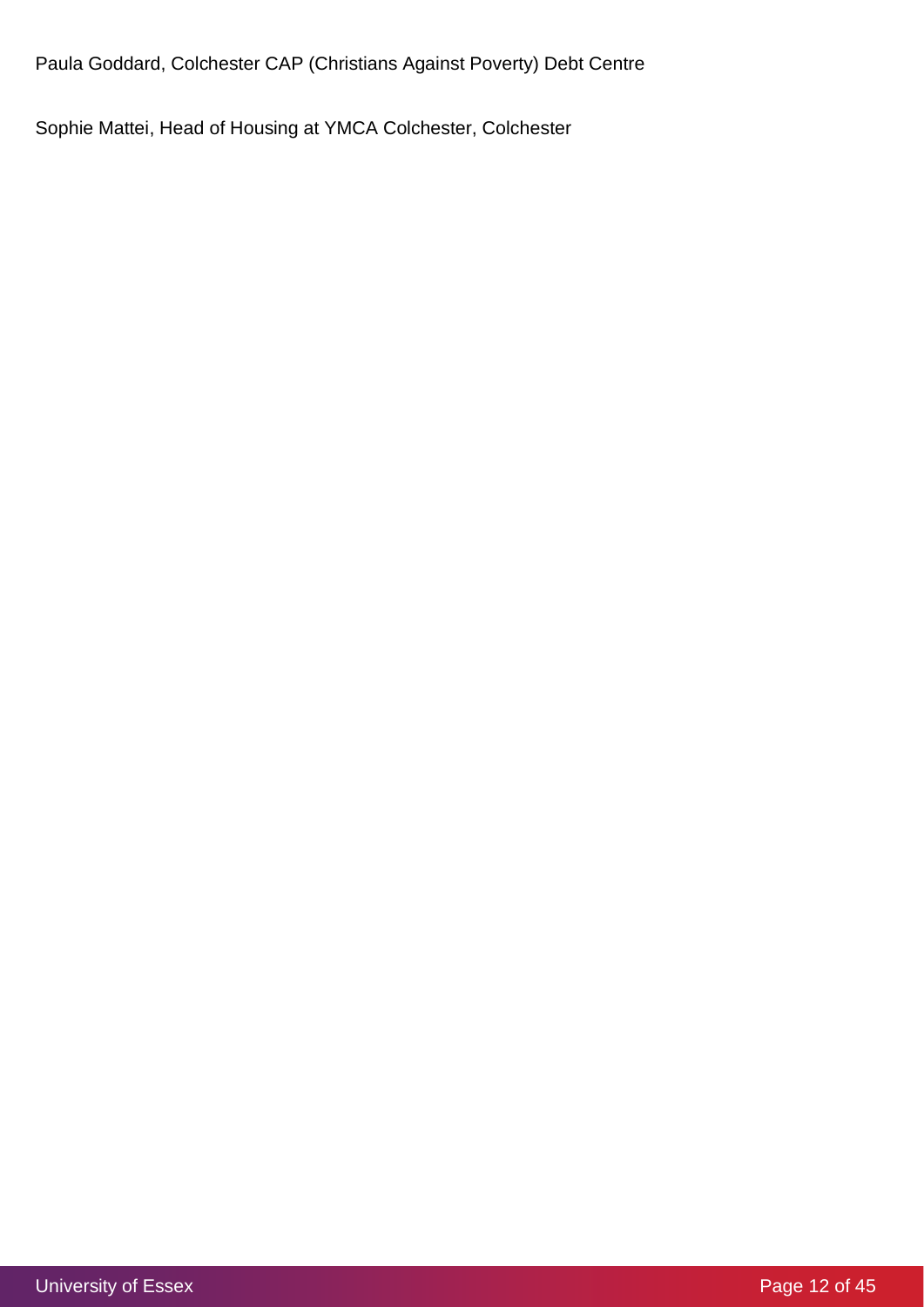Paula Goddard, Colchester CAP (Christians Against Poverty) Debt Centre

Sophie Mattei, Head of Housing at YMCA Colchester, Colchester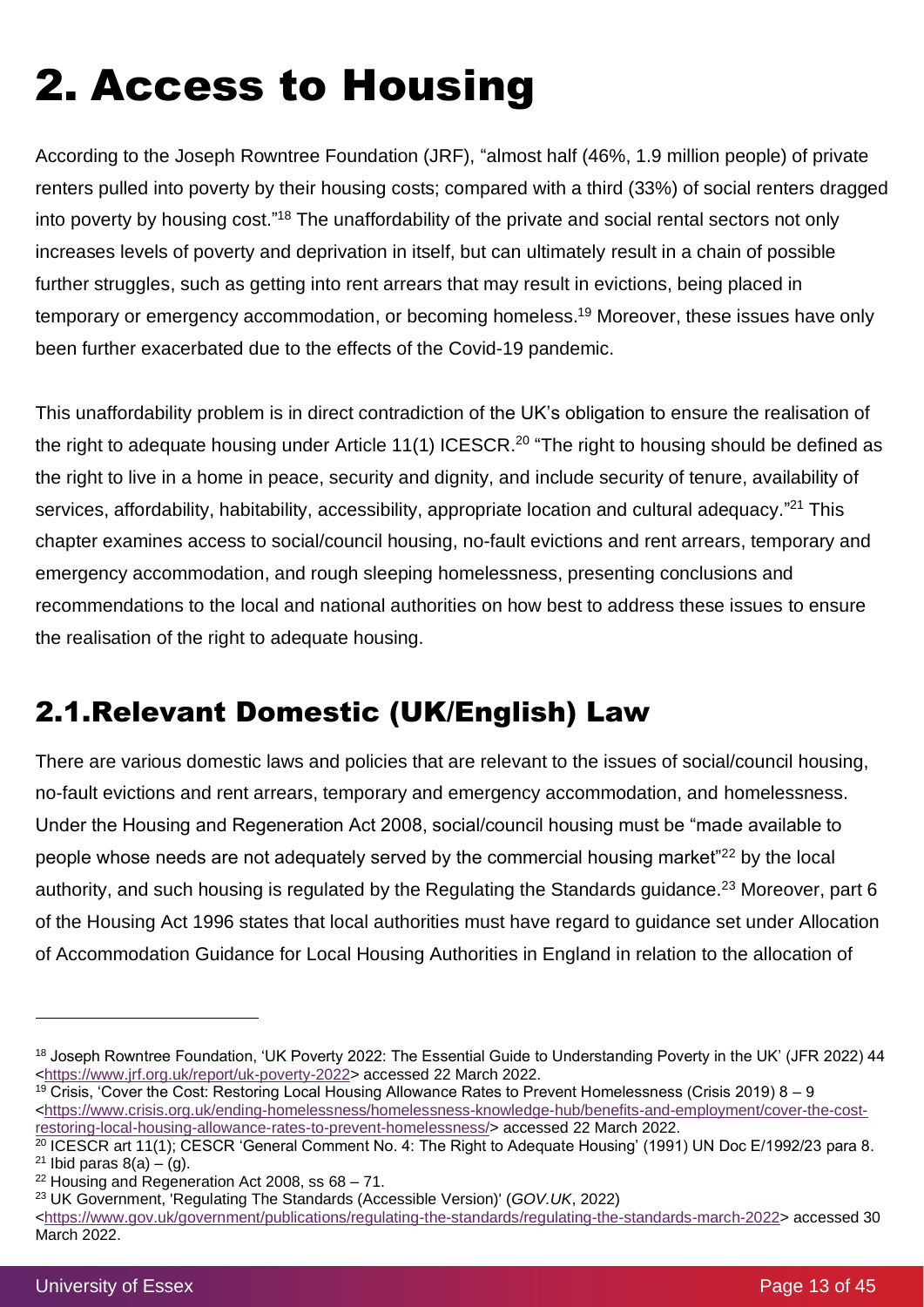# <span id="page-12-0"></span>2. Access to Housing

According to the Joseph Rowntree Foundation (JRF), "almost half (46%, 1.9 million people) of private renters pulled into poverty by their housing costs; compared with a third (33%) of social renters dragged into poverty by housing cost."<sup>18</sup> The unaffordability of the private and social rental sectors not only increases levels of poverty and deprivation in itself, but can ultimately result in a chain of possible further struggles, such as getting into rent arrears that may result in evictions, being placed in temporary or emergency accommodation, or becoming homeless.<sup>19</sup> Moreover, these issues have only been further exacerbated due to the effects of the Covid-19 pandemic.

This unaffordability problem is in direct contradiction of the UK's obligation to ensure the realisation of the right to adequate housing under Article 11(1) ICESCR.<sup>20</sup> "The right to housing should be defined as the right to live in a home in peace, security and dignity, and include security of tenure, availability of services, affordability, habitability, accessibility, appropriate location and cultural adequacy."<sup>21</sup> This chapter examines access to social/council housing, no-fault evictions and rent arrears, temporary and emergency accommodation, and rough sleeping homelessness, presenting conclusions and recommendations to the local and national authorities on how best to address these issues to ensure the realisation of the right to adequate housing.

# <span id="page-12-1"></span>2.1.Relevant Domestic (UK/English) Law

There are various domestic laws and policies that are relevant to the issues of social/council housing, no-fault evictions and rent arrears, temporary and emergency accommodation, and homelessness. Under the Housing and Regeneration Act 2008, social/council housing must be "made available to people whose needs are not adequately served by the commercial housing market"<sup>22</sup> by the local authority, and such housing is regulated by the Regulating the Standards guidance.<sup>23</sup> Moreover, part 6 of the Housing Act 1996 states that local authorities must have regard to guidance set under Allocation of Accommodation Guidance for Local Housing Authorities in England in relation to the allocation of

[restoring-local-housing-allowance-rates-to-prevent-homelessness/>](https://www.crisis.org.uk/ending-homelessness/homelessness-knowledge-hub/benefits-and-employment/cover-the-cost-restoring-local-housing-allowance-rates-to-prevent-homelessness/) accessed 22 March 2022.

<sup>&</sup>lt;sup>18</sup> Joseph Rowntree Foundation, 'UK Poverty 2022: The Essential Guide to Understanding Poverty in the UK' (JFR 2022) 44 [<https://www.jrf.org.uk/report/uk-poverty-2022>](https://www.jrf.org.uk/report/uk-poverty-2022) accessed 22 March 2022.

<sup>&</sup>lt;sup>19</sup> Crisis, 'Cover the Cost: Restoring Local Housing Allowance Rates to Prevent Homelessness (Crisis 2019) 8 – 9 [<https://www.crisis.org.uk/ending-homelessness/homelessness-knowledge-hub/benefits-and-employment/cover-the-cost-](https://www.crisis.org.uk/ending-homelessness/homelessness-knowledge-hub/benefits-and-employment/cover-the-cost-restoring-local-housing-allowance-rates-to-prevent-homelessness/)

 $20$  ICESCR art 11(1); CESCR 'General Comment No. 4: The Right to Adequate Housing' (1991) UN Doc E/1992/23 para 8. <sup>21</sup> Ibid paras  $8(a) - (q)$ .

 $22$  Housing and Regeneration Act 2008, ss 68 – 71.

<sup>23</sup> UK Government, 'Regulating The Standards (Accessible Version)' (*GOV.UK*, 2022)

[<sup>&</sup>lt;https://www.gov.uk/government/publications/regulating-the-standards/regulating-the-standards-march-2022>](https://www.gov.uk/government/publications/regulating-the-standards/regulating-the-standards-march-2022) accessed 30 March 2022.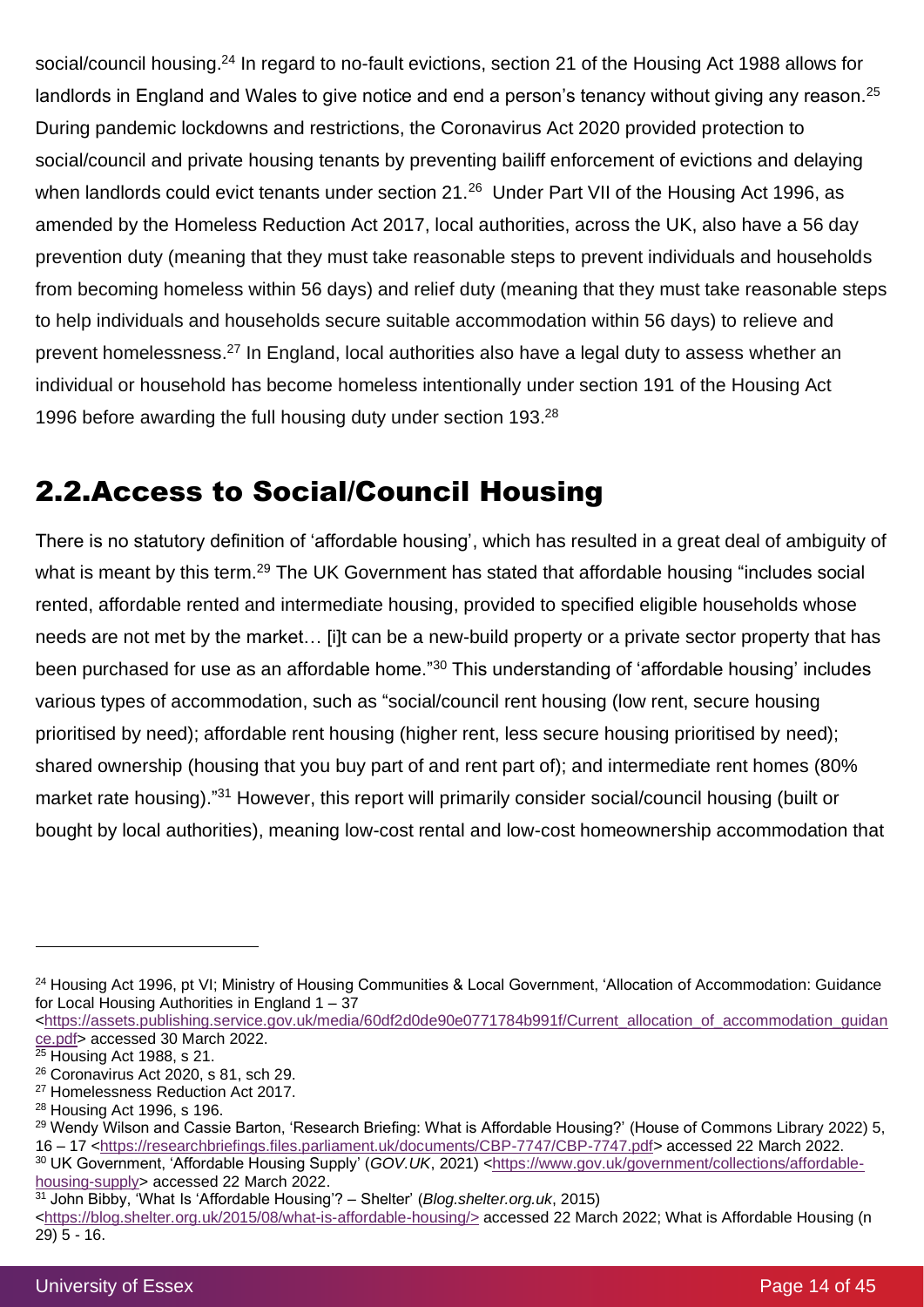social/council housing.<sup>24</sup> In regard to no-fault evictions, section 21 of the Housing Act 1988 allows for landlords in England and Wales to give notice and end a person's tenancy without giving any reason.<sup>25</sup> During pandemic lockdowns and restrictions, the Coronavirus Act 2020 provided protection to social/council and private housing tenants by preventing bailiff enforcement of evictions and delaying when landlords could evict tenants under section  $21.^{26}$  Under Part VII of the Housing Act 1996, as amended by the Homeless Reduction Act 2017, local authorities, across the UK, also have a 56 day prevention duty (meaning that they must take reasonable steps to prevent individuals and households from becoming homeless within 56 days) and relief duty (meaning that they must take reasonable steps to help individuals and households secure suitable accommodation within 56 days) to relieve and prevent homelessness.<sup>27</sup> In England, local authorities also have a legal duty to assess whether an individual or household has become homeless intentionally under section 191 of the Housing Act 1996 before awarding the full housing duty under section 193. 28

# <span id="page-13-0"></span>2.2.Access to Social/Council Housing

There is no statutory definition of 'affordable housing', which has resulted in a great deal of ambiguity of what is meant by this term.<sup>29</sup> The UK Government has stated that affordable housing "includes social rented, affordable rented and intermediate housing, provided to specified eligible households whose needs are not met by the market… [i]t can be a new-build property or a private sector property that has been purchased for use as an affordable home."<sup>30</sup> This understanding of 'affordable housing' includes various types of accommodation, such as "social/council rent housing (low rent, secure housing prioritised by need); affordable rent housing (higher rent, less secure housing prioritised by need); shared ownership (housing that you buy part of and rent part of); and intermediate rent homes (80% market rate housing)."<sup>31</sup> However, this report will primarily consider social/council housing (built or bought by local authorities), meaning low-cost rental and low-cost homeownership accommodation that

<sup>&</sup>lt;sup>24</sup> Housing Act 1996, pt VI; Ministry of Housing Communities & Local Government, 'Allocation of Accommodation: Guidance for Local Housing Authorities in England 1 – 37

[<sup>&</sup>lt;https://assets.publishing.service.gov.uk/media/60df2d0de90e0771784b991f/Current\\_allocation\\_of\\_accommodation\\_guidan](https://assets.publishing.service.gov.uk/media/60df2d0de90e0771784b991f/Current_allocation_of_accommodation_guidance.pdf) [ce.pdf>](https://assets.publishing.service.gov.uk/media/60df2d0de90e0771784b991f/Current_allocation_of_accommodation_guidance.pdf) accessed 30 March 2022.

 $25$  Housing Act 1988, s 21.

<sup>26</sup> Coronavirus Act 2020, s 81, sch 29.

<sup>27</sup> Homelessness Reduction Act 2017.

<sup>28</sup> Housing Act 1996, s 196.

<sup>&</sup>lt;sup>29</sup> Wendy Wilson and Cassie Barton, 'Research Briefing: What is Affordable Housing?' (House of Commons Library 2022) 5, 16 – 17 [<https://researchbriefings.files.parliament.uk/documents/CBP-7747/CBP-7747.pdf>](https://researchbriefings.files.parliament.uk/documents/CBP-7747/CBP-7747.pdf) accessed 22 March 2022.

<sup>30</sup> UK Government, 'Affordable Housing Supply' (*GOV.UK*, 2021) [<https://www.gov.uk/government/collections/affordable](https://www.gov.uk/government/collections/affordable-housing-supply)[housing-supply>](https://www.gov.uk/government/collections/affordable-housing-supply) accessed 22 March 2022.

<sup>31</sup> John Bibby, 'What Is 'Affordable Housing'? – Shelter' (*Blog.shelter.org.uk*, 2015)

[<sup>&</sup>lt;https://blog.shelter.org.uk/2015/08/what-is-affordable-housing/>](https://blog.shelter.org.uk/2015/08/what-is-affordable-housing/%3e) accessed 22 March 2022; What is Affordable Housing (n 29) 5 - 16.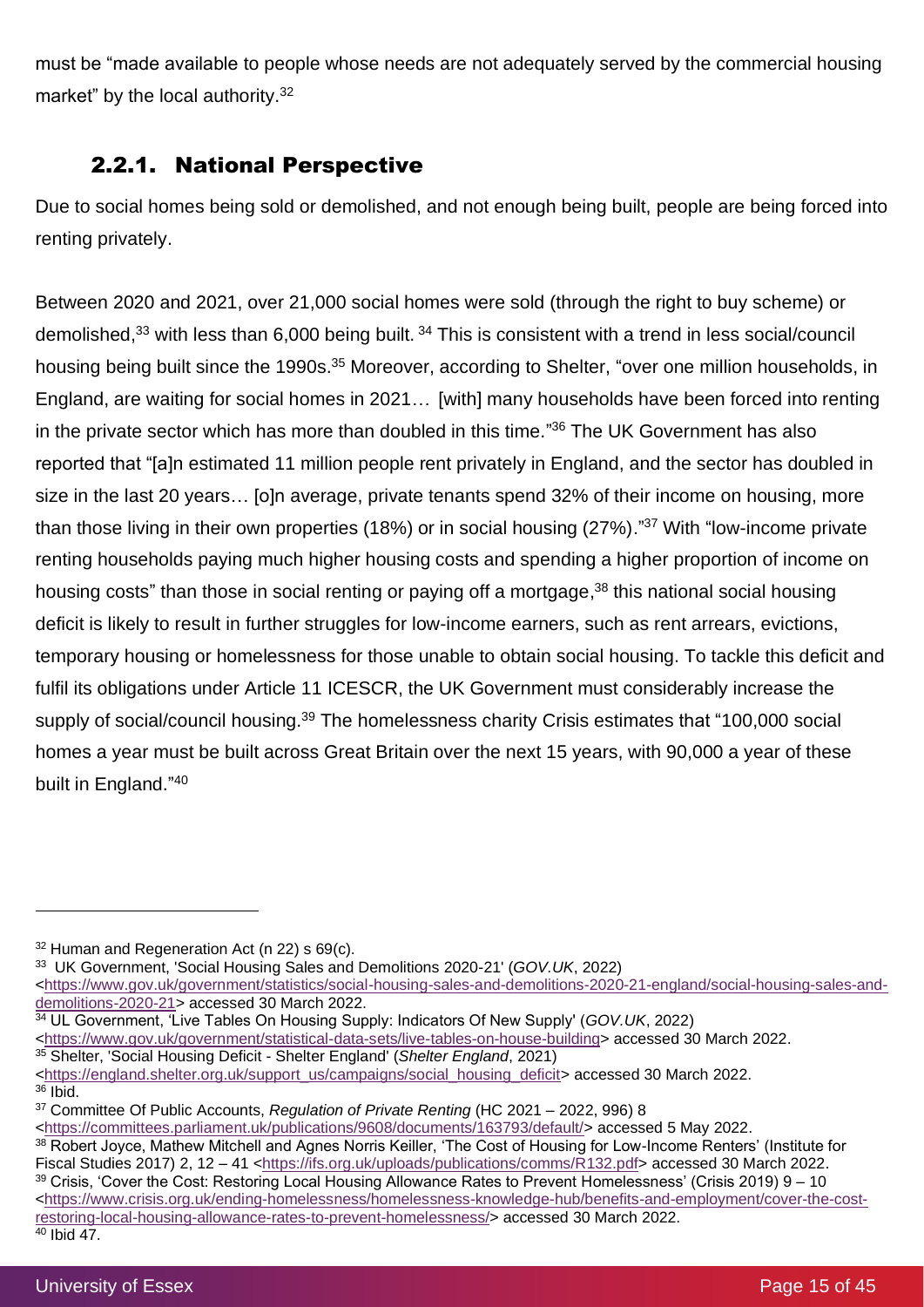must be "made available to people whose needs are not adequately served by the commercial housing market" by the local authority.<sup>32</sup>

### 2.2.1. National Perspective

Due to social homes being sold or demolished, and not enough being built, people are being forced into renting privately.

Between 2020 and 2021, over 21,000 social homes were sold (through the right to buy scheme) or demolished,<sup>33</sup> with less than 6,000 being built. <sup>34</sup> This is consistent with a trend in less social/council housing being built since the 1990s.<sup>35</sup> Moreover, according to Shelter, "over one million households, in England, are waiting for social homes in 2021… [with] many households have been forced into renting in the private sector which has more than doubled in this time." <sup>36</sup> The UK Government has also reported that "[a]n estimated 11 million people rent privately in England, and the sector has doubled in size in the last 20 years… [o]n average, private tenants spend 32% of their income on housing, more than those living in their own properties (18%) or in social housing (27%)."<sup>37</sup> With "low-income private renting households paying much higher housing costs and spending a higher proportion of income on housing costs" than those in social renting or paying off a mortgage,<sup>38</sup> this national social housing deficit is likely to result in further struggles for low-income earners, such as rent arrears, evictions, temporary housing or homelessness for those unable to obtain social housing. To tackle this deficit and fulfil its obligations under Article 11 ICESCR, the UK Government must considerably increase the supply of social/council housing.<sup>39</sup> The homelessness charity Crisis estimates that "100,000 social homes a year must be built across Great Britain over the next 15 years, with 90,000 a year of these built in England."<sup>40</sup>

<sup>33</sup> UK Government, 'Social Housing Sales and Demolitions 2020-21' (*GOV.UK*, 2022)

<sup>34</sup> UL Government, 'Live Tables On Housing Supply: Indicators Of New Supply' (*GOV.UK*, 2022)

<sup>35</sup> Shelter, 'Social Housing Deficit - Shelter England' (*Shelter England*, 2021)

<sup>&</sup>lt;sup>32</sup> Human and Regeneration Act (n 22) s 69(c).

[<sup>&</sup>lt;https://www.gov.uk/government/statistics/social-housing-sales-and-demolitions-2020-21-england/social-housing-sales-and](https://www.gov.uk/government/statistics/social-housing-sales-and-demolitions-2020-21-england/social-housing-sales-and-demolitions-2020-21)[demolitions-2020-21>](https://www.gov.uk/government/statistics/social-housing-sales-and-demolitions-2020-21-england/social-housing-sales-and-demolitions-2020-21) accessed 30 March 2022.

[<sup>&</sup>lt;https://www.gov.uk/government/statistical-data-sets/live-tables-on-house-building>](https://www.gov.uk/government/statistical-data-sets/live-tables-on-house-building) accessed 30 March 2022.

[<sup>&</sup>lt;https://england.shelter.org.uk/support\\_us/campaigns/social\\_housing\\_deficit>](https://england.shelter.org.uk/support_us/campaigns/social_housing_deficit) accessed 30 March 2022.  $36$  Ibid.

<sup>37</sup> Committee Of Public Accounts, *Regulation of Private Renting* (HC 2021 – 2022, 996) 8 [<https://committees.parliament.uk/publications/9608/documents/163793/default/>](https://committees.parliament.uk/publications/9608/documents/163793/default/)accessed 5 May 2022. 38 Robert Joyce, Mathew Mitchell and Agnes Norris Keiller, 'The Cost of Housing for Low-Income Renters' (Institute for Fiscal Studies 2017) 2, 12 – 41 [<https://ifs.org.uk/uploads/publications/comms/R132.pdf>](https://ifs.org.uk/uploads/publications/comms/R132.pdf) accessed 30 March 2022. <sup>39</sup> Crisis, 'Cover the Cost: Restoring Local Housing Allowance Rates to Prevent Homelessness' (Crisis 2019) 9 – 10 [<https://www.crisis.org.uk/ending-homelessness/homelessness-knowledge-hub/benefits-and-employment/cover-the-cost](https://www.crisis.org.uk/ending-homelessness/homelessness-knowledge-hub/benefits-and-employment/cover-the-cost-restoring-local-housing-allowance-rates-to-prevent-homelessness/)[restoring-local-housing-allowance-rates-to-prevent-homelessness/>](https://www.crisis.org.uk/ending-homelessness/homelessness-knowledge-hub/benefits-and-employment/cover-the-cost-restoring-local-housing-allowance-rates-to-prevent-homelessness/) accessed 30 March 2022.

 $40$  Ibid 47.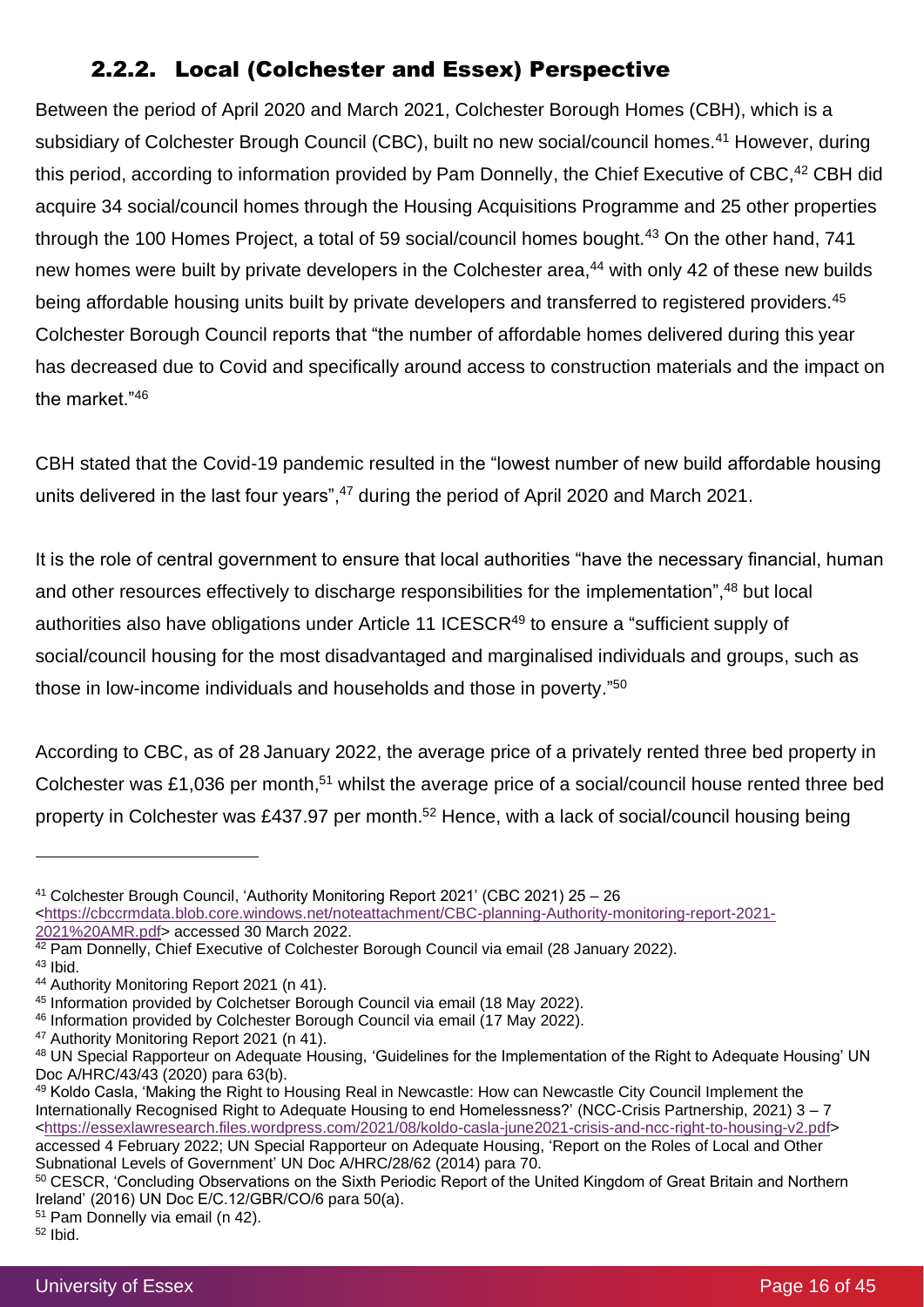### 2.2.2. Local (Colchester and Essex) Perspective

Between the period of April 2020 and March 2021, Colchester Borough Homes (CBH), which is a subsidiary of Colchester Brough Council (CBC), built no new social/council homes.<sup>41</sup> However, during this period, according to information provided by Pam Donnelly, the Chief Executive of CBC,<sup>42</sup> CBH did acquire 34 social/council homes through the Housing Acquisitions Programme and 25 other properties through the 100 Homes Project, a total of 59 social/council homes bought.<sup>43</sup> On the other hand, 741 new homes were built by private developers in the Colchester area,<sup>44</sup> with only 42 of these new builds being affordable housing units built by private developers and transferred to registered providers.<sup>45</sup> Colchester Borough Council reports that "the number of affordable homes delivered during this year has decreased due to Covid and specifically around access to construction materials and the impact on the market."<sup>46</sup>

CBH stated that the Covid-19 pandemic resulted in the "lowest number of new build affordable housing units delivered in the last four vears", <sup>47</sup> during the period of April 2020 and March 2021.

It is the role of central government to ensure that local authorities "have the necessary financial, human and other resources effectively to discharge responsibilities for the implementation",<sup>48</sup> but local authorities also have obligations under Article 11 ICESCR<sup>49</sup> to ensure a "sufficient supply of social/council housing for the most disadvantaged and marginalised individuals and groups, such as those in low-income individuals and households and those in poverty." 50

According to CBC, as of 28 January 2022, the average price of a privately rented three bed property in Colchester was £1,036 per month,<sup>51</sup> whilst the average price of a social/council house rented three bed property in Colchester was £437.97 per month.<sup>52</sup> Hence, with a lack of social/council housing being

<sup>41</sup> Colchester Brough Council, 'Authority Monitoring Report 2021' (CBC 2021) 25 – 26

[<sup>&</sup>lt;https://cbccrmdata.blob.core.windows.net/noteattachment/CBC-planning-Authority-monitoring-report-2021-](https://cbccrmdata.blob.core.windows.net/noteattachment/CBC-planning-Authority-monitoring-report-2021-2021%20AMR.pdf) [2021%20AMR.pdf>](https://cbccrmdata.blob.core.windows.net/noteattachment/CBC-planning-Authority-monitoring-report-2021-2021%20AMR.pdf) accessed 30 March 2022.

 $42$  Pam Donnelly, Chief Executive of Colchester Borough Council via email (28 January 2022).  $43$  Ibid.

<sup>44</sup> Authority Monitoring Report 2021 (n 41).

<sup>45</sup> Information provided by Colchetser Borough Council via email (18 May 2022).

<sup>&</sup>lt;sup>46</sup> Information provided by Colchester Borough Council via email (17 May 2022).

<sup>&</sup>lt;sup>47</sup> Authority Monitoring Report 2021 (n 41).

<sup>48</sup> UN Special Rapporteur on Adequate Housing, 'Guidelines for the Implementation of the Right to Adequate Housing' UN Doc A/HRC/43/43 (2020) para 63(b).

<sup>49</sup> Koldo Casla, 'Making the Right to Housing Real in Newcastle: How can Newcastle City Council Implement the Internationally Recognised Right to Adequate Housing to end Homelessness?' (NCC-Crisis Partnership, 2021) 3 – 7 [<https://essexlawresearch.files.wordpress.com/2021/08/koldo-casla-june2021-crisis-and-ncc-right-to-housing-v2.pdf>](https://essexlawresearch.files.wordpress.com/2021/08/koldo-casla-june2021-crisis-and-ncc-right-to-housing-v2.pdf) accessed 4 February 2022; UN Special Rapporteur on Adequate Housing, 'Report on the Roles of Local and Other Subnational Levels of Government' UN Doc A/HRC/28/62 (2014) para 70.

<sup>50</sup> CESCR, 'Concluding Observations on the Sixth Periodic Report of the United Kingdom of Great Britain and Northern Ireland' (2016) UN Doc E/C.12/GBR/CO/6 para 50(a).

<sup>51</sup> Pam Donnelly via email (n 42).

 $52$  Ibid.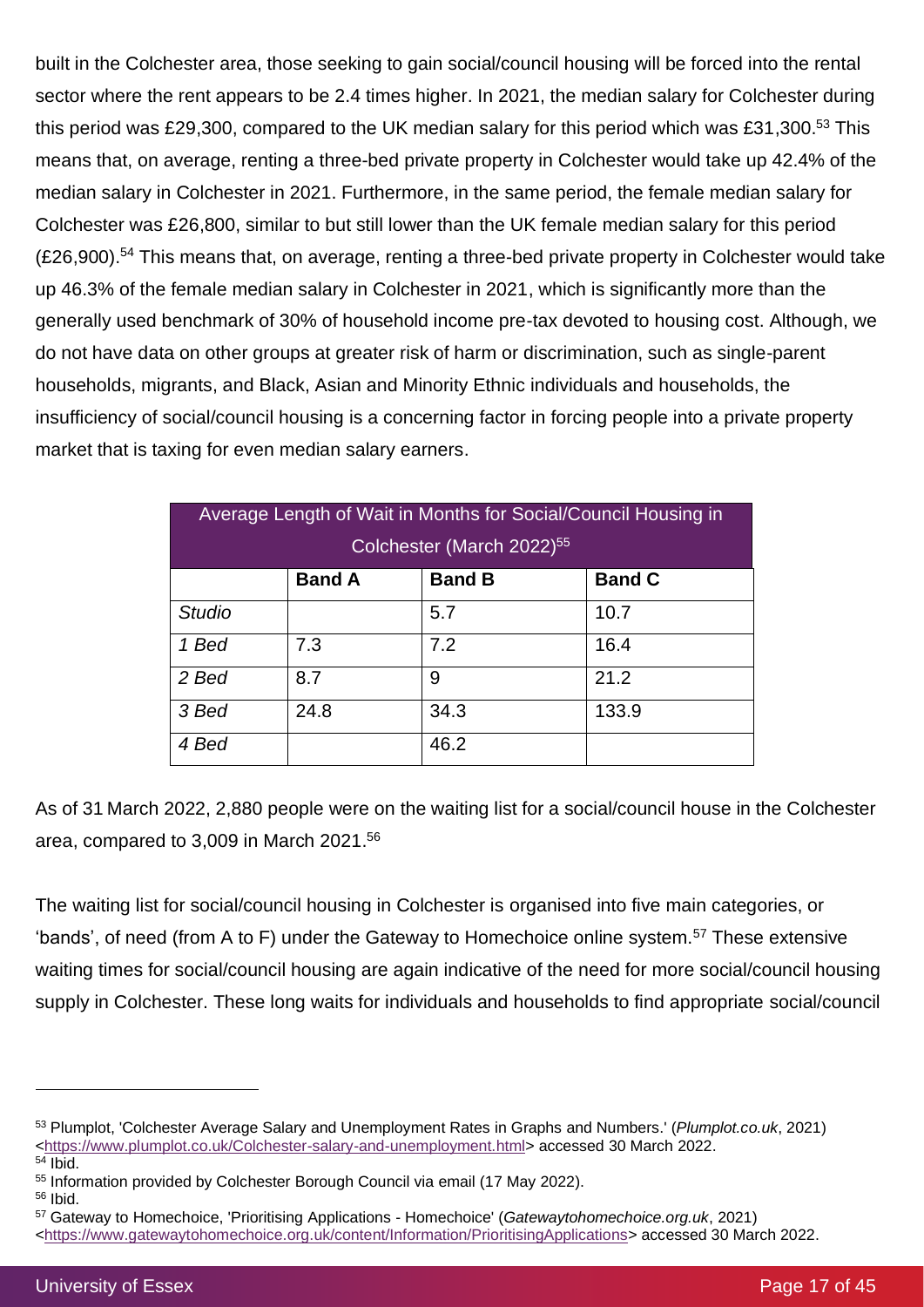built in the Colchester area, those seeking to gain social/council housing will be forced into the rental sector where the rent appears to be 2.4 times higher. In 2021, the median salary for Colchester during this period was £29,300, compared to the UK median salary for this period which was £31,300.<sup>53</sup> This means that, on average, renting a three-bed private property in Colchester would take up 42.4% of the median salary in Colchester in 2021. Furthermore, in the same period, the female median salary for Colchester was £26,800, similar to but still lower than the UK female median salary for this period (£26,900).<sup>54</sup> This means that, on average, renting a three-bed private property in Colchester would take up 46.3% of the female median salary in Colchester in 2021, which is significantly more than the generally used benchmark of 30% of household income pre-tax devoted to housing cost. Although, we do not have data on other groups at greater risk of harm or discrimination, such as single-parent households, migrants, and Black, Asian and Minority Ethnic individuals and households, the insufficiency of social/council housing is a concerning factor in forcing people into a private property market that is taxing for even median salary earners.

| Average Length of Wait in Months for Social/Council Housing in |               |               |               |  |
|----------------------------------------------------------------|---------------|---------------|---------------|--|
| Colchester (March 2022) <sup>55</sup>                          |               |               |               |  |
|                                                                | <b>Band A</b> | <b>Band B</b> | <b>Band C</b> |  |
| <b>Studio</b>                                                  |               | 5.7           | 10.7          |  |
| 1 Bed                                                          | 7.3           | 7.2           | 16.4          |  |
| 2 Bed                                                          | 8.7           | 9             | 21.2          |  |
| 3 Bed                                                          | 24.8          | 34.3          | 133.9         |  |
| 4 Bed                                                          |               | 46.2          |               |  |

As of 31 March 2022, 2,880 people were on the waiting list for a social/council house in the Colchester area, compared to 3,009 in March 2021. 56

The waiting list for social/council housing in Colchester is organised into five main categories, or 'bands', of need (from A to F) under the Gateway to Homechoice online system.<sup>57</sup> These extensive waiting times for social/council housing are again indicative of the need for more social/council housing supply in Colchester. These long waits for individuals and households to find appropriate social/council

<sup>53</sup> Plumplot, 'Colchester Average Salary and Unemployment Rates in Graphs and Numbers.' (*Plumplot.co.uk*, 2021) [<https://www.plumplot.co.uk/Colchester-salary-and-unemployment.html>](https://www.plumplot.co.uk/Colchester-salary-and-unemployment.html) accessed 30 March 2022.

 $54$  Ibid.

<sup>55</sup> Information provided by Colchester Borough Council via email (17 May 2022).

<sup>56</sup> Ibid.

<sup>57</sup> Gateway to Homechoice, 'Prioritising Applications - Homechoice' (*Gatewaytohomechoice.org.uk*, 2021) [<https://www.gatewaytohomechoice.org.uk/content/Information/PrioritisingApplications>](https://www.gatewaytohomechoice.org.uk/content/Information/PrioritisingApplications) accessed 30 March 2022.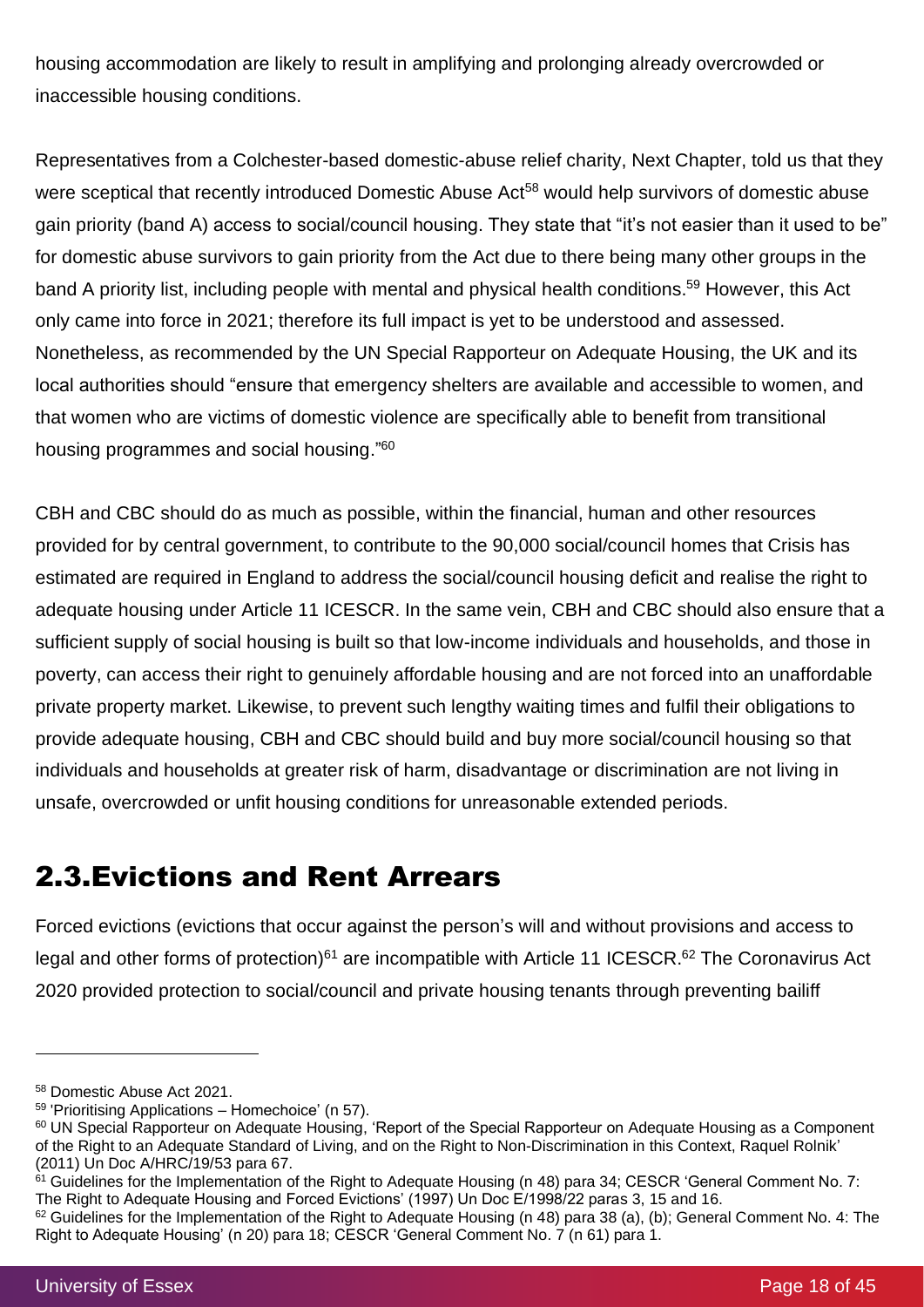housing accommodation are likely to result in amplifying and prolonging already overcrowded or inaccessible housing conditions.

Representatives from a Colchester-based domestic-abuse relief charity, Next Chapter, told us that they were sceptical that recently introduced Domestic Abuse Act<sup>58</sup> would help survivors of domestic abuse gain priority (band A) access to social/council housing. They state that "it's not easier than it used to be" for domestic abuse survivors to gain priority from the Act due to there being many other groups in the band A priority list, including people with mental and physical health conditions.<sup>59</sup> However, this Act only came into force in 2021; therefore its full impact is yet to be understood and assessed. Nonetheless, as recommended by the UN Special Rapporteur on Adequate Housing, the UK and its local authorities should "ensure that emergency shelters are available and accessible to women, and that women who are victims of domestic violence are specifically able to benefit from transitional housing programmes and social housing."<sup>60</sup>

CBH and CBC should do as much as possible, within the financial, human and other resources provided for by central government, to contribute to the 90,000 social/council homes that Crisis has estimated are required in England to address the social/council housing deficit and realise the right to adequate housing under Article 11 ICESCR. In the same vein, CBH and CBC should also ensure that a sufficient supply of social housing is built so that low-income individuals and households, and those in poverty, can access their right to genuinely affordable housing and are not forced into an unaffordable private property market. Likewise, to prevent such lengthy waiting times and fulfil their obligations to provide adequate housing, CBH and CBC should build and buy more social/council housing so that individuals and households at greater risk of harm, disadvantage or discrimination are not living in unsafe, overcrowded or unfit housing conditions for unreasonable extended periods.

### <span id="page-17-0"></span>2.3.Evictions and Rent Arrears

Forced evictions (evictions that occur against the person's will and without provisions and access to legal and other forms of protection)<sup>61</sup> are incompatible with Article 11 ICESCR.<sup>62</sup> The Coronavirus Act 2020 provided protection to social/council and private housing tenants through preventing bailiff

<sup>58</sup> Domestic Abuse Act 2021.

<sup>59</sup> 'Prioritising Applications – Homechoice' (n 57).

<sup>&</sup>lt;sup>60</sup> UN Special Rapporteur on Adequate Housing, 'Report of the Special Rapporteur on Adequate Housing as a Component of the Right to an Adequate Standard of Living, and on the Right to Non-Discrimination in this Context, Raquel Rolnik' (2011) Un Doc A/HRC/19/53 para 67.

<sup>&</sup>lt;sup>61</sup> Guidelines for the Implementation of the Right to Adequate Housing (n 48) para 34; CESCR 'General Comment No. 7: The Right to Adequate Housing and Forced Evictions' (1997) Un Doc E/1998/22 paras 3, 15 and 16.

<sup>&</sup>lt;sup>62</sup> Guidelines for the Implementation of the Right to Adequate Housing (n 48) para 38 (a), (b); General Comment No. 4: The Right to Adequate Housing' (n 20) para 18; CESCR 'General Comment No. 7 (n 61) para 1.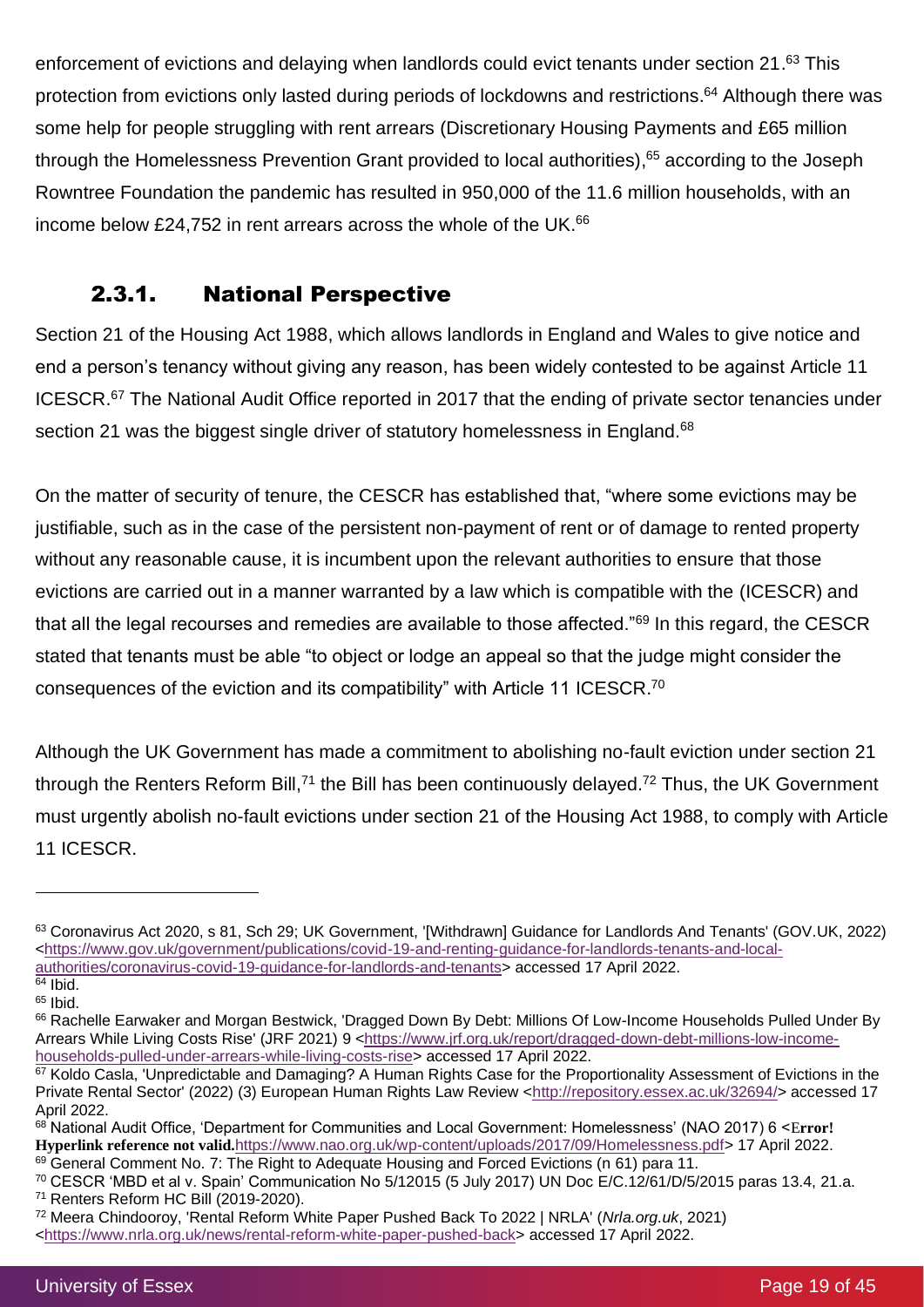enforcement of evictions and delaying when landlords could evict tenants under section 21.<sup>63</sup> This protection from evictions only lasted during periods of lockdowns and restrictions. <sup>64</sup> Although there was some help for people struggling with rent arrears (Discretionary Housing Payments and £65 million through the Homelessness Prevention Grant provided to local authorities), <sup>65</sup> according to the Joseph Rowntree Foundation the pandemic has resulted in 950,000 of the 11.6 million households, with an income below £24,752 in rent arrears across the whole of the UK.<sup>66</sup>

#### 2.3.1. National Perspective

Section 21 of the Housing Act 1988, which allows landlords in England and Wales to give notice and end a person's tenancy without giving any reason, has been widely contested to be against Article 11 ICESCR.<sup>67</sup> The National Audit Office reported in 2017 that the ending of private sector tenancies under section 21 was the biggest single driver of statutory homelessness in England.<sup>68</sup>

On the matter of security of tenure, the CESCR has established that, "where some evictions may be justifiable, such as in the case of the persistent non-payment of rent or of damage to rented property without any reasonable cause, it is incumbent upon the relevant authorities to ensure that those evictions are carried out in a manner warranted by a law which is compatible with the (ICESCR) and that all the legal recourses and remedies are available to those affected."<sup>69</sup> In this regard, the CESCR stated that tenants must be able "to object or lodge an appeal so that the judge might consider the consequences of the eviction and its compatibility" with Article 11 ICESCR.<sup>70</sup>

Although the UK Government has made a commitment to abolishing no-fault eviction under section 21 through the Renters Reform Bill,<sup>71</sup> the Bill has been continuously delayed.<sup>72</sup> Thus, the UK Government must urgently abolish no-fault evictions under section 21 of the Housing Act 1988, to comply with Article 11 ICESCR.

 $69$  General Comment No. 7: The Right to Adequate Housing and Forced Evictions (n 61) para 11.

<sup>63</sup> Coronavirus Act 2020, s 81, Sch 29; UK Government, '[Withdrawn] Guidance for Landlords And Tenants' (GOV.UK, 2022) [<https://www.gov.uk/government/publications/covid-19-and-renting-guidance-for-landlords-tenants-and-local](https://www.gov.uk/government/publications/covid-19-and-renting-guidance-for-landlords-tenants-and-local-authorities/coronavirus-covid-19-guidance-for-landlords-and-tenants)[authorities/coronavirus-covid-19-guidance-for-landlords-and-tenants>](https://www.gov.uk/government/publications/covid-19-and-renting-guidance-for-landlords-tenants-and-local-authorities/coronavirus-covid-19-guidance-for-landlords-and-tenants) accessed 17 April 2022.

<sup>&</sup>lt;sup>64</sup> Ibid.  $65$  Ibid.

<sup>66</sup> Rachelle Earwaker and Morgan Bestwick, 'Dragged Down By Debt: Millions Of Low-Income Households Pulled Under By Arrears While Living Costs Rise' (JRF 2021) 9 [<https://www.jrf.org.uk/report/dragged-down-debt-millions-low-income](https://www.jrf.org.uk/report/dragged-down-debt-millions-low-income-households-pulled-under-arrears-while-living-costs-rise)[households-pulled-under-arrears-while-living-costs-rise>](https://www.jrf.org.uk/report/dragged-down-debt-millions-low-income-households-pulled-under-arrears-while-living-costs-rise) accessed 17 April 2022.

<sup>67</sup> Koldo Casla, 'Unpredictable and Damaging? A Human Rights Case for the Proportionality Assessment of Evictions in the Private Rental Sector' (2022) (3) European Human Rights Law Review [<http://repository.essex.ac.uk/32694/>](http://repository.essex.ac.uk/32694/) accessed 17 April 2022.

<sup>68</sup> National Audit Office, 'Department for Communities and Local Government: Homelessness' (NAO 2017) 6 <E**rror! Hyperlink reference not valid.**[https://www.nao.org.uk/wp-content/uploads/2017/09/Homelessness.pdf>](https://www.nao.org.uk/wp-content/uploads/2017/09/Homelessness.pdf) 17 April 2022.

<sup>70</sup> CESCR 'MBD et al v. Spain' Communication No 5/12015 (5 July 2017) UN Doc E/C.12/61/D/5/2015 paras 13.4, 21.a. <sup>71</sup> Renters Reform HC Bill (2019-2020).

<sup>72</sup> Meera Chindooroy, 'Rental Reform White Paper Pushed Back To 2022 | NRLA' (*Nrla.org.uk*, 2021) [<https://www.nrla.org.uk/news/rental-reform-white-paper-pushed-back>](https://www.nrla.org.uk/news/rental-reform-white-paper-pushed-back) accessed 17 April 2022.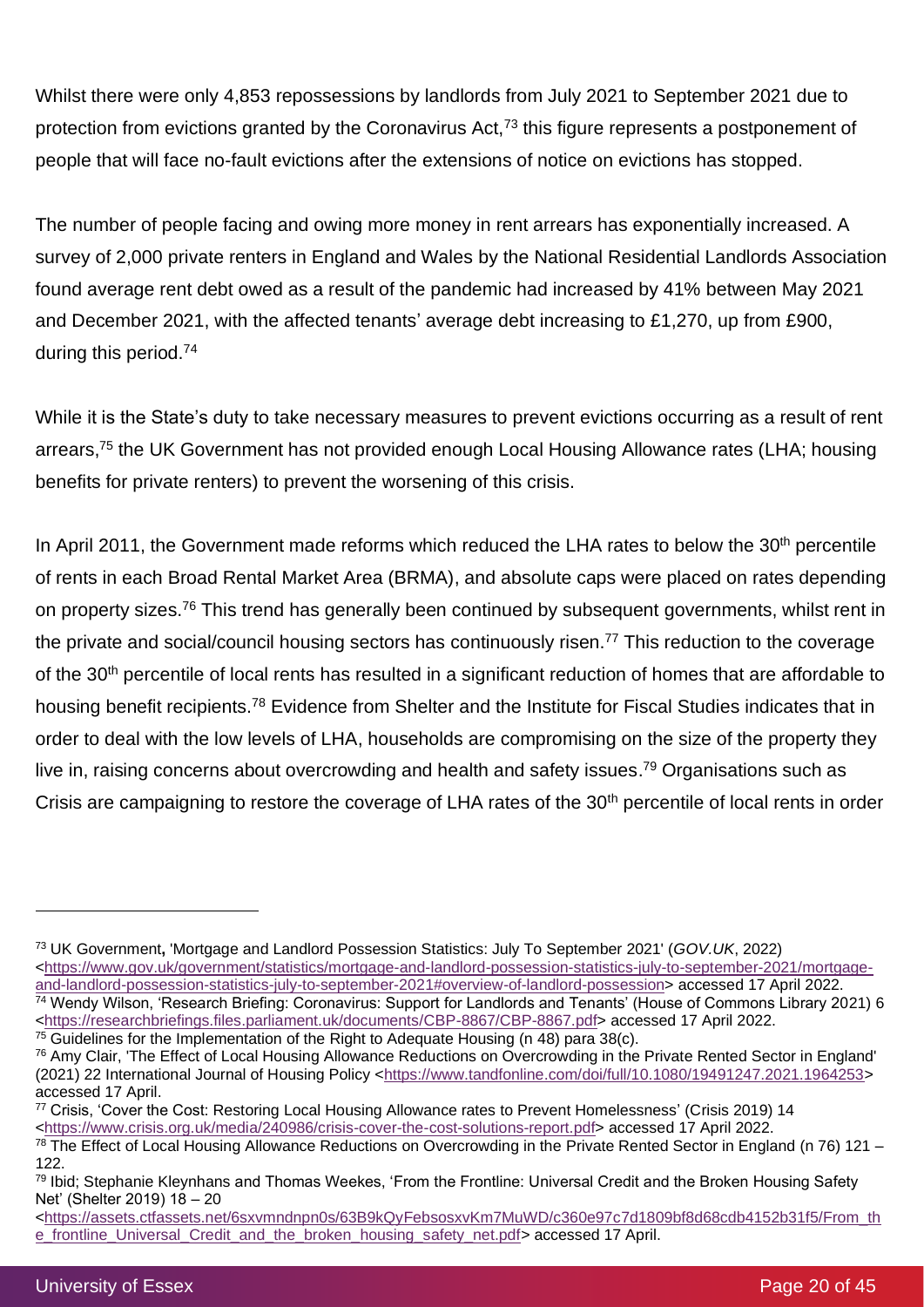Whilst there were only 4,853 repossessions by landlords from July 2021 to September 2021 due to protection from evictions granted by the Coronavirus Act,<sup>73</sup> this figure represents a postponement of people that will face no-fault evictions after the extensions of notice on evictions has stopped.

The number of people facing and owing more money in rent arrears has exponentially increased. A survey of 2,000 private renters in England and Wales by the National Residential Landlords Association found average rent debt owed as a result of the pandemic had increased by 41% between May 2021 and December 2021, with the affected tenants' average debt increasing to £1,270, up from £900, during this period.<sup>74</sup>

While it is the State's duty to take necessary measures to prevent evictions occurring as a result of rent arrears,<sup>75</sup> the UK Government has not provided enough Local Housing Allowance rates (LHA; housing benefits for private renters) to prevent the worsening of this crisis.

In April 2011, the Government made reforms which reduced the LHA rates to below the 30<sup>th</sup> percentile of rents in each Broad Rental Market Area (BRMA), and absolute caps were placed on rates depending on property sizes.<sup>76</sup> This trend has generally been continued by subsequent governments, whilst rent in the private and social/council housing sectors has continuously risen.<sup>77</sup> This reduction to the coverage of the 30<sup>th</sup> percentile of local rents has resulted in a significant reduction of homes that are affordable to housing benefit recipients.<sup>78</sup> Evidence from Shelter and the Institute for Fiscal Studies indicates that in order to deal with the low levels of LHA, households are compromising on the size of the property they live in, raising concerns about overcrowding and health and safety issues.<sup>79</sup> Organisations such as Crisis are campaigning to restore the coverage of LHA rates of the 30<sup>th</sup> percentile of local rents in order

<sup>73</sup> UK Government**,** 'Mortgage and Landlord Possession Statistics: July To September 2021' (*GOV.UK*, 2022) [<https://www.gov.uk/government/statistics/mortgage-and-landlord-possession-statistics-july-to-september-2021/mortgage-](https://www.gov.uk/government/statistics/mortgage-and-landlord-possession-statistics-july-to-september-2021/mortgage-and-landlord-possession-statistics-july-to-september-2021#overview-of-landlord-possession)

[and-landlord-possession-statistics-july-to-september-2021#overview-of-landlord-possession>](https://www.gov.uk/government/statistics/mortgage-and-landlord-possession-statistics-july-to-september-2021/mortgage-and-landlord-possession-statistics-july-to-september-2021#overview-of-landlord-possession) accessed 17 April 2022. <sup>74</sup> Wendy Wilson, 'Research Briefing: Coronavirus: Support for Landlords and Tenants' (House of Commons Library 2021) 6 [<https://researchbriefings.files.parliament.uk/documents/CBP-8867/CBP-8867.pdf>](https://researchbriefings.files.parliament.uk/documents/CBP-8867/CBP-8867.pdf) accessed 17 April 2022.

 $75$  Guidelines for the Implementation of the Right to Adequate Housing (n 48) para 38(c).

<sup>&</sup>lt;sup>76</sup> Amy Clair, 'The Effect of Local Housing Allowance Reductions on Overcrowding in the Private Rented Sector in England' (2021) 22 International Journal of Housing Policy [<https://www.tandfonline.com/doi/full/10.1080/19491247.2021.1964253>](https://www.tandfonline.com/doi/full/10.1080/19491247.2021.1964253) accessed 17 April.

<sup>77</sup> Crisis, 'Cover the Cost: Restoring Local Housing Allowance rates to Prevent Homelessness' (Crisis 2019) 14 [<https://www.crisis.org.uk/media/240986/crisis-cover-the-cost-solutions-report.pdf>](https://www.crisis.org.uk/media/240986/crisis-cover-the-cost-solutions-report.pdf) accessed 17 April 2022.

 $78$  The Effect of Local Housing Allowance Reductions on Overcrowding in the Private Rented Sector in England (n 76) 121 – 122.

<sup>79</sup> Ibid; Stephanie Kleynhans and Thomas Weekes, 'From the Frontline: Universal Credit and the Broken Housing Safety Net' (Shelter 2019) 18 – 20

[<sup>&</sup>lt;https://assets.ctfassets.net/6sxvmndnpn0s/63B9kQyFebsosxvKm7MuWD/c360e97c7d1809bf8d68cdb4152b31f5/From\\_th](https://assets.ctfassets.net/6sxvmndnpn0s/63B9kQyFebsosxvKm7MuWD/c360e97c7d1809bf8d68cdb4152b31f5/From_the_frontline_Universal_Credit_and_the_broken_housing_safety_net.pdf) [e\\_frontline\\_Universal\\_Credit\\_and\\_the\\_broken\\_housing\\_safety\\_net.pdf>](https://assets.ctfassets.net/6sxvmndnpn0s/63B9kQyFebsosxvKm7MuWD/c360e97c7d1809bf8d68cdb4152b31f5/From_the_frontline_Universal_Credit_and_the_broken_housing_safety_net.pdf) accessed 17 April.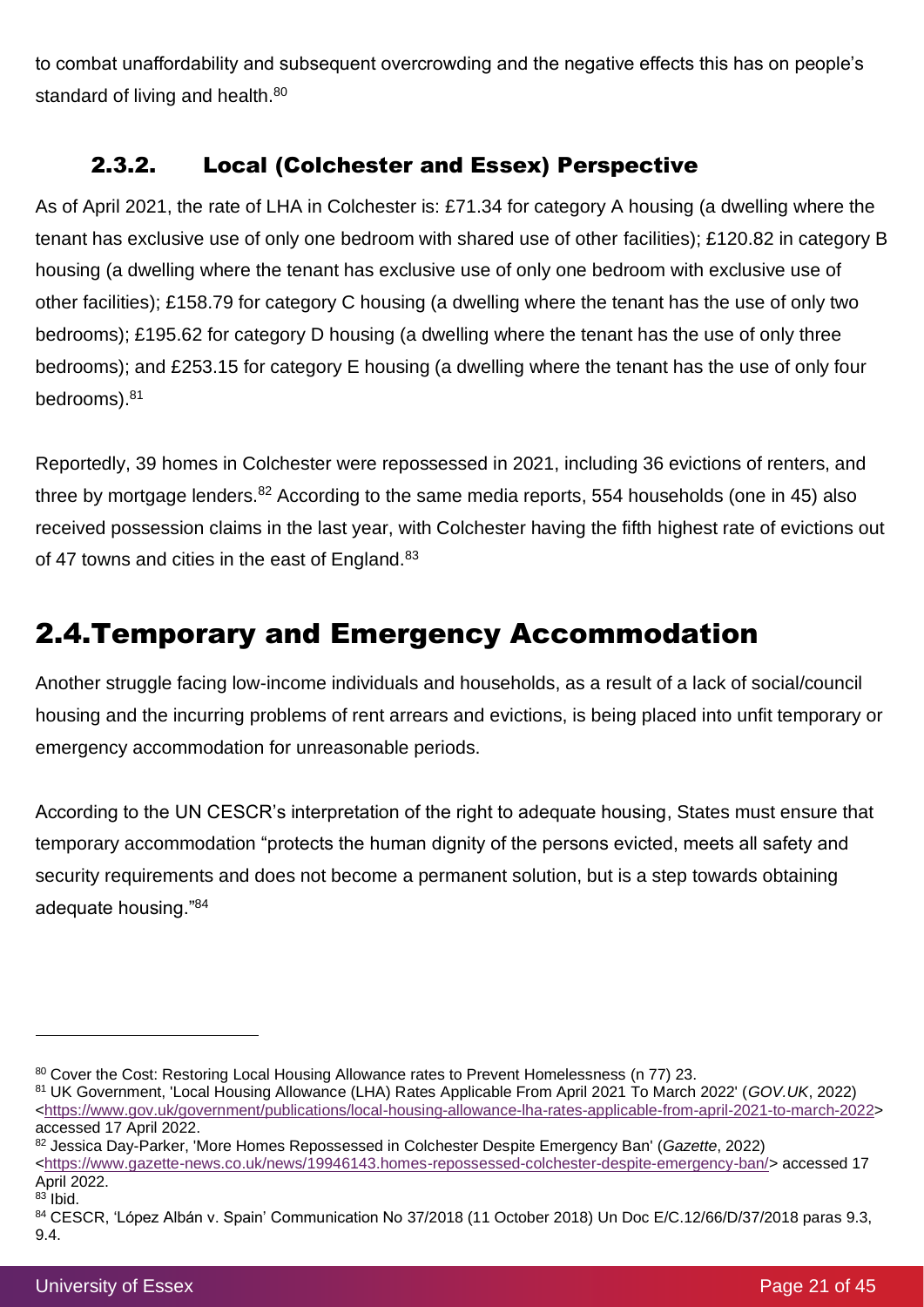to combat unaffordability and subsequent overcrowding and the negative effects this has on people's standard of living and health.<sup>80</sup>

### 2.3.2. Local (Colchester and Essex) Perspective

As of April 2021, the rate of LHA in Colchester is: £71.34 for category A housing (a dwelling where the tenant has exclusive use of only one bedroom with shared use of other facilities); £120.82 in category B housing (a dwelling where the tenant has exclusive use of only one bedroom with exclusive use of other facilities); £158.79 for category C housing (a dwelling where the tenant has the use of only two bedrooms); £195.62 for category D housing (a dwelling where the tenant has the use of only three bedrooms); and £253.15 for category E housing (a dwelling where the tenant has the use of only four bedrooms).<sup>81</sup>

Reportedly, 39 homes in Colchester were repossessed in 2021, including 36 evictions of renters, and three by mortgage lenders.<sup>82</sup> According to the same media reports, 554 households (one in 45) also received possession claims in the last year, with Colchester having the fifth highest rate of evictions out of 47 towns and cities in the east of England.<sup>83</sup>

# <span id="page-20-0"></span>2.4.Temporary and Emergency Accommodation

Another struggle facing low-income individuals and households, as a result of a lack of social/council housing and the incurring problems of rent arrears and evictions, is being placed into unfit temporary or emergency accommodation for unreasonable periods.

According to the UN CESCR's interpretation of the right to adequate housing, States must ensure that temporary accommodation "protects the human dignity of the persons evicted, meets all safety and security requirements and does not become a permanent solution, but is a step towards obtaining adequate housing."<sup>84</sup>

<sup>80</sup> Cover the Cost: Restoring Local Housing Allowance rates to Prevent Homelessness (n 77) 23.

<sup>81</sup> UK Government, 'Local Housing Allowance (LHA) Rates Applicable From April 2021 To March 2022' (*GOV.UK*, 2022) [<https://www.gov.uk/government/publications/local-housing-allowance-lha-rates-applicable-from-april-2021-to-march-2022>](https://www.gov.uk/government/publications/local-housing-allowance-lha-rates-applicable-from-april-2021-to-march-2022) accessed 17 April 2022.

<sup>82</sup> Jessica Day-Parker, 'More Homes Repossessed in Colchester Despite Emergency Ban' (*Gazette*, 2022)

[<sup>&</sup>lt;https://www.gazette-news.co.uk/news/19946143.homes-repossessed-colchester-despite-emergency-ban/>](https://www.gazette-news.co.uk/news/19946143.homes-repossessed-colchester-despite-emergency-ban/) accessed 17 April 2022.

 $83$  Ibid.

<sup>84</sup> CESCR, 'López Albán v. Spain' Communication No 37/2018 (11 October 2018) Un Doc E/C.12/66/D/37/2018 paras 9.3, 9.4.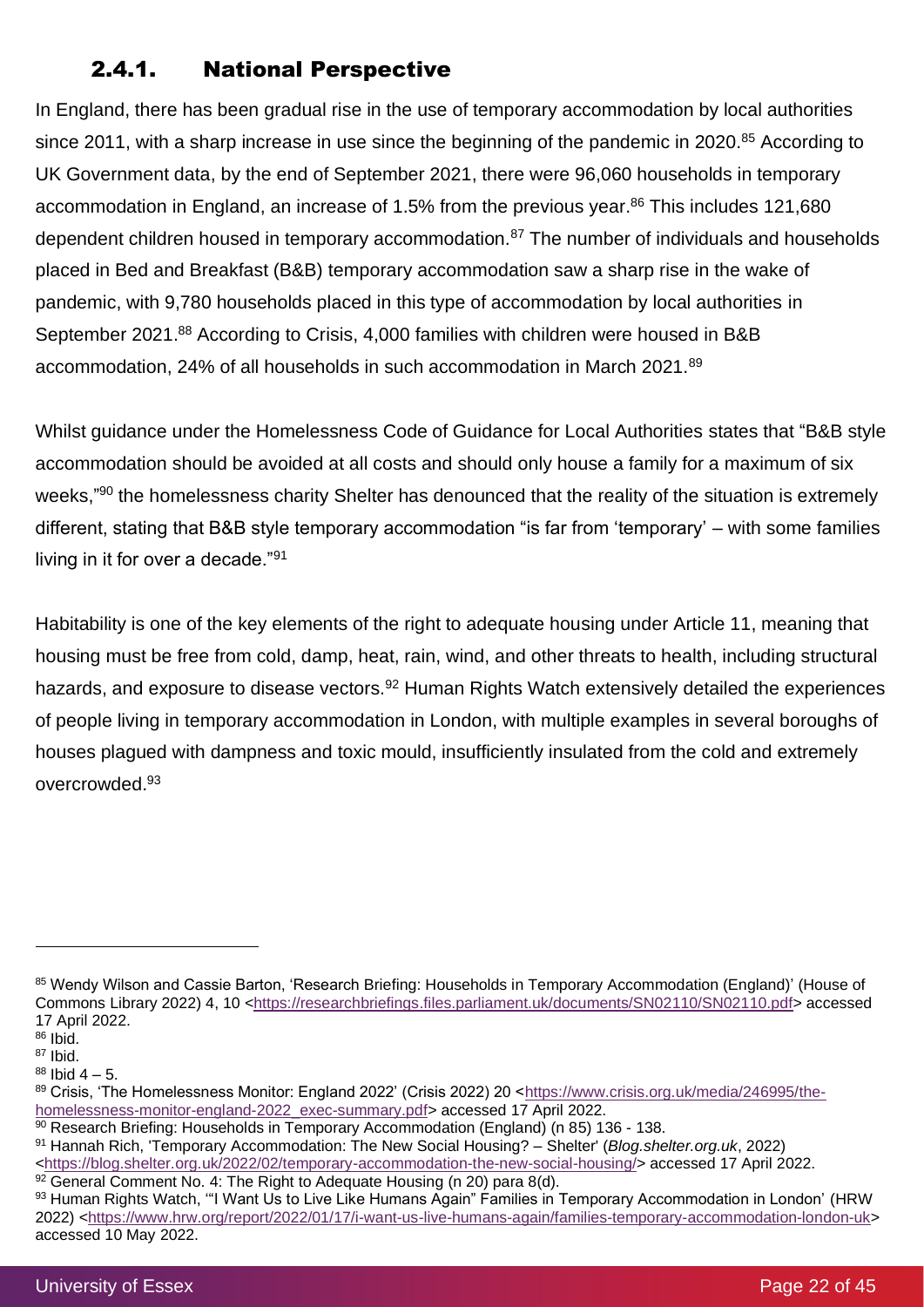#### 2.4.1. National Perspective

In England, there has been gradual rise in the use of temporary accommodation by local authorities since 2011, with a sharp increase in use since the beginning of the pandemic in 2020.<sup>85</sup> According to UK Government data, by the end of September 2021, there were 96,060 households in temporary accommodation in England, an increase of 1.5% from the previous year.<sup>86</sup> This includes 121,680 dependent children housed in temporary accommodation.<sup>87</sup> The number of individuals and households placed in Bed and Breakfast (B&B) temporary accommodation saw a sharp rise in the wake of pandemic, with 9,780 households placed in this type of accommodation by local authorities in September 2021.<sup>88</sup> According to Crisis, 4,000 families with children were housed in B&B accommodation, 24% of all households in such accommodation in March 2021.<sup>89</sup>

Whilst auidance under the Homelessness Code of Guidance for Local Authorities states that "B&B style accommodation should be avoided at all costs and should only house a family for a maximum of six weeks,"<sup>90</sup> the homelessness charity Shelter has denounced that the reality of the situation is extremely different, stating that B&B style temporary accommodation "is far from 'temporary' – with some families living in it for over a decade."<sup>91</sup>

Habitability is one of the key elements of the right to adequate housing under Article 11, meaning that housing must be free from cold, damp, heat, rain, wind, and other threats to health, including structural hazards, and exposure to disease vectors.<sup>92</sup> Human Rights Watch extensively detailed the experiences of people living in temporary accommodation in London, with multiple examples in several boroughs of houses plagued with dampness and toxic mould, insufficiently insulated from the cold and extremely overcrowded.<sup>93</sup>

<sup>85</sup> Wendy Wilson and Cassie Barton, 'Research Briefing: Households in Temporary Accommodation (England)' (House of Commons Library 2022) 4, 10 [<https://researchbriefings.files.parliament.uk/documents/SN02110/SN02110.pdf>](https://researchbriefings.files.parliament.uk/documents/SN02110/SN02110.pdf) accessed 17 April 2022.

 $86$  Ibid.

 $87$  Ibid.

 $88$  Ibid 4 – 5.

<sup>89</sup> Crisis, 'The Homelessness Monitor: England 2022' (Crisis 2022) 20 [<https://www.crisis.org.uk/media/246995/the](https://www.crisis.org.uk/media/246995/the-homelessness-monitor-england-2022_exec-summary.pdf)[homelessness-monitor-england-2022\\_exec-summary.pdf>](https://www.crisis.org.uk/media/246995/the-homelessness-monitor-england-2022_exec-summary.pdf) accessed 17 April 2022.

<sup>90</sup> Research Briefing: Households in Temporary Accommodation (England) (n 85) 136 - 138.

<sup>91</sup> Hannah Rich, 'Temporary Accommodation: The New Social Housing? – Shelter' (*Blog.shelter.org.uk*, 2022) [<https://blog.shelter.org.uk/2022/02/temporary-accommodation-the-new-social-housing/>](https://blog.shelter.org.uk/2022/02/temporary-accommodation-the-new-social-housing/) accessed 17 April 2022.

 $92$  General Comment No. 4: The Right to Adequate Housing (n 20) para 8(d).

<sup>93</sup> Human Rights Watch, "I Want Us to Live Like Humans Again" Families in Temporary Accommodation in London' (HRW 2022) [<https://www.hrw.org/report/2022/01/17/i-want-us-live-humans-again/families-temporary-accommodation-london-uk>](https://www.hrw.org/report/2022/01/17/i-want-us-live-humans-again/families-temporary-accommodation-london-uk) accessed 10 May 2022.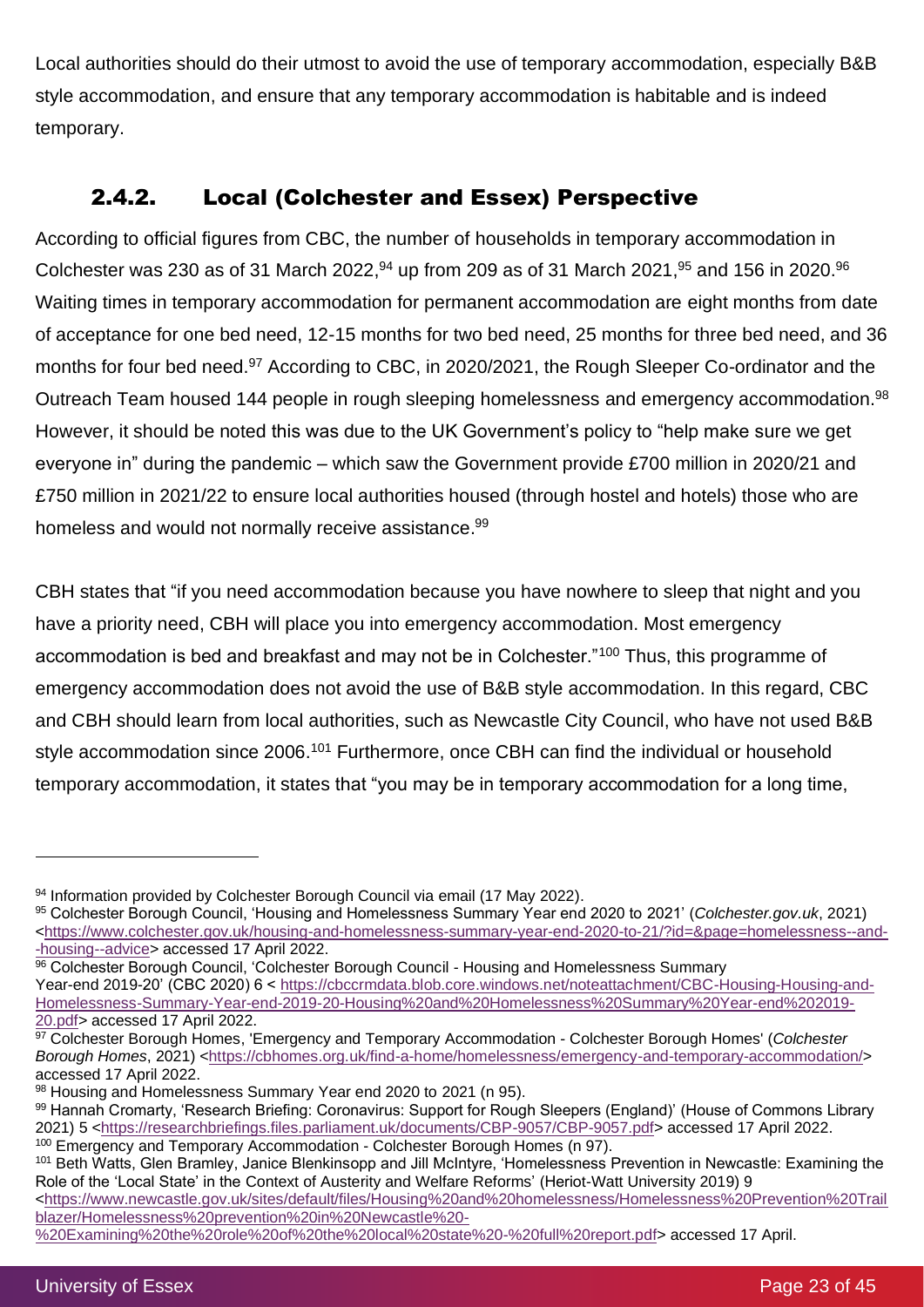Local authorities should do their utmost to avoid the use of temporary accommodation, especially B&B style accommodation, and ensure that any temporary accommodation is habitable and is indeed temporary.

### 2.4.2. Local (Colchester and Essex) Perspective

According to official figures from CBC, the number of households in temporary accommodation in Colchester was 230 as of 31 March 2022,<sup>94</sup> up from 209 as of 31 March 2021,<sup>95</sup> and 156 in 2020.<sup>96</sup> Waiting times in temporary accommodation for permanent accommodation are eight months from date of acceptance for one bed need, 12-15 months for two bed need, 25 months for three bed need, and 36 months for four bed need.<sup>97</sup> According to CBC, in 2020/2021, the Rough Sleeper Co-ordinator and the Outreach Team housed 144 people in rough sleeping homelessness and emergency accommodation.<sup>98</sup> However, it should be noted this was due to the UK Government's policy to "help make sure we get everyone in" during the pandemic – which saw the Government provide £700 million in 2020/21 and £750 million in 2021/22 to ensure local authorities housed (through hostel and hotels) those who are homeless and would not normally receive assistance.<sup>99</sup>

CBH states that "if you need accommodation because you have nowhere to sleep that night and you have a priority need, CBH will place you into emergency accommodation. Most emergency accommodation is bed and breakfast and may not be in Colchester."<sup>100</sup> Thus, this programme of emergency accommodation does not avoid the use of B&B style accommodation. In this regard, CBC and CBH should learn from local authorities, such as Newcastle City Council, who have not used B&B style accommodation since 2006.<sup>101</sup> Furthermore, once CBH can find the individual or household temporary accommodation, it states that "you may be in temporary accommodation for a long time,

 $94$  Information provided by Colchester Borough Council via email (17 May 2022).

<sup>95</sup> Colchester Borough Council, 'Housing and Homelessness Summary Year end 2020 to 2021' (*Colchester.gov.uk*, 2021) [<https://www.colchester.gov.uk/housing-and-homelessness-summary-year-end-2020-to-21/?id=&page=homelessness--and-](https://www.colchester.gov.uk/housing-and-homelessness-summary-year-end-2020-to-21/?id=&page=homelessness--and--housing--advice) [-housing--advice>](https://www.colchester.gov.uk/housing-and-homelessness-summary-year-end-2020-to-21/?id=&page=homelessness--and--housing--advice) accessed 17 April 2022.

<sup>&</sup>lt;sup>96</sup> Colchester Borough Council, 'Colchester Borough Council - Housing and Homelessness Summary Year-end 2019-20' (CBC 2020) 6 < [https://cbccrmdata.blob.core.windows.net/noteattachment/CBC-Housing-Housing-and-](https://cbccrmdata.blob.core.windows.net/noteattachment/CBC-Housing-Housing-and-Homelessness-Summary-Year-end-2019-20-Housing%20and%20Homelessness%20Summary%20Year-end%202019-20.pdf)[Homelessness-Summary-Year-end-2019-20-Housing%20and%20Homelessness%20Summary%20Year-end%202019-](https://cbccrmdata.blob.core.windows.net/noteattachment/CBC-Housing-Housing-and-Homelessness-Summary-Year-end-2019-20-Housing%20and%20Homelessness%20Summary%20Year-end%202019-20.pdf) [20.pdf>](https://cbccrmdata.blob.core.windows.net/noteattachment/CBC-Housing-Housing-and-Homelessness-Summary-Year-end-2019-20-Housing%20and%20Homelessness%20Summary%20Year-end%202019-20.pdf) accessed 17 April 2022.

<sup>97</sup> Colchester Borough Homes, 'Emergency and Temporary Accommodation - Colchester Borough Homes' (*Colchester Borough Homes*, 2021) [<https://cbhomes.org.uk/find-a-home/homelessness/emergency-and-temporary-accommodation/>](https://cbhomes.org.uk/find-a-home/homelessness/emergency-and-temporary-accommodation/) accessed 17 April 2022.

<sup>98</sup> Housing and Homelessness Summary Year end 2020 to 2021 (n 95).

<sup>99</sup> Hannah Cromarty, 'Research Briefing: Coronavirus: Support for Rough Sleepers (England)' (House of Commons Library 2021) 5 [<https://researchbriefings.files.parliament.uk/documents/CBP-9057/CBP-9057.pdf>](https://researchbriefings.files.parliament.uk/documents/CBP-9057/CBP-9057.pdf) accessed 17 April 2022.

<sup>&</sup>lt;sup>100</sup> Emergency and Temporary Accommodation - Colchester Borough Homes (n 97).

<sup>101</sup> Beth Watts, Glen Bramley, Janice Blenkinsopp and Jill McIntyre, 'Homelessness Prevention in Newcastle: Examining the Role of the 'Local State' in the Context of Austerity and Welfare Reforms' (Heriot-Watt University 2019) 9

[<sup>&</sup>lt;https://www.newcastle.gov.uk/sites/default/files/Housing%20and%20homelessness/Homelessness%20Prevention%20Trail](https://www.newcastle.gov.uk/sites/default/files/Housing%20and%20homelessness/Homelessness%20Prevention%20Trailblazer/Homelessness%20prevention%20in%20Newcastle%20-%20Examining%20the%20role%20of%20the%20local%20state%20-%20full%20report.pdf) [blazer/Homelessness%20prevention%20in%20Newcastle%20-](https://www.newcastle.gov.uk/sites/default/files/Housing%20and%20homelessness/Homelessness%20Prevention%20Trailblazer/Homelessness%20prevention%20in%20Newcastle%20-%20Examining%20the%20role%20of%20the%20local%20state%20-%20full%20report.pdf)

[<sup>%20</sup>Examining%20the%20role%20of%20the%20local%20state%20-%20full%20report.pdf>](https://www.newcastle.gov.uk/sites/default/files/Housing%20and%20homelessness/Homelessness%20Prevention%20Trailblazer/Homelessness%20prevention%20in%20Newcastle%20-%20Examining%20the%20role%20of%20the%20local%20state%20-%20full%20report.pdf) accessed 17 April.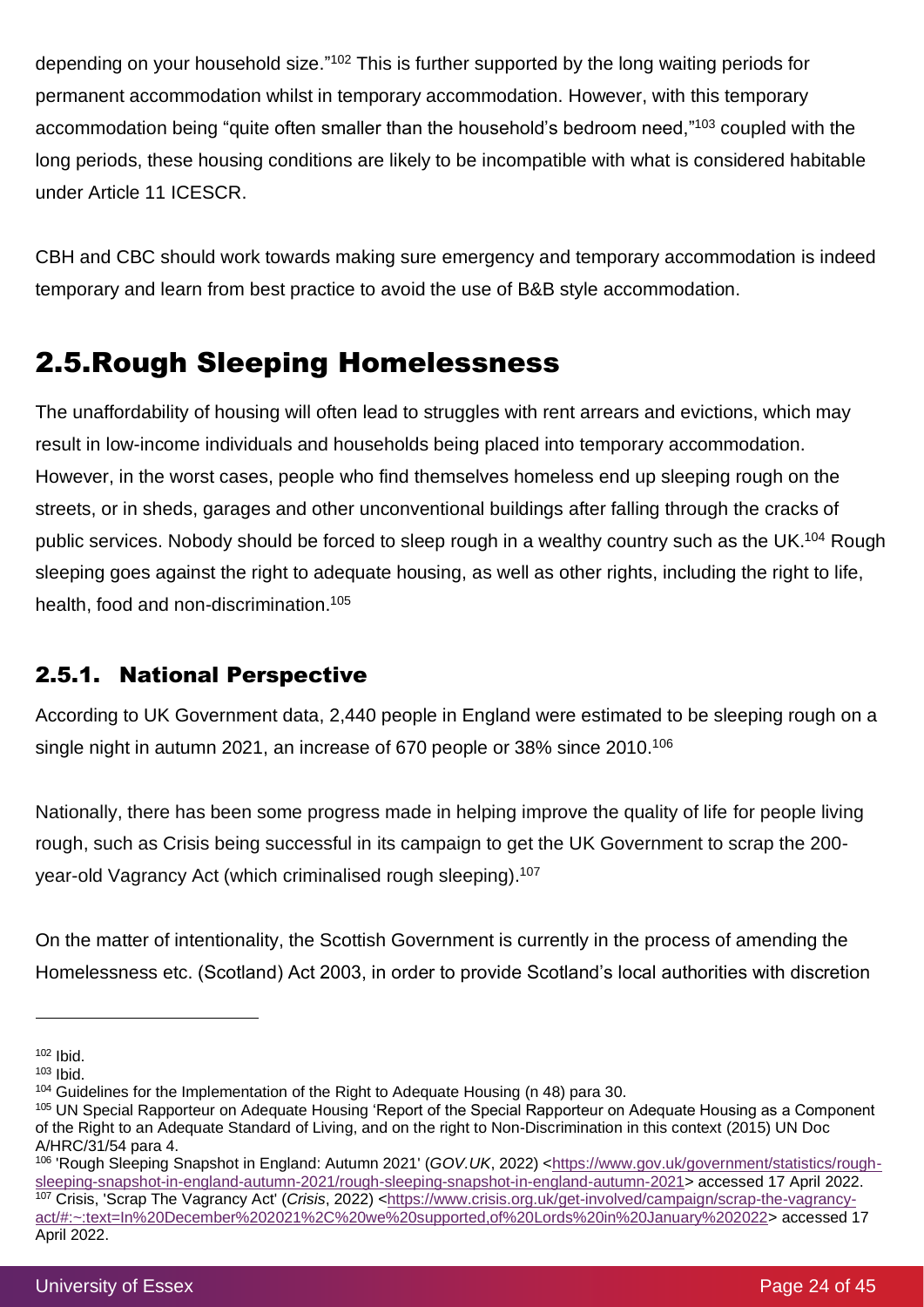depending on your household size."<sup>102</sup> This is further supported by the long waiting periods for permanent accommodation whilst in temporary accommodation. However, with this temporary accommodation being "quite often smaller than the household's bedroom need,"<sup>103</sup> coupled with the long periods, these housing conditions are likely to be incompatible with what is considered habitable under Article 11 ICESCR.

CBH and CBC should work towards making sure emergency and temporary accommodation is indeed temporary and learn from best practice to avoid the use of B&B style accommodation.

## <span id="page-23-0"></span>2.5.Rough Sleeping Homelessness

The unaffordability of housing will often lead to struggles with rent arrears and evictions, which may result in low-income individuals and households being placed into temporary accommodation. However, in the worst cases, people who find themselves homeless end up sleeping rough on the streets, or in sheds, garages and other unconventional buildings after falling through the cracks of public services. Nobody should be forced to sleep rough in a wealthy country such as the UK.<sup>104</sup> Rough sleeping goes against the right to adequate housing, as well as other rights, including the right to life, health, food and non-discrimination.<sup>105</sup>

### 2.5.1. National Perspective

According to UK Government data, 2,440 people in England were estimated to be sleeping rough on a single night in autumn 2021, an increase of 670 people or 38% since 2010.<sup>106</sup>

Nationally, there has been some progress made in helping improve the quality of life for people living rough, such as Crisis being successful in its campaign to get the UK Government to scrap the 200 year-old Vagrancy Act (which criminalised rough sleeping).<sup>107</sup>

On the matter of intentionality, the Scottish Government is currently in the process of amending the Homelessness etc. (Scotland) Act 2003, in order to provide Scotland's local authorities with discretion

 $102$  Ibid.

 $103$  Ibid.

<sup>&</sup>lt;sup>104</sup> Guidelines for the Implementation of the Right to Adequate Housing (n 48) para 30.

<sup>105</sup> UN Special Rapporteur on Adequate Housing 'Report of the Special Rapporteur on Adequate Housing as a Component of the Right to an Adequate Standard of Living, and on the right to Non-Discrimination in this context (2015) UN Doc A/HRC/31/54 para 4.

<sup>106</sup> 'Rough Sleeping Snapshot in England: Autumn 2021' (*GOV.UK*, 2022) [<https://www.gov.uk/government/statistics/rough](https://www.gov.uk/government/statistics/rough-sleeping-snapshot-in-england-autumn-2021/rough-sleeping-snapshot-in-england-autumn-2021)[sleeping-snapshot-in-england-autumn-2021/rough-sleeping-snapshot-in-england-autumn-2021>](https://www.gov.uk/government/statistics/rough-sleeping-snapshot-in-england-autumn-2021/rough-sleeping-snapshot-in-england-autumn-2021) accessed 17 April 2022. <sup>107</sup> Crisis, 'Scrap The Vagrancy Act' (*Crisis*, 2022) [<https://www.crisis.org.uk/get-involved/campaign/scrap-the-vagrancy](https://www.crisis.org.uk/get-involved/campaign/scrap-the-vagrancy-act/#:~:text=In%20December%202021%2C%20we%20supported,of%20Lords%20in%20January%202022)[act/#:~:text=In%20December%202021%2C%20we%20supported,of%20Lords%20in%20January%202022>](https://www.crisis.org.uk/get-involved/campaign/scrap-the-vagrancy-act/#:~:text=In%20December%202021%2C%20we%20supported,of%20Lords%20in%20January%202022) accessed 17 April 2022.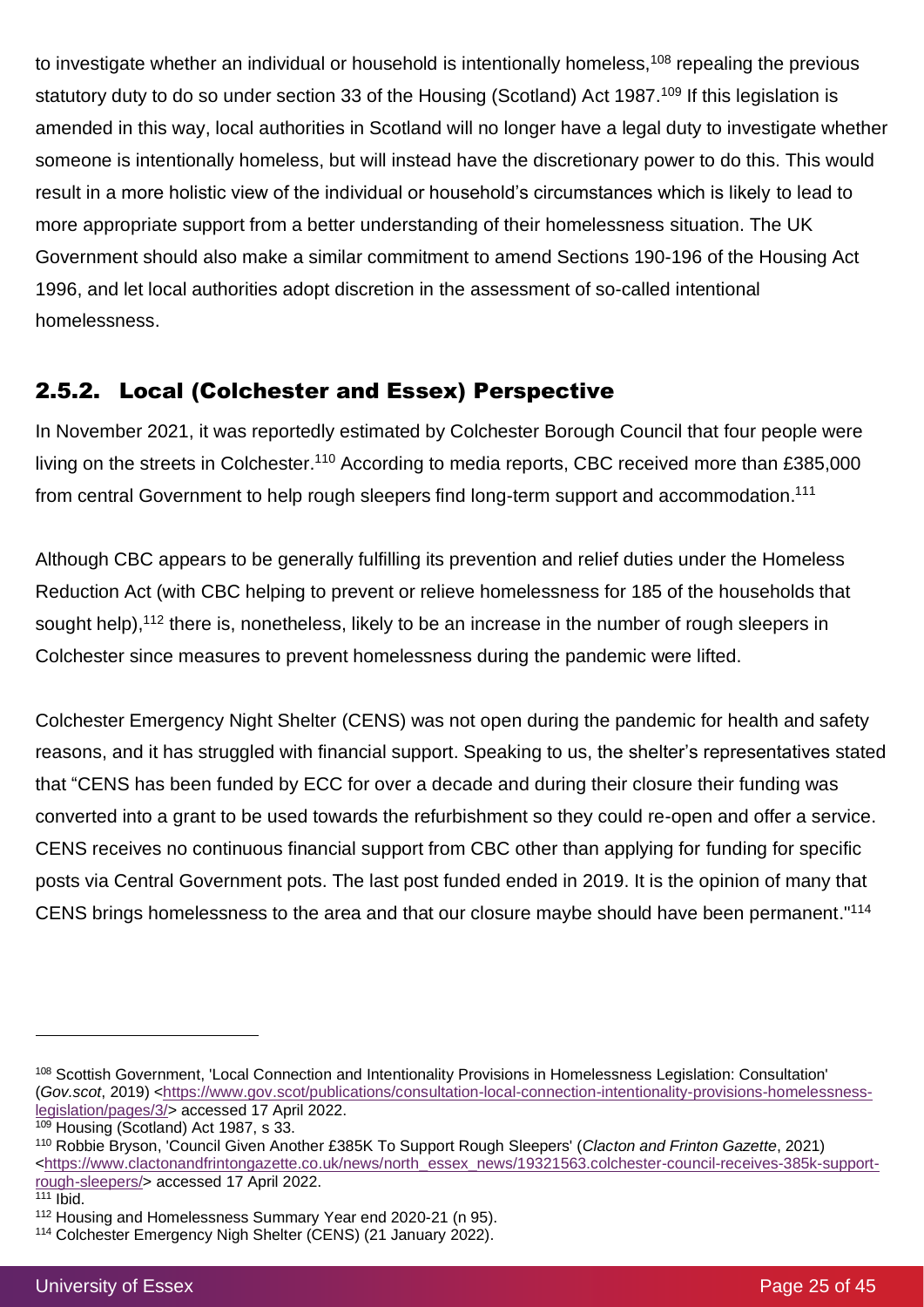to investigate whether an individual or household is intentionally homeless,<sup>108</sup> repealing the previous statutory duty to do so under section 33 of the Housing (Scotland) Act 1987.<sup>109</sup> If this legislation is amended in this way, local authorities in Scotland will no longer have a legal duty to investigate whether someone is intentionally homeless, but will instead have the discretionary power to do this. This would result in a more holistic view of the individual or household's circumstances which is likely to lead to more appropriate support from a better understanding of their homelessness situation. The UK Government should also make a similar commitment to amend Sections 190-196 of the Housing Act 1996, and let local authorities adopt discretion in the assessment of so-called intentional homelessness.

#### 2.5.2. Local (Colchester and Essex) Perspective

In November 2021, it was reportedly estimated by Colchester Borough Council that four people were living on the streets in Colchester.<sup>110</sup> According to media reports, CBC received more than £385,000 from central Government to help rough sleepers find long-term support and accommodation.<sup>111</sup>

Although CBC appears to be generally fulfilling its prevention and relief duties under the Homeless Reduction Act (with CBC helping to prevent or relieve homelessness for 185 of the households that sought help),<sup>112</sup> there is, nonetheless, likely to be an increase in the number of rough sleepers in Colchester since measures to prevent homelessness during the pandemic were lifted.

Colchester Emergency Night Shelter (CENS) was not open during the pandemic for health and safety reasons, and it has struggled with financial support. Speaking to us, the shelter's representatives stated that "CENS has been funded by ECC for over a decade and during their closure their funding was converted into a grant to be used towards the refurbishment so they could re-open and offer a service. CENS receives no continuous financial support from CBC other than applying for funding for specific posts via Central Government pots. The last post funded ended in 2019. It is the opinion of many that CENS brings homelessness to the area and that our closure maybe should have been permanent."<sup>114</sup>

<sup>108</sup> Scottish Government, 'Local Connection and Intentionality Provisions in Homelessness Legislation: Consultation' (*Gov.scot*, 2019) [<https://www.gov.scot/publications/consultation-local-connection-intentionality-provisions-homelessness](https://www.gov.scot/publications/consultation-local-connection-intentionality-provisions-homelessness-legislation/pages/3/)[legislation/pages/3/>](https://www.gov.scot/publications/consultation-local-connection-intentionality-provisions-homelessness-legislation/pages/3/) accessed 17 April 2022.

<sup>109</sup> Housing (Scotland) Act 1987, s 33.

<sup>110</sup> Robbie Bryson, 'Council Given Another £385K To Support Rough Sleepers' (*Clacton and Frinton Gazette*, 2021) [<https://www.clactonandfrintongazette.co.uk/news/north\\_essex\\_news/19321563.colchester-council-receives-385k-support](https://www.clactonandfrintongazette.co.uk/news/north_essex_news/19321563.colchester-council-receives-385k-support-rough-sleepers/)[rough-sleepers/>](https://www.clactonandfrintongazette.co.uk/news/north_essex_news/19321563.colchester-council-receives-385k-support-rough-sleepers/) accessed 17 April 2022.

 $111$  Ibid.

<sup>112</sup> Housing and Homelessness Summary Year end 2020-21 (n 95).

<sup>114</sup> Colchester Emergency Nigh Shelter (CENS) (21 January 2022).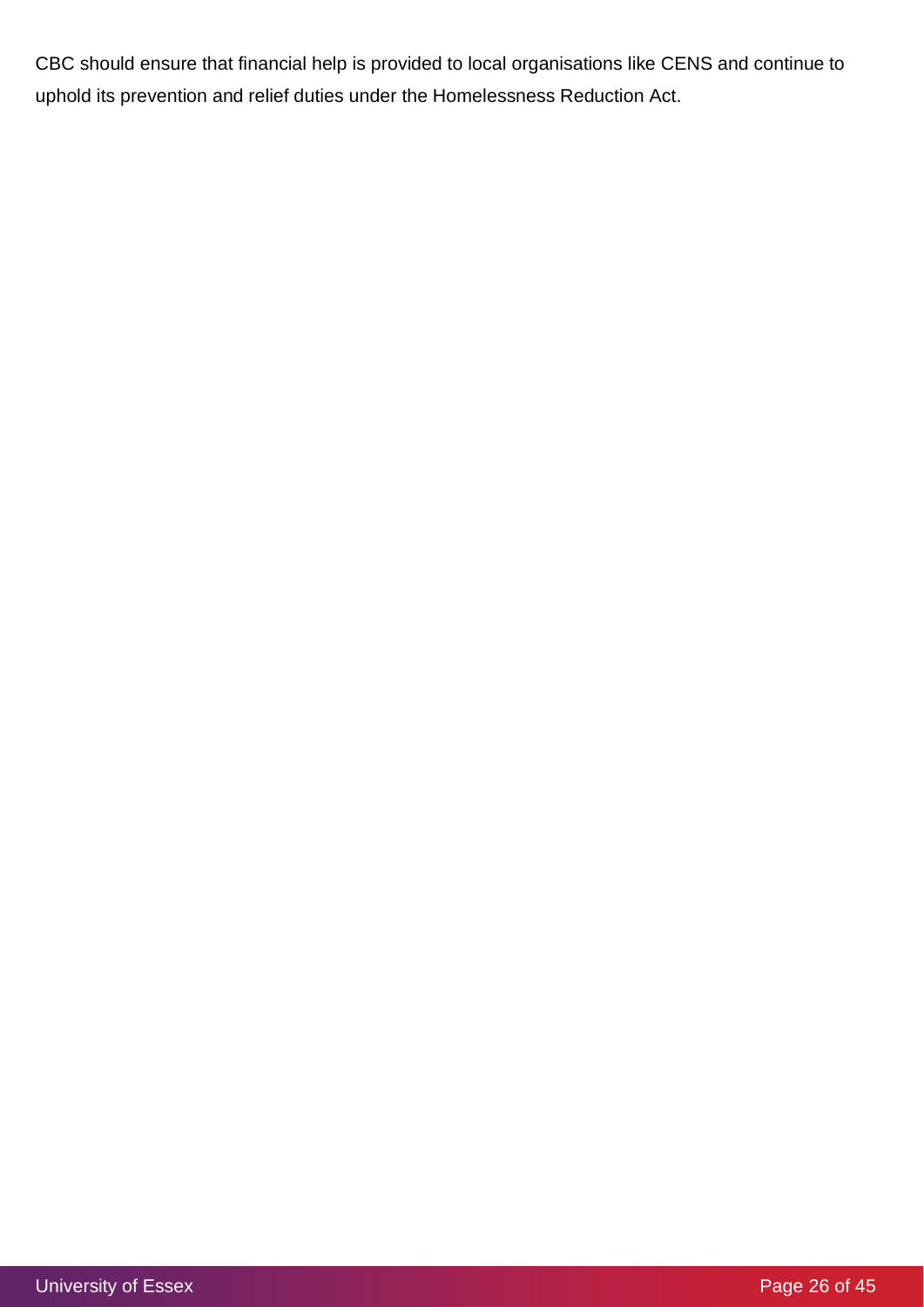CBC should ensure that financial help is provided to local organisations like CENS and continue to uphold its prevention and relief duties under the Homelessness Reduction Act.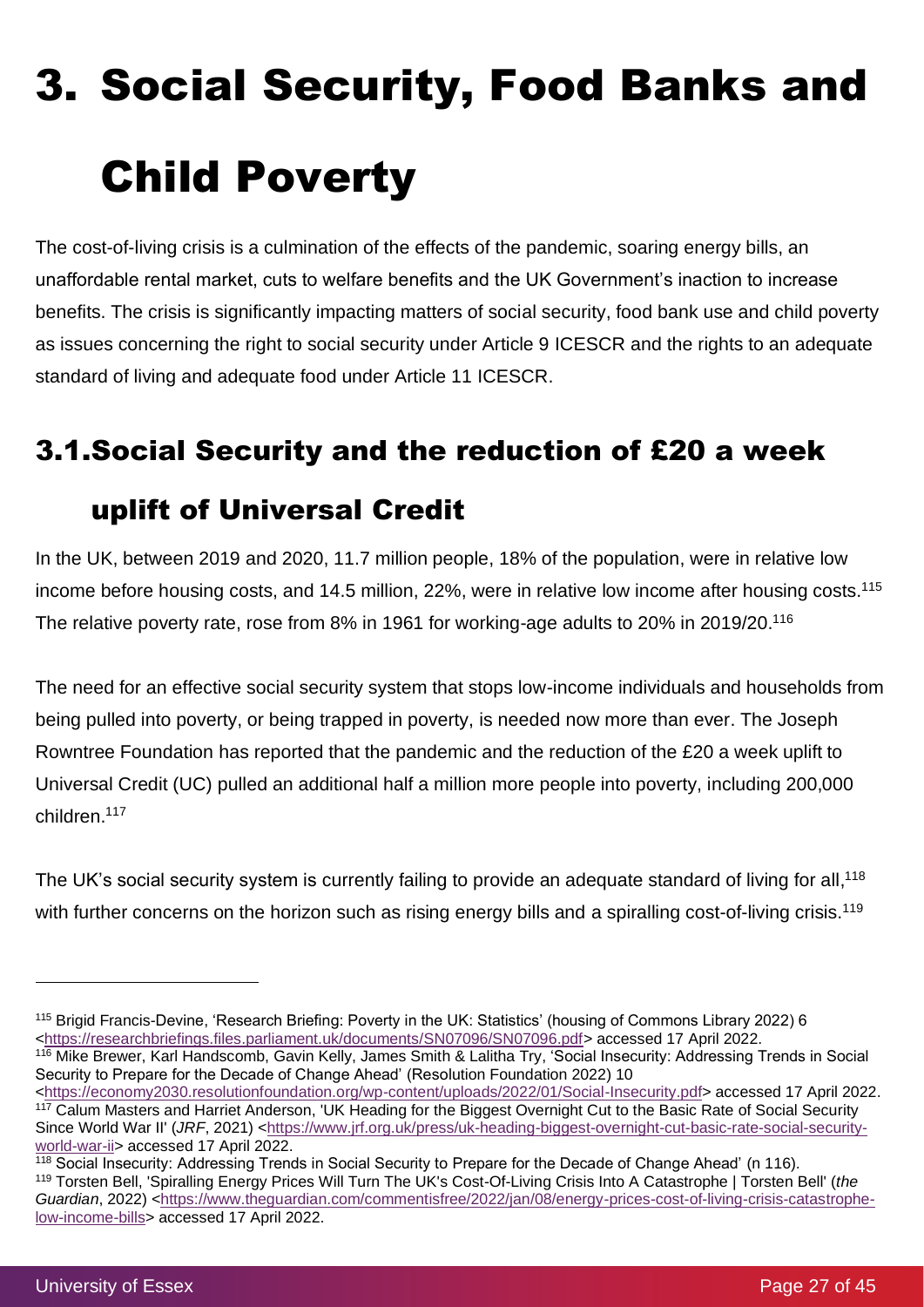# <span id="page-26-0"></span>3. Social Security, Food Banks and Child Poverty

The cost-of-living crisis is a culmination of the effects of the pandemic, soaring energy bills, an unaffordable rental market, cuts to welfare benefits and the UK Government's inaction to increase benefits. The crisis is significantly impacting matters of social security, food bank use and child poverty as issues concerning the right to social security under Article 9 ICESCR and the rights to an adequate standard of living and adequate food under Article 11 ICESCR.

### <span id="page-26-1"></span>3.1.Social Security and the reduction of £20 a week

# uplift of Universal Credit

In the UK, between 2019 and 2020, 11.7 million people, 18% of the population, were in relative low income before housing costs, and 14.5 million, 22%, were in relative low income after housing costs.<sup>115</sup> The relative poverty rate, rose from 8% in 1961 for working-age adults to 20% in 2019/20.<sup>116</sup>

The need for an effective social security system that stops low-income individuals and households from being pulled into poverty, or being trapped in poverty, is needed now more than ever. The Joseph Rowntree Foundation has reported that the pandemic and the reduction of the £20 a week uplift to Universal Credit (UC) pulled an additional half a million more people into poverty, including 200,000 children.<sup>117</sup>

The UK's social security system is currently failing to provide an adequate standard of living for all,<sup>118</sup> with further concerns on the horizon such as rising energy bills and a spiralling cost-of-living crisis.<sup>119</sup>

<sup>116</sup> Mike Brewer, Karl Handscomb, Gavin Kelly, James Smith & Lalitha Try, 'Social Insecurity: Addressing Trends in Social Security to Prepare for the Decade of Change Ahead' (Resolution Foundation 2022) 10

 $118$  Social Insecurity: Addressing Trends in Social Security to Prepare for the Decade of Change Ahead' (n 116). <sup>119</sup> Torsten Bell, 'Spiralling Energy Prices Will Turn The UK's Cost-Of-Living Crisis Into A Catastrophe | Torsten Bell' (*the Guardian*, 2022) [<https://www.theguardian.com/commentisfree/2022/jan/08/energy-prices-cost-of-living-crisis-catastrophe](https://www.theguardian.com/commentisfree/2022/jan/08/energy-prices-cost-of-living-crisis-catastrophe-low-income-bills)[low-income-bills>](https://www.theguardian.com/commentisfree/2022/jan/08/energy-prices-cost-of-living-crisis-catastrophe-low-income-bills) accessed 17 April 2022.

<sup>&</sup>lt;sup>115</sup> Brigid Francis-Devine, 'Research Briefing: Poverty in the UK: Statistics' (housing of Commons Library 2022) 6 [<https://researchbriefings.files.parliament.uk/documents/SN07096/SN07096.pdf>](https://researchbriefings.files.parliament.uk/documents/SN07096/SN07096.pdf) accessed 17 April 2022.

[<sup>&</sup>lt;https://economy2030.resolutionfoundation.org/wp-content/uploads/2022/01/Social-Insecurity.pdf>](https://economy2030.resolutionfoundation.org/wp-content/uploads/2022/01/Social-Insecurity.pdf) accessed 17 April 2022. <sup>117</sup> Calum Masters and Harriet Anderson, 'UK Heading for the Biggest Overnight Cut to the Basic Rate of Social Security Since World War II' (JRF, 2021) [<https://www.jrf.org.uk/press/uk-heading-biggest-overnight-cut-basic-rate-social-security](https://www.jrf.org.uk/press/uk-heading-biggest-overnight-cut-basic-rate-social-security-world-war-ii)[world-war-ii>](https://www.jrf.org.uk/press/uk-heading-biggest-overnight-cut-basic-rate-social-security-world-war-ii) accessed 17 April 2022.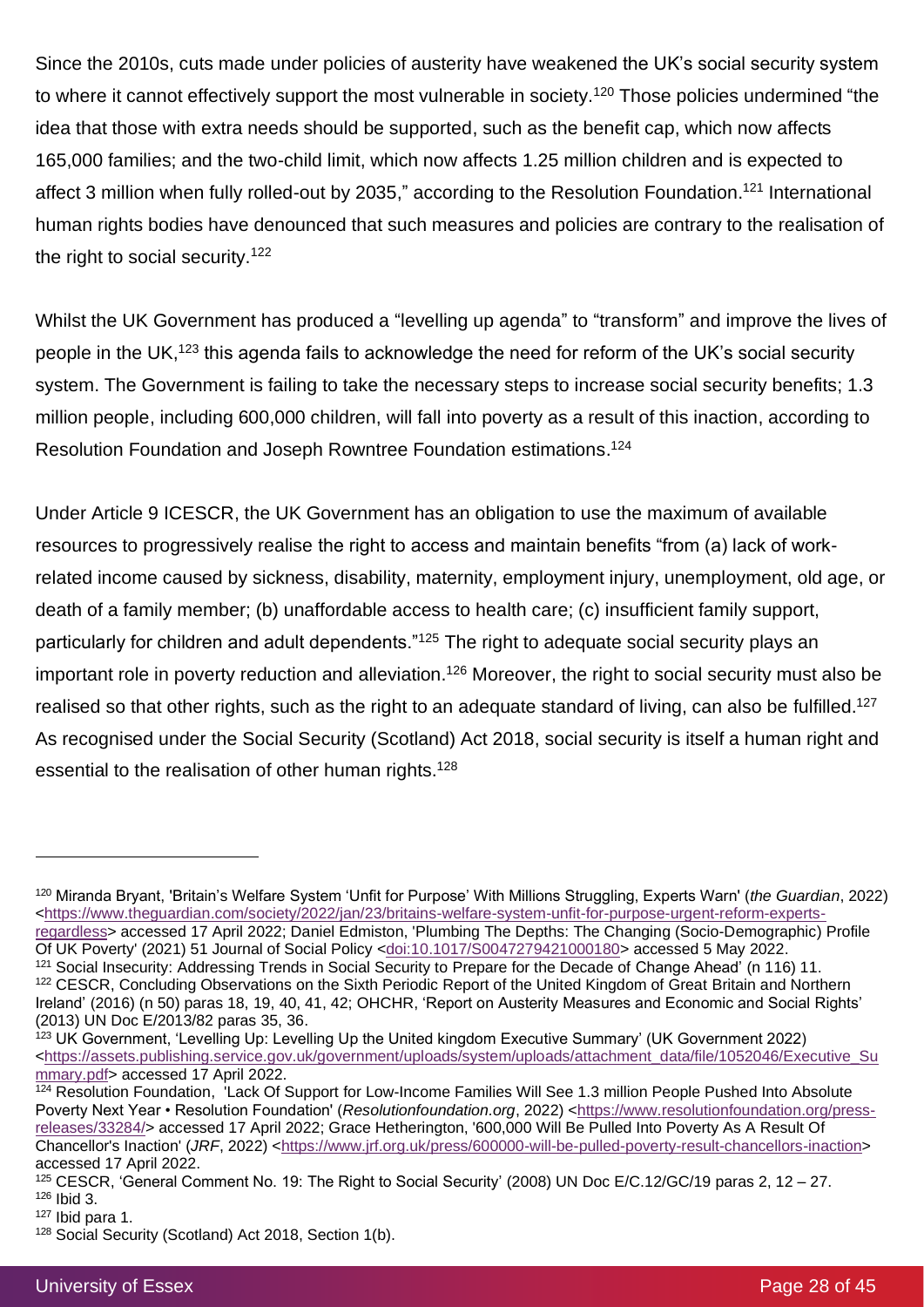Since the 2010s, cuts made under policies of austerity have weakened the UK's social security system to where it cannot effectively support the most vulnerable in society.<sup>120</sup> Those policies undermined "the idea that those with extra needs should be supported, such as the benefit cap, which now affects 165,000 families; and the two-child limit, which now affects 1.25 million children and is expected to affect 3 million when fully rolled-out by 2035," according to the Resolution Foundation.<sup>121</sup> International human rights bodies have denounced that such measures and policies are contrary to the realisation of the right to social security.<sup>122</sup>

Whilst the UK Government has produced a "levelling up agenda" to "transform" and improve the lives of people in the UK,<sup>123</sup> this agenda fails to acknowledge the need for reform of the UK's social security system. The Government is failing to take the necessary steps to increase social security benefits; 1.3 million people, including 600,000 children, will fall into poverty as a result of this inaction, according to Resolution Foundation and Joseph Rowntree Foundation estimations. 124

Under Article 9 ICESCR, the UK Government has an obligation to use the maximum of available resources to progressively realise the right to access and maintain benefits "from (a) lack of workrelated income caused by sickness, disability, maternity, employment injury, unemployment, old age, or death of a family member; (b) unaffordable access to health care; (c) insufficient family support, particularly for children and adult dependents."<sup>125</sup> The right to adequate social security plays an important role in poverty reduction and alleviation.<sup>126</sup> Moreover, the right to social security must also be realised so that other rights, such as the right to an adequate standard of living, can also be fulfilled.<sup>127</sup> As recognised under the Social Security (Scotland) Act 2018, social security is itself a human right and essential to the realisation of other human rights.<sup>128</sup>

<sup>120</sup> Miranda Bryant, 'Britain's Welfare System 'Unfit for Purpose' With Millions Struggling, Experts Warn' (*the Guardian*, 2022) [<https://www.theguardian.com/society/2022/jan/23/britains-welfare-system-unfit-for-purpose-urgent-reform-experts-](https://www.theguardian.com/society/2022/jan/23/britains-welfare-system-unfit-for-purpose-urgent-reform-experts-regardless)

[regardless>](https://www.theguardian.com/society/2022/jan/23/britains-welfare-system-unfit-for-purpose-urgent-reform-experts-regardless) accessed 17 April 2022; Daniel Edmiston, 'Plumbing The Depths: The Changing (Socio-Demographic) Profile Of UK Poverty' (2021) 51 Journal of Social Policy [<doi:10.1017/S0047279421000180>](doi:10.1017/S0047279421000180) accessed 5 May 2022. <sup>121</sup> Social Insecurity: Addressing Trends in Social Security to Prepare for the Decade of Change Ahead' (n 116) 11.

<sup>&</sup>lt;sup>122</sup> CESCR, Concluding Observations on the Sixth Periodic Report of the United Kingdom of Great Britain and Northern Ireland' (2016) (n 50) paras 18, 19, 40, 41, 42; OHCHR, 'Report on Austerity Measures and Economic and Social Rights' (2013) UN Doc E/2013/82 paras 35, 36.

<sup>123</sup> UK Government, 'Levelling Up: Levelling Up the United kingdom Executive Summary' (UK Government 2022) [<https://assets.publishing.service.gov.uk/government/uploads/system/uploads/attachment\\_data/file/1052046/Executive\\_Su](https://assets.publishing.service.gov.uk/government/uploads/system/uploads/attachment_data/file/1052046/Executive_Summary.pdf) [mmary.pdf>](https://assets.publishing.service.gov.uk/government/uploads/system/uploads/attachment_data/file/1052046/Executive_Summary.pdf) accessed 17 April 2022.

<sup>124</sup> Resolution Foundation, 'Lack Of Support for Low-Income Families Will See 1.3 million People Pushed Into Absolute Poverty Next Year • Resolution Foundation' (*Resolutionfoundation.org*, 2022) [<https://www.resolutionfoundation.org/press](https://www.resolutionfoundation.org/press-releases/33284/)[releases/33284/>](https://www.resolutionfoundation.org/press-releases/33284/) accessed 17 April 2022; Grace Hetherington, '600,000 Will Be Pulled Into Poverty As A Result Of Chancellor's Inaction' (*JRF*, 2022) [<https://www.jrf.org.uk/press/600000-will-be-pulled-poverty-result-chancellors-inaction>](https://www.jrf.org.uk/press/600000-will-be-pulled-poverty-result-chancellors-inaction) accessed 17 April 2022.

<sup>125</sup> CESCR, 'General Comment No. 19: The Right to Social Security' (2008) UN Doc E/C.12/GC/19 paras 2, 12 – 27.  $126$  Ibid 3.

 $127$  Ibid para 1.

<sup>&</sup>lt;sup>128</sup> Social Security (Scotland) Act 2018, Section 1(b).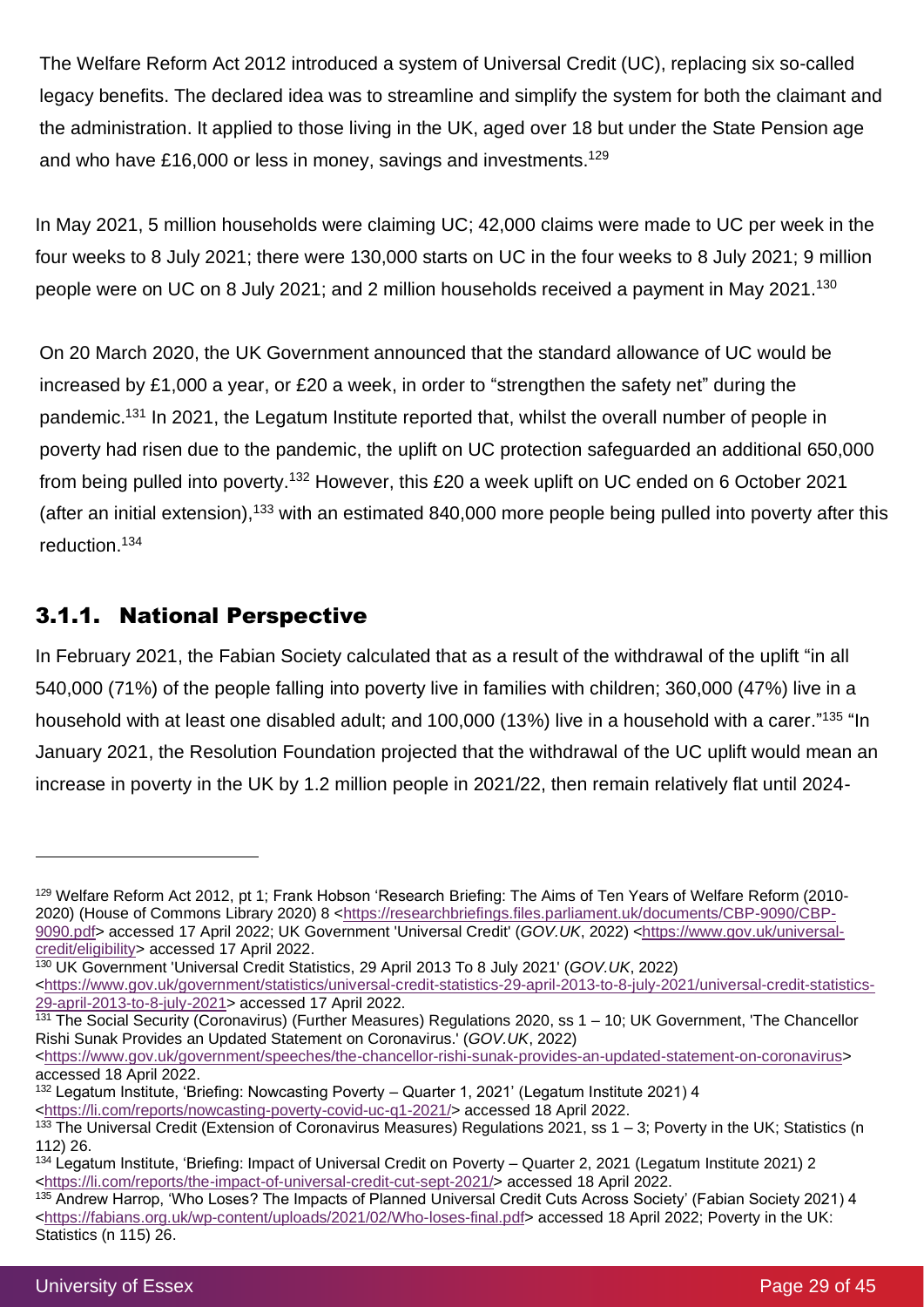The Welfare Reform Act 2012 introduced a system of Universal Credit (UC), replacing six so-called legacy benefits. The declared idea was to streamline and simplify the system for both the claimant and the administration. It applied to those living in the UK, aged over 18 but under the State Pension age and who have £16,000 or less in money, savings and investments.<sup>129</sup>

In May 2021, 5 million households were claiming UC; 42,000 claims were made to UC per week in the four weeks to 8 July 2021; there were 130,000 starts on UC in the four weeks to 8 July 2021; 9 million people were on UC on 8 July 2021; and 2 million households received a payment in May 2021.<sup>130</sup>

On 20 March 2020, the UK Government announced that the standard allowance of UC would be increased by £1,000 a year, or £20 a week, in order to "strengthen the safety net" during the pandemic.<sup>131</sup> In 2021, the Legatum Institute reported that, whilst the overall number of people in poverty had risen due to the pandemic, the uplift on UC protection safeguarded an additional 650,000 from being pulled into poverty.<sup>132</sup> However, this £20 a week uplift on UC ended on 6 October 2021 (after an initial extension),<sup>133</sup> with an estimated 840,000 more people being pulled into poverty after this reduction.<sup>134</sup>

#### 3.1.1. National Perspective

In February 2021, the Fabian Society calculated that as a result of the withdrawal of the uplift "in all 540,000 (71%) of the people falling into poverty live in families with children; 360,000 (47%) live in a household with at least one disabled adult; and 100,000 (13%) live in a household with a carer."<sup>135</sup> "In January 2021, the Resolution Foundation projected that the withdrawal of the UC uplift would mean an increase in poverty in the UK by 1.2 million people in 2021/22, then remain relatively flat until 2024-

131 The Social Security (Coronavirus) (Further Measures) Regulations 2020, ss 1 – 10; UK Government, 'The Chancellor Rishi Sunak Provides an Updated Statement on Coronavirus.' (*GOV.UK*, 2022)

[<https://www.gov.uk/government/speeches/the-chancellor-rishi-sunak-provides-an-updated-statement-on-coronavirus>](https://www.gov.uk/government/speeches/the-chancellor-rishi-sunak-provides-an-updated-statement-on-coronavirus) accessed 18 April 2022.

<sup>132</sup> Legatum Institute, 'Briefing: Nowcasting Poverty – Quarter 1, 2021' (Legatum Institute 2021) 4

[<https://li.com/reports/nowcasting-poverty-covid-uc-q1-2021/>](https://li.com/reports/nowcasting-poverty-covid-uc-q1-2021/) accessed 18 April 2022.

<sup>&</sup>lt;sup>129</sup> Welfare Reform Act 2012, pt 1; Frank Hobson 'Research Briefing: The Aims of Ten Years of Welfare Reform (2010-2020) (House of Commons Library 2020) 8 [<https://researchbriefings.files.parliament.uk/documents/CBP-9090/CBP-](https://researchbriefings.files.parliament.uk/documents/CBP-9090/CBP-9090.pdf)[9090.pdf>](https://researchbriefings.files.parliament.uk/documents/CBP-9090/CBP-9090.pdf) accessed 17 April 2022; UK Government 'Universal Credit' (*GOV.UK*, 2022) [<https://www.gov.uk/universal](https://www.gov.uk/universal-credit/eligibility)[credit/eligibility>](https://www.gov.uk/universal-credit/eligibility) accessed 17 April 2022.

<sup>130</sup> UK Government 'Universal Credit Statistics, 29 April 2013 To 8 July 2021' (*GOV.UK*, 2022) [<https://www.gov.uk/government/statistics/universal-credit-statistics-29-april-2013-to-8-july-2021/universal-credit-statistics-](https://www.gov.uk/government/statistics/universal-credit-statistics-29-april-2013-to-8-july-2021/universal-credit-statistics-29-april-2013-to-8-july-2021)[29-april-2013-to-8-july-2021>](https://www.gov.uk/government/statistics/universal-credit-statistics-29-april-2013-to-8-july-2021/universal-credit-statistics-29-april-2013-to-8-july-2021) accessed 17 April 2022.

<sup>&</sup>lt;sup>133</sup> The Universal Credit (Extension of Coronavirus Measures) Regulations 2021, ss  $1-3$ ; Poverty in the UK; Statistics (n 112) 26.

<sup>134</sup> Legatum Institute, 'Briefing: Impact of Universal Credit on Poverty – Quarter 2, 2021 (Legatum Institute 2021) 2 [<https://li.com/reports/the-impact-of-universal-credit-cut-sept-2021/>](https://li.com/reports/the-impact-of-universal-credit-cut-sept-2021/) accessed 18 April 2022.

<sup>&</sup>lt;sup>135</sup> Andrew Harrop, 'Who Loses? The Impacts of Planned Universal Credit Cuts Across Society' (Fabian Society 2021) 4 [<https://fabians.org.uk/wp-content/uploads/2021/02/Who-loses-final.pdf>](https://fabians.org.uk/wp-content/uploads/2021/02/Who-loses-final.pdf) accessed 18 April 2022; Poverty in the UK: Statistics (n 115) 26.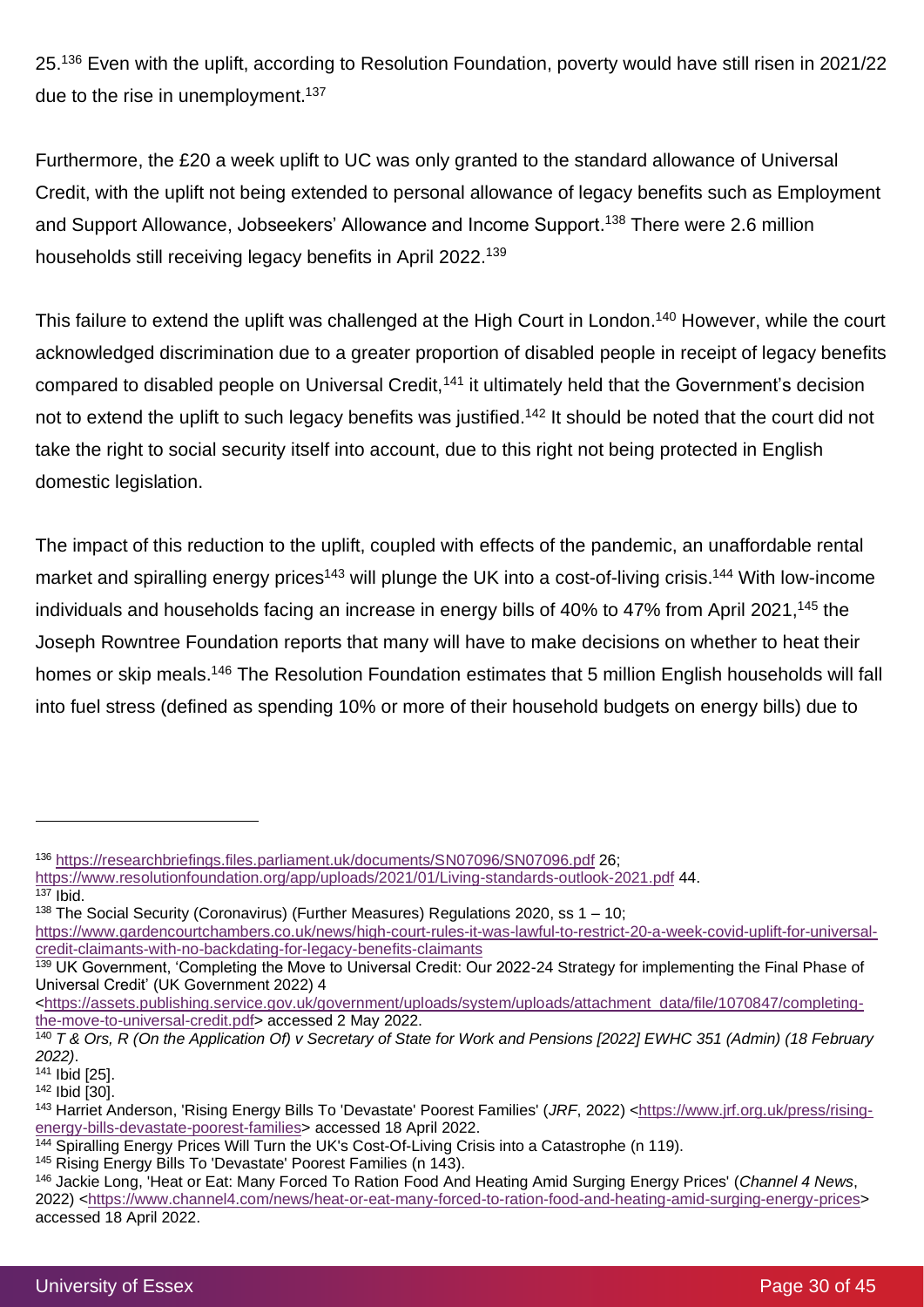25.<sup>136</sup> Even with the uplift, according to Resolution Foundation, poverty would have still risen in 2021/22 due to the rise in unemployment.<sup>137</sup>

Furthermore, the £20 a week uplift to UC was only granted to the standard allowance of Universal Credit, with the uplift not being extended to personal allowance of legacy benefits such as Employment and Support Allowance, Jobseekers' Allowance and Income Support.<sup>138</sup> There were 2.6 million households still receiving legacy benefits in April 2022.<sup>139</sup>

This failure to extend the uplift was challenged at the High Court in London.<sup>140</sup> However, while the court acknowledged discrimination due to a greater proportion of disabled people in receipt of legacy benefits compared to disabled people on Universal Credit,<sup>141</sup> it ultimately held that the Government's decision not to extend the uplift to such legacy benefits was justified.<sup>142</sup> It should be noted that the court did not take the right to social security itself into account, due to this right not being protected in English domestic legislation.

The impact of this reduction to the uplift, coupled with effects of the pandemic, an unaffordable rental market and spiralling energy prices<sup>143</sup> will plunge the UK into a cost-of-living crisis.<sup>144</sup> With low-income individuals and households facing an increase in energy bills of 40% to 47% from April 2021,<sup>145</sup> the Joseph Rowntree Foundation reports that many will have to make decisions on whether to heat their homes or skip meals.<sup>146</sup> The Resolution Foundation estimates that 5 million English households will fall into fuel stress (defined as spending 10% or more of their household budgets on energy bills) due to

[<https://assets.publishing.service.gov.uk/government/uploads/system/uploads/attachment\\_data/file/1070847/completing](https://assets.publishing.service.gov.uk/government/uploads/system/uploads/attachment_data/file/1070847/completing-the-move-to-universal-credit.pdf)[the-move-to-universal-credit.pdf>](https://assets.publishing.service.gov.uk/government/uploads/system/uploads/attachment_data/file/1070847/completing-the-move-to-universal-credit.pdf) accessed 2 May 2022.

<sup>136</sup> <https://researchbriefings.files.parliament.uk/documents/SN07096/SN07096.pdf> 26;

<https://www.resolutionfoundation.org/app/uploads/2021/01/Living-standards-outlook-2021.pdf> 44.  $137$  Ibid.

<sup>&</sup>lt;sup>138</sup> The Social Security (Coronavirus) (Further Measures) Regulations 2020, ss  $1 - 10$ ; [https://www.gardencourtchambers.co.uk/news/high-court-rules-it-was-lawful-to-restrict-20-a-week-covid-uplift-for-universal](https://www.gardencourtchambers.co.uk/news/high-court-rules-it-was-lawful-to-restrict-20-a-week-covid-uplift-for-universal-credit-claimants-with-no-backdating-for-legacy-benefits-claimants)[credit-claimants-with-no-backdating-for-legacy-benefits-claimants](https://www.gardencourtchambers.co.uk/news/high-court-rules-it-was-lawful-to-restrict-20-a-week-covid-uplift-for-universal-credit-claimants-with-no-backdating-for-legacy-benefits-claimants)

<sup>139</sup> UK Government, 'Completing the Move to Universal Credit: Our 2022-24 Strategy for implementing the Final Phase of Universal Credit' (UK Government 2022) 4

<sup>140</sup> *T & Ors, R (On the Application Of) v Secretary of State for Work and Pensions [2022] EWHC 351 (Admin) (18 February 2022)*.

 $141$  Ibid [25].

<sup>142</sup> Ibid [30].

<sup>&</sup>lt;sup>143</sup> Harriet Anderson, 'Rising Energy Bills To 'Devastate' Poorest Families' (JRF, 2022) [<https://www.jrf.org.uk/press/rising](https://www.jrf.org.uk/press/rising-energy-bills-devastate-poorest-families)[energy-bills-devastate-poorest-families>](https://www.jrf.org.uk/press/rising-energy-bills-devastate-poorest-families) accessed 18 April 2022.

<sup>&</sup>lt;sup>144</sup> Spiralling Energy Prices Will Turn the UK's Cost-Of-Living Crisis into a Catastrophe (n 119).

<sup>145</sup> Rising Energy Bills To 'Devastate' Poorest Families (n 143).

<sup>146</sup> Jackie Long, 'Heat or Eat: Many Forced To Ration Food And Heating Amid Surging Energy Prices' (*Channel 4 News*, 2022) [<https://www.channel4.com/news/heat-or-eat-many-forced-to-ration-food-and-heating-amid-surging-energy-prices>](https://www.channel4.com/news/heat-or-eat-many-forced-to-ration-food-and-heating-amid-surging-energy-prices) accessed 18 April 2022.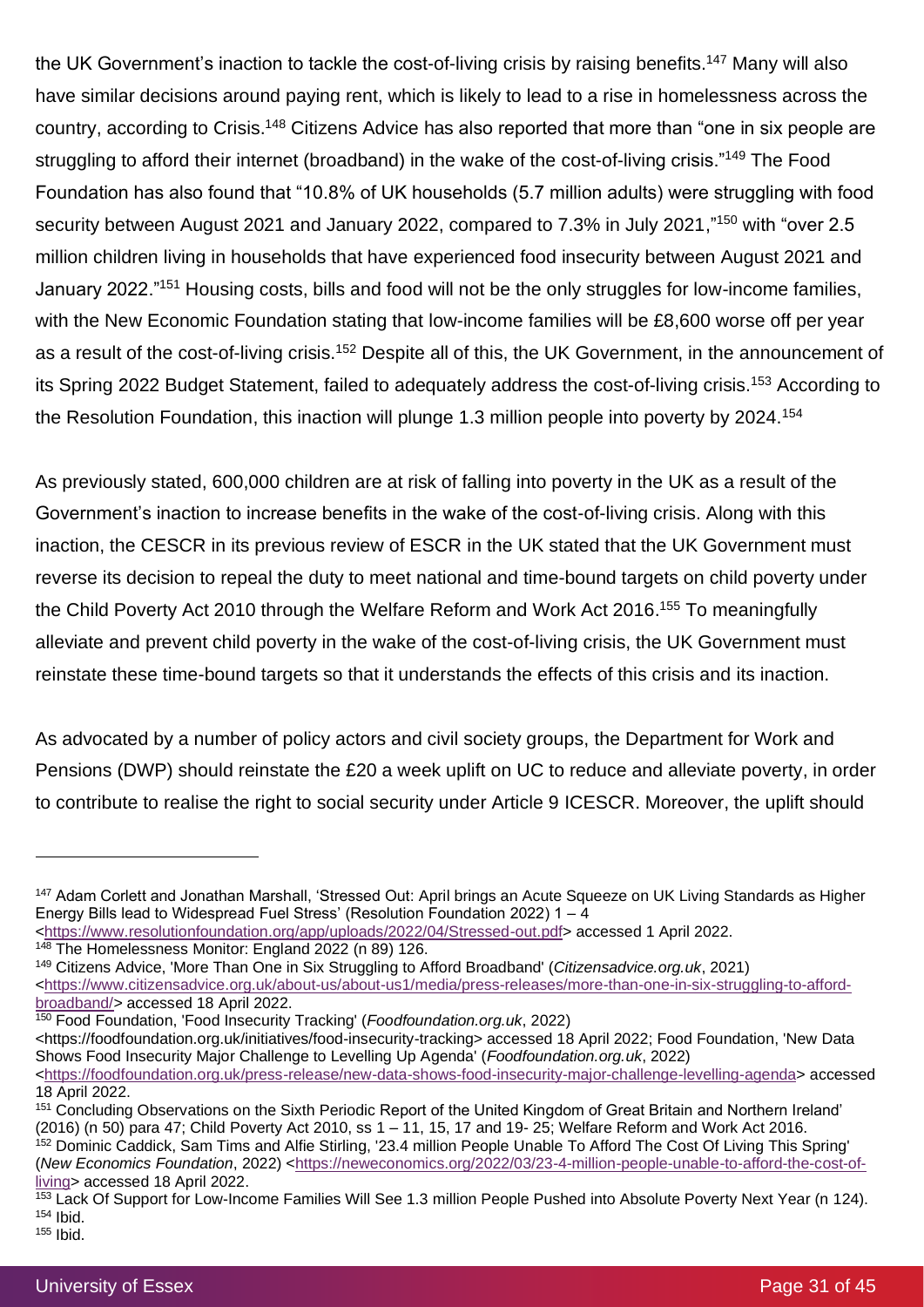the UK Government's inaction to tackle the cost-of-living crisis by raising benefits.<sup>147</sup> Many will also have similar decisions around paying rent, which is likely to lead to a rise in homelessness across the country, according to Crisis.<sup>148</sup> Citizens Advice has also reported that more than "one in six people are struggling to afford their internet (broadband) in the wake of the cost-of-living crisis."<sup>149</sup> The Food Foundation has also found that "10.8% of UK households (5.7 million adults) were struggling with food security between August 2021 and January 2022, compared to 7.3% in July 2021,"<sup>150</sup> with "over 2.5 million children living in households that have experienced food insecurity between August 2021 and January 2022."<sup>151</sup> Housing costs, bills and food will not be the only struggles for low-income families, with the New Economic Foundation stating that low-income families will be £8,600 worse off per year as a result of the cost-of-living crisis.<sup>152</sup> Despite all of this, the UK Government, in the announcement of its Spring 2022 Budget Statement, failed to adequately address the cost-of-living crisis.<sup>153</sup> According to the Resolution Foundation, this inaction will plunge 1.3 million people into poverty by 2024.<sup>154</sup>

As previously stated, 600,000 children are at risk of falling into poverty in the UK as a result of the Government's inaction to increase benefits in the wake of the cost-of-living crisis. Along with this inaction, the CESCR in its previous review of ESCR in the UK stated that the UK Government must reverse its decision to repeal the duty to meet national and time-bound targets on child poverty under the Child Poverty Act 2010 through the Welfare Reform and Work Act 2016.<sup>155</sup> To meaningfully alleviate and prevent child poverty in the wake of the cost-of-living crisis, the UK Government must reinstate these time-bound targets so that it understands the effects of this crisis and its inaction.

As advocated by a number of policy actors and civil society groups, the Department for Work and Pensions (DWP) should reinstate the £20 a week uplift on UC to reduce and alleviate poverty, in order to contribute to realise the right to social security under Article 9 ICESCR. Moreover, the uplift should

<sup>148</sup> The Homelessness Monitor: England 2022 (n 89) 126.

<sup>150</sup> Food Foundation, 'Food Insecurity Tracking' (*Foodfoundation.org.uk*, 2022) <https://foodfoundation.org.uk/initiatives/food-insecurity-tracking> accessed 18 April 2022; Food Foundation, 'New Data Shows Food Insecurity Major Challenge to Levelling Up Agenda' (*Foodfoundation.org.uk*, 2022) [<https://foodfoundation.org.uk/press-release/new-data-shows-food-insecurity-major-challenge-levelling-agenda>](https://foodfoundation.org.uk/press-release/new-data-shows-food-insecurity-major-challenge-levelling-agenda) accessed 18 April 2022.

<sup>&</sup>lt;sup>147</sup> Adam Corlett and Jonathan Marshall, 'Stressed Out: April brings an Acute Squeeze on UK Living Standards as Higher Energy Bills lead to Widespread Fuel Stress' (Resolution Foundation 2022) 1 – 4 [<https://www.resolutionfoundation.org/app/uploads/2022/04/Stressed-out.pdf>](https://www.resolutionfoundation.org/app/uploads/2022/04/Stressed-out.pdf) accessed 1 April 2022.

<sup>149</sup> Citizens Advice, 'More Than One in Six Struggling to Afford Broadband' (*Citizensadvice.org.uk*, 2021) [<https://www.citizensadvice.org.uk/about-us/about-us1/media/press-releases/more-than-one-in-six-struggling-to-afford](https://www.citizensadvice.org.uk/about-us/about-us1/media/press-releases/more-than-one-in-six-struggling-to-afford-broadband/)[broadband/>](https://www.citizensadvice.org.uk/about-us/about-us1/media/press-releases/more-than-one-in-six-struggling-to-afford-broadband/) accessed 18 April 2022.

<sup>&</sup>lt;sup>151</sup> Concluding Observations on the Sixth Periodic Report of the United Kingdom of Great Britain and Northern Ireland' (2016) (n 50) para 47; Child Poverty Act 2010, ss 1 – 11, 15, 17 and 19- 25; Welfare Reform and Work Act 2016. <sup>152</sup> Dominic Caddick, Sam Tims and Alfie Stirling, '23.4 million People Unable To Afford The Cost Of Living This Spring' (*New Economics Foundation*, 2022) [<https://neweconomics.org/2022/03/23-4-million-people-unable-to-afford-the-cost-of](https://neweconomics.org/2022/03/23-4-million-people-unable-to-afford-the-cost-of-living)[living>](https://neweconomics.org/2022/03/23-4-million-people-unable-to-afford-the-cost-of-living) accessed 18 April 2022.

<sup>153</sup> Lack Of Support for Low-Income Families Will See 1.3 million People Pushed into Absolute Poverty Next Year (n 124). <sup>154</sup> Ibid.

 $155$  Ibid.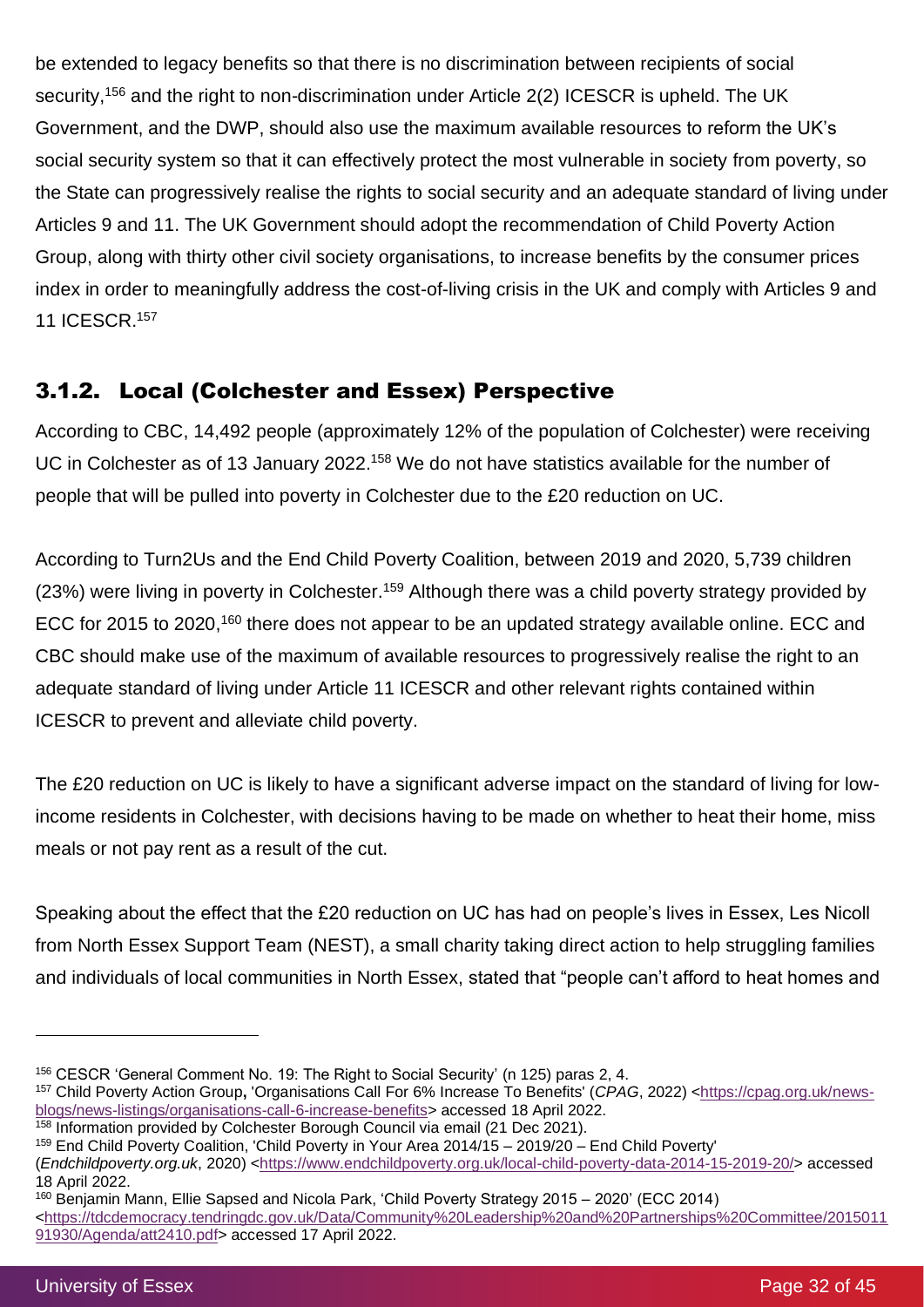be extended to legacy benefits so that there is no discrimination between recipients of social security,<sup>156</sup> and the right to non-discrimination under Article 2(2) ICESCR is upheld. The UK Government, and the DWP, should also use the maximum available resources to reform the UK's social security system so that it can effectively protect the most vulnerable in society from poverty, so the State can progressively realise the rights to social security and an adequate standard of living under Articles 9 and 11. The UK Government should adopt the recommendation of Child Poverty Action Group, along with thirty other civil society organisations, to increase benefits by the consumer prices index in order to meaningfully address the cost-of-living crisis in the UK and comply with Articles 9 and 11 ICESCR. 157

#### 3.1.2. Local (Colchester and Essex) Perspective

According to CBC, 14,492 people (approximately 12% of the population of Colchester) were receiving UC in Colchester as of 13 January 2022.<sup>158</sup> We do not have statistics available for the number of people that will be pulled into poverty in Colchester due to the £20 reduction on UC.

According to Turn2Us and the End Child Poverty Coalition, between 2019 and 2020, 5,739 children (23%) were living in poverty in Colchester.<sup>159</sup> Although there was a child poverty strategy provided by ECC for 2015 to 2020,<sup>160</sup> there does not appear to be an updated strategy available online. ECC and CBC should make use of the maximum of available resources to progressively realise the right to an adequate standard of living under Article 11 ICESCR and other relevant rights contained within ICESCR to prevent and alleviate child poverty.

The £20 reduction on UC is likely to have a significant adverse impact on the standard of living for lowincome residents in Colchester, with decisions having to be made on whether to heat their home, miss meals or not pay rent as a result of the cut.

Speaking about the effect that the £20 reduction on UC has had on people's lives in Essex, Les Nicoll from North Essex Support Team (NEST), a small charity taking direct action to help struggling families and individuals of local communities in North Essex, stated that "people can't afford to heat homes and

<sup>156</sup> CESCR 'General Comment No. 19: The Right to Social Security' (n 125) paras 2, 4.

<sup>157</sup> Child Poverty Action Group**,** 'Organisations Call For 6% Increase To Benefits' (*CPAG*, 2022) [<https://cpag.org.uk/news](https://cpag.org.uk/news-blogs/news-listings/organisations-call-6-increase-benefits)[blogs/news-listings/organisations-call-6-increase-benefits>](https://cpag.org.uk/news-blogs/news-listings/organisations-call-6-increase-benefits) accessed 18 April 2022.

<sup>158</sup> Information provided by Colchester Borough Council via email (21 Dec 2021).

<sup>159</sup> End Child Poverty Coalition, 'Child Poverty in Your Area 2014/15 – 2019/20 – End Child Poverty'

<sup>(</sup>*Endchildpoverty.org.uk*, 2020) [<https://www.endchildpoverty.org.uk/local-child-poverty-data-2014-15-2019-20/>](https://www.endchildpoverty.org.uk/local-child-poverty-data-2014-15-2019-20/) accessed 18 April 2022.

<sup>160</sup> Benjamin Mann, Ellie Sapsed and Nicola Park, 'Child Poverty Strategy 2015 – 2020' (ECC 2014) [<https://tdcdemocracy.tendringdc.gov.uk/Data/Community%20Leadership%20and%20Partnerships%20Committee/2015011](https://tdcdemocracy.tendringdc.gov.uk/Data/Community%20Leadership%20and%20Partnerships%20Committee/201501191930/Agenda/att2410.pdf) [91930/Agenda/att2410.pdf>](https://tdcdemocracy.tendringdc.gov.uk/Data/Community%20Leadership%20and%20Partnerships%20Committee/201501191930/Agenda/att2410.pdf) accessed 17 April 2022.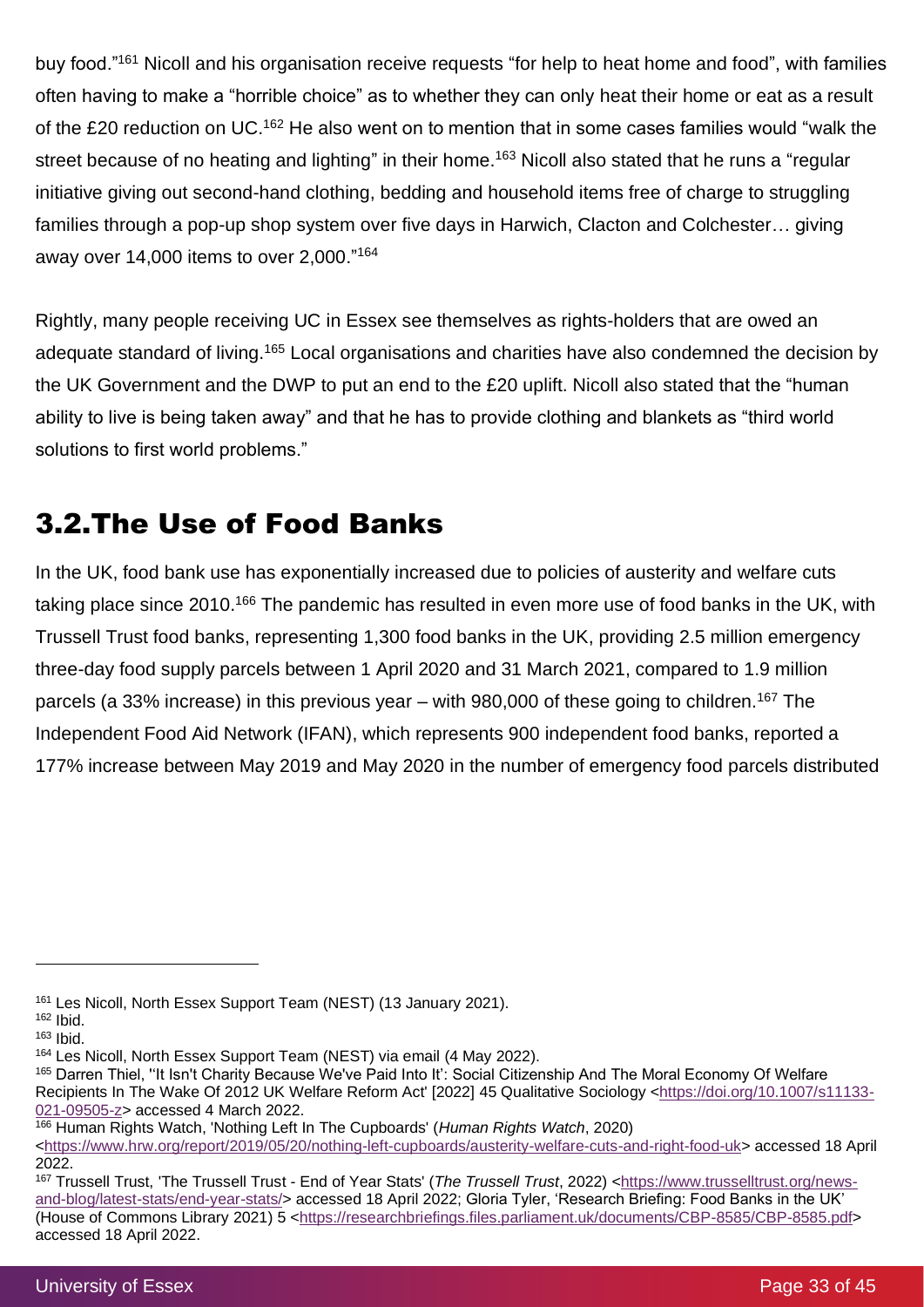buy food."<sup>161</sup> Nicoll and his organisation receive requests "for help to heat home and food", with families often having to make a "horrible choice" as to whether they can only heat their home or eat as a result of the £20 reduction on UC.<sup>162</sup> He also went on to mention that in some cases families would "walk the street because of no heating and lighting" in their home.<sup>163</sup> Nicoll also stated that he runs a "regular initiative giving out second-hand clothing, bedding and household items free of charge to struggling families through a pop-up shop system over five days in Harwich, Clacton and Colchester… giving away over 14,000 items to over 2,000."<sup>164</sup>

Rightly, many people receiving UC in Essex see themselves as rights-holders that are owed an adequate standard of living.<sup>165</sup> Local organisations and charities have also condemned the decision by the UK Government and the DWP to put an end to the £20 uplift. Nicoll also stated that the "human ability to live is being taken away" and that he has to provide clothing and blankets as "third world solutions to first world problems."

# <span id="page-32-0"></span>3.2.The Use of Food Banks

In the UK, food bank use has exponentially increased due to policies of austerity and welfare cuts taking place since 2010.<sup>166</sup> The pandemic has resulted in even more use of food banks in the UK, with Trussell Trust food banks, representing 1,300 food banks in the UK, providing 2.5 million emergency three-day food supply parcels between 1 April 2020 and 31 March 2021, compared to 1.9 million parcels (a 33% increase) in this previous year – with 980,000 of these going to children.<sup>167</sup> The Independent Food Aid Network (IFAN), which represents 900 independent food banks, reported a 177% increase between May 2019 and May 2020 in the number of emergency food parcels distributed

<sup>161</sup> Les Nicoll, North Essex Support Team (NEST) (13 January 2021).

 $162$  Ibid.

 $163$  Ibid.

<sup>164</sup> Les Nicoll, North Essex Support Team (NEST) via email (4 May 2022).

<sup>165</sup> Darren Thiel, "It Isn't Charity Because We've Paid Into It': Social Citizenship And The Moral Economy Of Welfare Recipients In The Wake Of 2012 UK Welfare Reform Act' [2022] 45 Qualitative Sociology [<https://doi.org/10.1007/s11133-](https://doi.org/10.1007/s11133-021-09505-z) [021-09505-z>](https://doi.org/10.1007/s11133-021-09505-z) accessed 4 March 2022.

<sup>166</sup> Human Rights Watch, 'Nothing Left In The Cupboards' (*Human Rights Watch*, 2020)

[<sup>&</sup>lt;https://www.hrw.org/report/2019/05/20/nothing-left-cupboards/austerity-welfare-cuts-and-right-food-uk>](https://www.hrw.org/report/2019/05/20/nothing-left-cupboards/austerity-welfare-cuts-and-right-food-uk) accessed 18 April 2022.

<sup>167</sup> Trussell Trust, 'The Trussell Trust - End of Year Stats' (*The Trussell Trust*, 2022) [<https://www.trusselltrust.org/news](https://www.trusselltrust.org/news-and-blog/latest-stats/end-year-stats/)[and-blog/latest-stats/end-year-stats/>](https://www.trusselltrust.org/news-and-blog/latest-stats/end-year-stats/) accessed 18 April 2022; Gloria Tyler, 'Research Briefing: Food Banks in the UK' (House of Commons Library 2021) 5 [<https://researchbriefings.files.parliament.uk/documents/CBP-8585/CBP-8585.pdf>](https://researchbriefings.files.parliament.uk/documents/CBP-8585/CBP-8585.pdf) accessed 18 April 2022.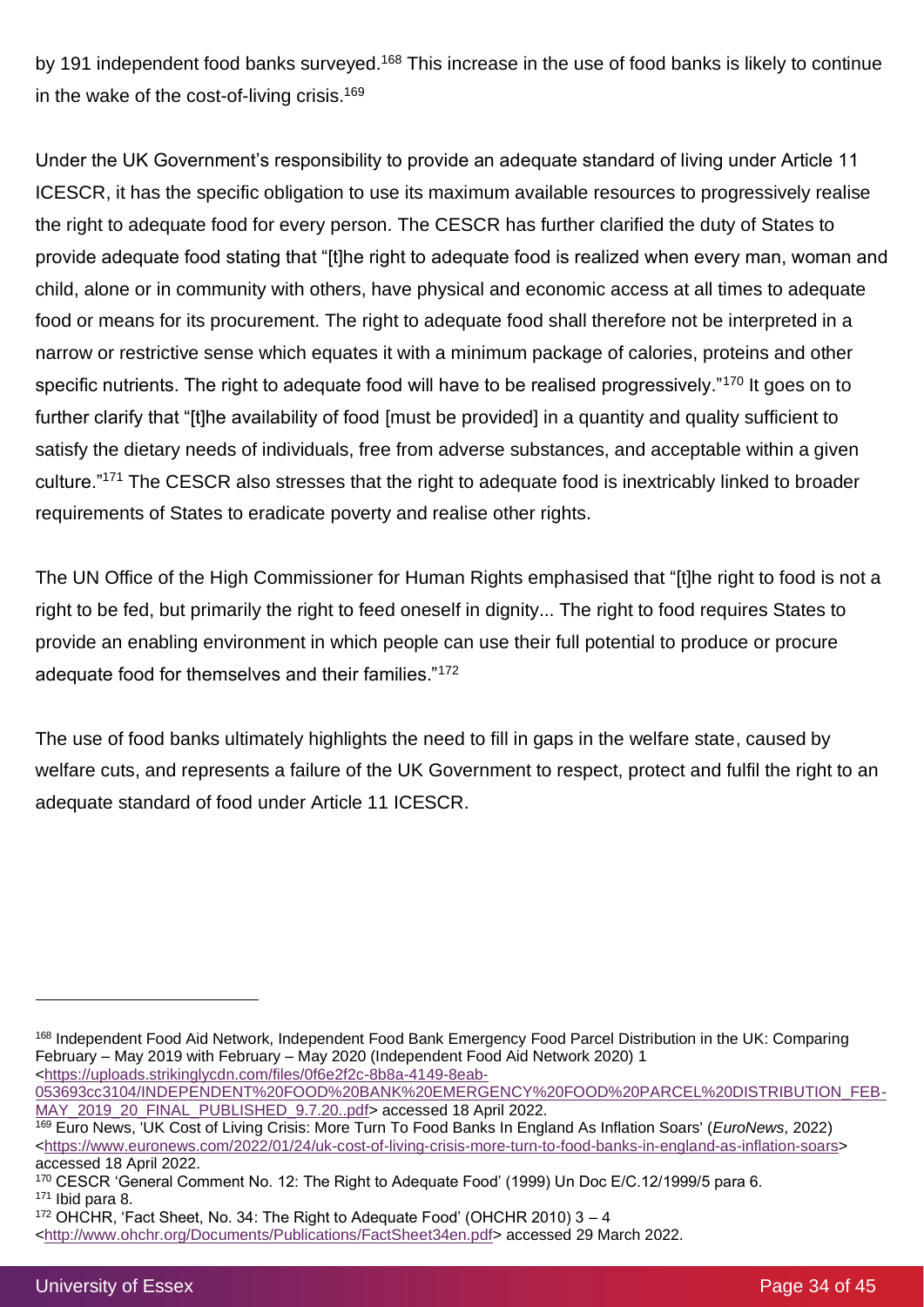by 191 independent food banks surveyed.<sup>168</sup> This increase in the use of food banks is likely to continue in the wake of the cost-of-living crisis.<sup>169</sup>

Under the UK Government's responsibility to provide an adequate standard of living under Article 11 ICESCR, it has the specific obligation to use its maximum available resources to progressively realise the right to adequate food for every person. The CESCR has further clarified the duty of States to provide adequate food stating that "[t]he right to adequate food is realized when every man, woman and child, alone or in community with others, have physical and economic access at all times to adequate food or means for its procurement. The right to adequate food shall therefore not be interpreted in a narrow or restrictive sense which equates it with a minimum package of calories, proteins and other specific nutrients. The right to adequate food will have to be realised progressively."<sup>170</sup> It goes on to further clarify that "[t]he availability of food [must be provided] in a quantity and quality sufficient to satisfy the dietary needs of individuals, free from adverse substances, and acceptable within a given culture."<sup>171</sup> The CESCR also stresses that the right to adequate food is inextricably linked to broader requirements of States to eradicate poverty and realise other rights.

The UN Office of the High Commissioner for Human Rights emphasised that "[t]he right to food is not a right to be fed, but primarily the right to feed oneself in dignity... The right to food requires States to provide an enabling environment in which people can use their full potential to produce or procure adequate food for themselves and their families."<sup>172</sup>

The use of food banks ultimately highlights the need to fill in gaps in the welfare state, caused by welfare cuts, and represents a failure of the UK Government to respect, protect and fulfil the right to an adequate standard of food under Article 11 ICESCR.

<sup>168</sup> Independent Food Aid Network, Independent Food Bank Emergency Food Parcel Distribution in the UK: Comparing February – May 2019 with February – May 2020 (Independent Food Aid Network 2020) 1 [<https://uploads.strikinglycdn.com/files/0f6e2f2c-8b8a-4149-8eab-](https://uploads.strikinglycdn.com/files/0f6e2f2c-8b8a-4149-8eab-053693cc3104/INDEPENDENT%20FOOD%20BANK%20EMERGENCY%20FOOD%20PARCEL%20DISTRIBUTION_FEB-MAY_2019_20_FINAL_PUBLISHED_9.7.20..pdf)

[<sup>053693</sup>cc3104/INDEPENDENT%20FOOD%20BANK%20EMERGENCY%20FOOD%20PARCEL%20DISTRIBUTION\\_FEB-](https://uploads.strikinglycdn.com/files/0f6e2f2c-8b8a-4149-8eab-053693cc3104/INDEPENDENT%20FOOD%20BANK%20EMERGENCY%20FOOD%20PARCEL%20DISTRIBUTION_FEB-MAY_2019_20_FINAL_PUBLISHED_9.7.20..pdf)[MAY\\_2019\\_20\\_FINAL\\_PUBLISHED\\_9.7.20..pdf>](https://uploads.strikinglycdn.com/files/0f6e2f2c-8b8a-4149-8eab-053693cc3104/INDEPENDENT%20FOOD%20BANK%20EMERGENCY%20FOOD%20PARCEL%20DISTRIBUTION_FEB-MAY_2019_20_FINAL_PUBLISHED_9.7.20..pdf) accessed 18 April 2022.

<sup>169</sup> Euro News, 'UK Cost of Living Crisis: More Turn To Food Banks In England As Inflation Soars' (*EuroNews*, 2022) [<https://www.euronews.com/2022/01/24/uk-cost-of-living-crisis-more-turn-to-food-banks-in-england-as-inflation-soars>](https://www.euronews.com/2022/01/24/uk-cost-of-living-crisis-more-turn-to-food-banks-in-england-as-inflation-soars) accessed 18 April 2022.

<sup>170</sup> CESCR 'General Comment No. 12: The Right to Adequate Food' (1999) Un Doc E/C.12/1999/5 para 6.  $171$  Ibid para 8.

<sup>172</sup> OHCHR, 'Fact Sheet, No. 34: The Right to Adequate Food' (OHCHR 2010) 3 – 4

[<sup>&</sup>lt;http://www.ohchr.org/Documents/Publications/FactSheet34en.pdf>](http://www.ohchr.org/Documents/Publications/FactSheet34en.pdf) accessed 29 March 2022.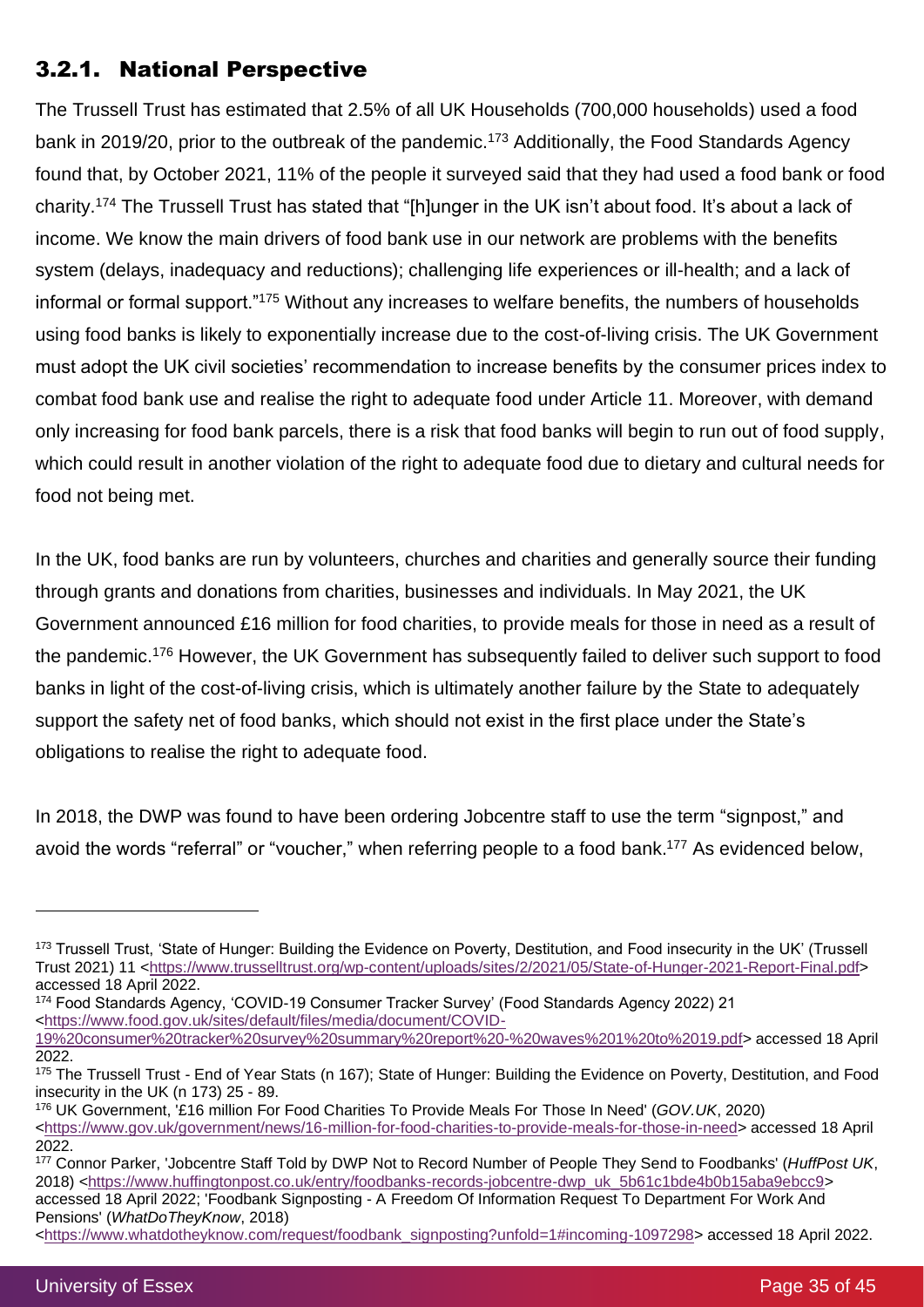#### 3.2.1. National Perspective

The Trussell Trust has estimated that 2.5% of all UK Households (700,000 households) used a food bank in 2019/20, prior to the outbreak of the pandemic.<sup>173</sup> Additionally, the Food Standards Agency found that, by October 2021, 11% of the people it surveyed said that they had used a food bank or food charity.<sup>174</sup> The Trussell Trust has stated that "[h]unger in the UK isn't about food. It's about a lack of income. We know the main drivers of food bank use in our network are problems with the benefits system (delays, inadequacy and reductions); challenging life experiences or ill-health; and a lack of informal or formal support."<sup>175</sup> Without any increases to welfare benefits, the numbers of households using food banks is likely to exponentially increase due to the cost-of-living crisis. The UK Government must adopt the UK civil societies' recommendation to increase benefits by the consumer prices index to combat food bank use and realise the right to adequate food under Article 11. Moreover, with demand only increasing for food bank parcels, there is a risk that food banks will begin to run out of food supply, which could result in another violation of the right to adequate food due to dietary and cultural needs for food not being met.

In the UK, food banks are run by volunteers, churches and charities and generally source their funding through grants and donations from charities, businesses and individuals. In May 2021, the UK Government announced £16 million for food charities, to provide meals for those in need as a result of the pandemic.<sup>176</sup> However, the UK Government has subsequently failed to deliver such support to food banks in light of the cost-of-living crisis, which is ultimately another failure by the State to adequately support the safety net of food banks, which should not exist in the first place under the State's obligations to realise the right to adequate food.

In 2018, the DWP was found to have been ordering Jobcentre staff to use the term "signpost," and avoid the words "referral" or "voucher," when referring people to a food bank.<sup>177</sup> As evidenced below,

<sup>173</sup> Trussell Trust, 'State of Hunger: Building the Evidence on Poverty, Destitution, and Food insecurity in the UK' (Trussell Trust 2021) 11 [<https://www.trusselltrust.org/wp-content/uploads/sites/2/2021/05/State-of-Hunger-2021-Report-Final.pdf>](https://www.trusselltrust.org/wp-content/uploads/sites/2/2021/05/State-of-Hunger-2021-Report-Final.pdf) accessed 18 April 2022.

<sup>174</sup> Food Standards Agency, 'COVID-19 Consumer Tracker Survey' (Food Standards Agency 2022) 21 [<https://www.food.gov.uk/sites/default/files/media/document/COVID-](https://www.food.gov.uk/sites/default/files/media/document/COVID-19%20consumer%20tracker%20survey%20summary%20report%20-%20waves%201%20to%2019.pdf)

[<sup>19%20</sup>consumer%20tracker%20survey%20summary%20report%20-%20waves%201%20to%2019.pdf>](https://www.food.gov.uk/sites/default/files/media/document/COVID-19%20consumer%20tracker%20survey%20summary%20report%20-%20waves%201%20to%2019.pdf) accessed 18 April 2022.

<sup>175</sup> The Trussell Trust - End of Year Stats (n 167); State of Hunger: Building the Evidence on Poverty, Destitution, and Food insecurity in the UK (n 173) 25 - 89.

<sup>176</sup> UK Government, '£16 million For Food Charities To Provide Meals For Those In Need' (*GOV.UK*, 2020) [<https://www.gov.uk/government/news/16-million-for-food-charities-to-provide-meals-for-those-in-need>](https://www.gov.uk/government/news/16-million-for-food-charities-to-provide-meals-for-those-in-need) accessed 18 April 2022.

<sup>177</sup> Connor Parker, 'Jobcentre Staff Told by DWP Not to Record Number of People They Send to Foodbanks' (*HuffPost UK*, 2018) [<https://www.huffingtonpost.co.uk/entry/foodbanks-records-jobcentre-dwp\\_uk\\_5b61c1bde4b0b15aba9ebcc9>](https://www.huffingtonpost.co.uk/entry/foodbanks-records-jobcentre-dwp_uk_5b61c1bde4b0b15aba9ebcc9) accessed 18 April 2022; 'Foodbank Signposting - A Freedom Of Information Request To Department For Work And Pensions' (*WhatDoTheyKnow*, 2018)

[<sup>&</sup>lt;https://www.whatdotheyknow.com/request/foodbank\\_signposting?unfold=1#incoming-1097298>](https://www.whatdotheyknow.com/request/foodbank_signposting?unfold=1#incoming-1097298) accessed 18 April 2022.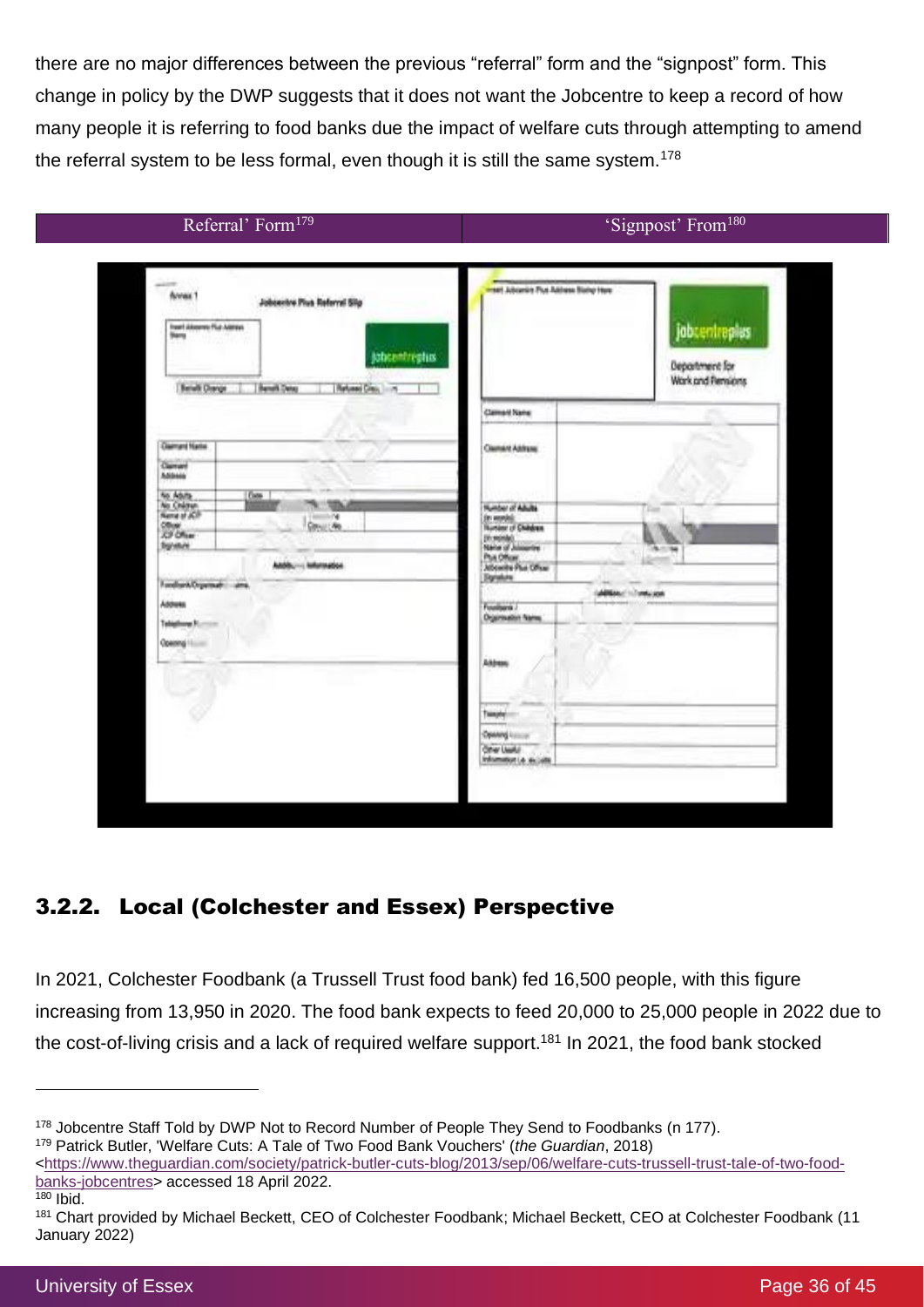there are no major differences between the previous "referral" form and the "signpost" form. This change in policy by the DWP suggests that it does not want the Jobcentre to keep a record of how many people it is referring to food banks due the impact of welfare cuts through attempting to amend the referral system to be less formal, even though it is still the same system.<sup>178</sup>

| <b>Avves</b> 1<br><b>Jobsentre Plus Referral Silg</b>                                                                                            | ment Jubianies Plus Address Statep Here:                                                                                      |
|--------------------------------------------------------------------------------------------------------------------------------------------------|-------------------------------------------------------------------------------------------------------------------------------|
| Free! Alcores Flui Alettos<br><b>Harry</b><br><b>Jobcentreption</b>                                                                              | jobcentreplus<br>Department for                                                                                               |
| Bendt Dange<br><b>Benzil</b> Date:<br>Returns Cress 100%                                                                                         | Work and Pensions                                                                                                             |
|                                                                                                                                                  | <b>Claims/d Name:</b>                                                                                                         |
| ×<br><b>Claimant Nation</b><br>Clament<br>Address                                                                                                | Clamare Address                                                                                                               |
| No. Adults<br><b>Cups</b><br>No Chiave.<br>Name of JCP<br><b>Thomas Park</b><br>Court Ave<br>Other.<br><b>J.J. Ohan</b><br>fightive.<br>and con- | Number of Adults<br><b>Common</b><br>(in worde);<br><b>Number of Children</b><br>(it would).<br>Nata of Joseph's<br>n.<br>746 |
| Andrews Information                                                                                                                              | Pos Officer<br>œ<br>Albemitte Plus Officer                                                                                    |
| FassbankDrgwtouth aims.                                                                                                                          | Tonshire                                                                                                                      |
| Adduse<br>Telephone R.                                                                                                                           | <b>William Childrenow</b><br>Fourthern 7<br>Organisation frame                                                                |
| Opening Human                                                                                                                                    | Akbers                                                                                                                        |
|                                                                                                                                                  | Temple<br>Openny kassa                                                                                                        |
|                                                                                                                                                  | Oner Useful<br>Information (A. McDolle)                                                                                       |

#### Referral' Form<sup>179</sup>

'Signpost' From<sup>180</sup>

### 3.2.2. Local (Colchester and Essex) Perspective

In 2021, Colchester Foodbank (a Trussell Trust food bank) fed 16,500 people, with this figure increasing from 13,950 in 2020. The food bank expects to feed 20,000 to 25,000 people in 2022 due to the cost-of-living crisis and a lack of required welfare support.<sup>181</sup> In 2021, the food bank stocked

[<https://www.theguardian.com/society/patrick-butler-cuts-blog/2013/sep/06/welfare-cuts-trussell-trust-tale-of-two-food](https://www.theguardian.com/society/patrick-butler-cuts-blog/2013/sep/06/welfare-cuts-trussell-trust-tale-of-two-food-banks-jobcentres)[banks-jobcentres>](https://www.theguardian.com/society/patrick-butler-cuts-blog/2013/sep/06/welfare-cuts-trussell-trust-tale-of-two-food-banks-jobcentres) accessed 18 April 2022.

<sup>178</sup> Jobcentre Staff Told by DWP Not to Record Number of People They Send to Foodbanks (n 177). <sup>179</sup> Patrick Butler, 'Welfare Cuts: A Tale of Two Food Bank Vouchers' (*the Guardian*, 2018)

 $180$  Ibid.

<sup>181</sup> Chart provided by Michael Beckett, CEO of Colchester Foodbank; Michael Beckett, CEO at Colchester Foodbank (11 January 2022)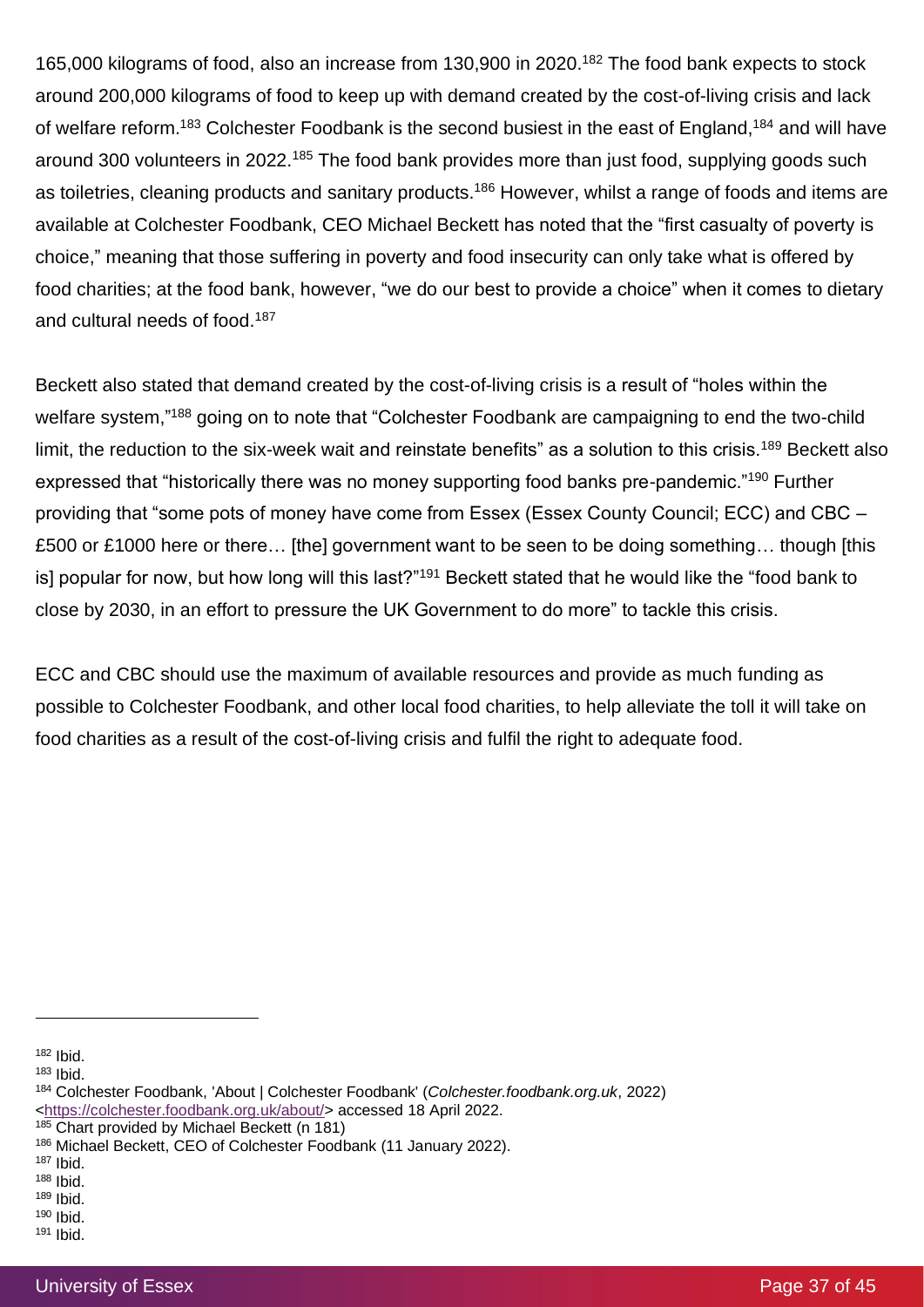165,000 kilograms of food, also an increase from 130,900 in 2020.<sup>182</sup> The food bank expects to stock around 200,000 kilograms of food to keep up with demand created by the cost-of-living crisis and lack of welfare reform.<sup>183</sup> Colchester Foodbank is the second busiest in the east of England.<sup>184</sup> and will have around 300 volunteers in 2022.<sup>185</sup> The food bank provides more than just food, supplying goods such as toiletries, cleaning products and sanitary products.<sup>186</sup> However, whilst a range of foods and items are available at Colchester Foodbank, CEO Michael Beckett has noted that the "first casualty of poverty is choice," meaning that those suffering in poverty and food insecurity can only take what is offered by food charities; at the food bank, however, "we do our best to provide a choice" when it comes to dietary and cultural needs of food.<sup>187</sup>

Beckett also stated that demand created by the cost-of-living crisis is a result of "holes within the welfare system,"<sup>188</sup> going on to note that "Colchester Foodbank are campaigning to end the two-child limit, the reduction to the six-week wait and reinstate benefits" as a solution to this crisis.<sup>189</sup> Beckett also expressed that "historically there was no money supporting food banks pre-pandemic."<sup>190</sup> Further providing that "some pots of money have come from Essex (Essex County Council; ECC) and CBC – £500 or £1000 here or there… [the] government want to be seen to be doing something… though [this is] popular for now, but how long will this last?"<sup>191</sup> Beckett stated that he would like the "food bank to close by 2030, in an effort to pressure the UK Government to do more" to tackle this crisis.

ECC and CBC should use the maximum of available resources and provide as much funding as possible to Colchester Foodbank, and other local food charities, to help alleviate the toll it will take on food charities as a result of the cost-of-living crisis and fulfil the right to adequate food.

<sup>182</sup> Ibid.

<sup>183</sup> Ibid.

<sup>184</sup> Colchester Foodbank, 'About | Colchester Foodbank' (*Colchester.foodbank.org.uk*, 2022) [<https://colchester.foodbank.org.uk/about/>](https://colchester.foodbank.org.uk/about/) accessed 18 April 2022.

<sup>185</sup> Chart provided by Michael Beckett (n 181)

<sup>186</sup> Michael Beckett, CEO of Colchester Foodbank (11 January 2022).

<sup>187</sup> Ibid.

<sup>188</sup> Ibid.

<sup>189</sup> Ibid.

<sup>190</sup> Ibid.

<sup>191</sup> Ibid.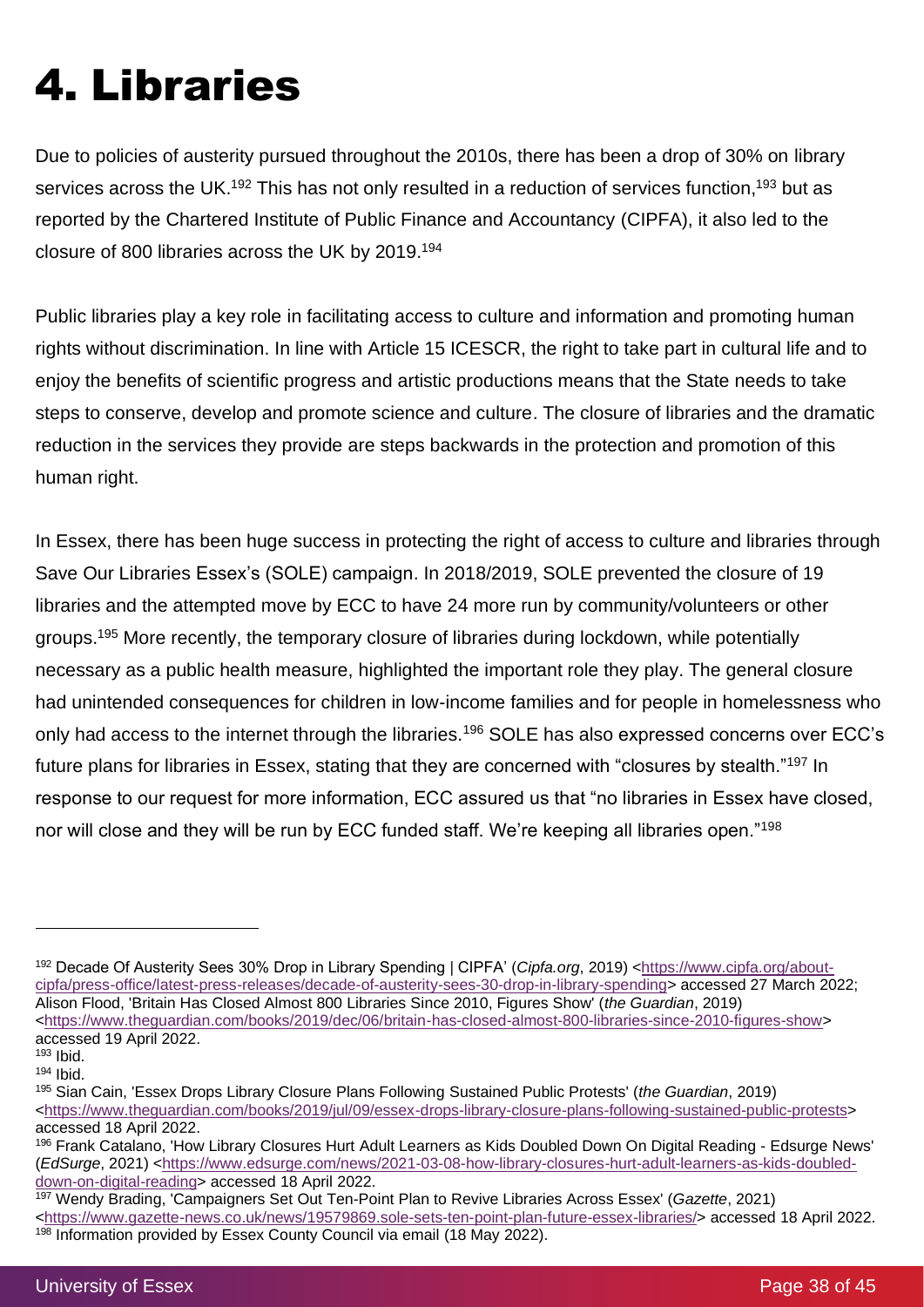# <span id="page-37-0"></span>4. Libraries

Due to policies of austerity pursued throughout the 2010s, there has been a drop of 30% on library services across the UK.<sup>192</sup> This has not only resulted in a reduction of services function,<sup>193</sup> but as reported by the Chartered Institute of Public Finance and Accountancy (CIPFA), it also led to the closure of 800 libraries across the UK by 2019.<sup>194</sup>

Public libraries play a key role in facilitating access to culture and information and promoting human rights without discrimination. In line with Article 15 ICESCR, the right to take part in cultural life and to enjoy the benefits of scientific progress and artistic productions means that the State needs to take steps to conserve, develop and promote science and culture. The closure of libraries and the dramatic reduction in the services they provide are steps backwards in the protection and promotion of this human right.

In Essex, there has been huge success in protecting the right of access to culture and libraries through Save Our Libraries Essex's (SOLE) campaign. In 2018/2019, SOLE prevented the closure of 19 libraries and the attempted move by ECC to have 24 more run by community/volunteers or other groups. <sup>195</sup> More recently, the temporary closure of libraries during lockdown, while potentially necessary as a public health measure, highlighted the important role they play. The general closure had unintended consequences for children in low-income families and for people in homelessness who only had access to the internet through the libraries.<sup>196</sup> SOLE has also expressed concerns over ECC's future plans for libraries in Essex, stating that they are concerned with "closures by stealth."<sup>197</sup> In response to our request for more information, ECC assured us that "no libraries in Essex have closed, nor will close and they will be run by ECC funded staff. We're keeping all libraries open."<sup>198</sup>

<sup>192</sup> Decade Of Austerity Sees 30% Drop in Library Spending | CIPFA' (*Cipfa.org*, 2019) [<https://www.cipfa.org/about](https://www.cipfa.org/about-cipfa/press-office/latest-press-releases/decade-of-austerity-sees-30-drop-in-library-spending)[cipfa/press-office/latest-press-releases/decade-of-austerity-sees-30-drop-in-library-spending>](https://www.cipfa.org/about-cipfa/press-office/latest-press-releases/decade-of-austerity-sees-30-drop-in-library-spending) accessed 27 March 2022; Alison Flood, 'Britain Has Closed Almost 800 Libraries Since 2010, Figures Show' (*the Guardian*, 2019) [<https://www.theguardian.com/books/2019/dec/06/britain-has-closed-almost-800-libraries-since-2010-figures-show>](https://www.theguardian.com/books/2019/dec/06/britain-has-closed-almost-800-libraries-since-2010-figures-show) accessed 19 April 2022.

<sup>193</sup> Ibid.  $194$  Ibid.

<sup>195</sup> Sian Cain, 'Essex Drops Library Closure Plans Following Sustained Public Protests' (*the Guardian*, 2019) [<https://www.theguardian.com/books/2019/jul/09/essex-drops-library-closure-plans-following-sustained-public-protests>](https://www.theguardian.com/books/2019/jul/09/essex-drops-library-closure-plans-following-sustained-public-protests) accessed 18 April 2022.

<sup>196</sup> Frank Catalano, 'How Library Closures Hurt Adult Learners as Kids Doubled Down On Digital Reading - Edsurge News' (*EdSurge*, 2021) [<https://www.edsurge.com/news/2021-03-08-how-library-closures-hurt-adult-learners-as-kids-doubled](https://www.edsurge.com/news/2021-03-08-how-library-closures-hurt-adult-learners-as-kids-doubled-down-on-digital-reading)[down-on-digital-reading>](https://www.edsurge.com/news/2021-03-08-how-library-closures-hurt-adult-learners-as-kids-doubled-down-on-digital-reading) accessed 18 April 2022.

<sup>197</sup> Wendy Brading, 'Campaigners Set Out Ten-Point Plan to Revive Libraries Across Essex' (*Gazette*, 2021) [<https://www.gazette-news.co.uk/news/19579869.sole-sets-ten-point-plan-future-essex-libraries/>](https://www.gazette-news.co.uk/news/19579869.sole-sets-ten-point-plan-future-essex-libraries/) accessed 18 April 2022. <sup>198</sup> Information provided by Essex County Council via email (18 May 2022).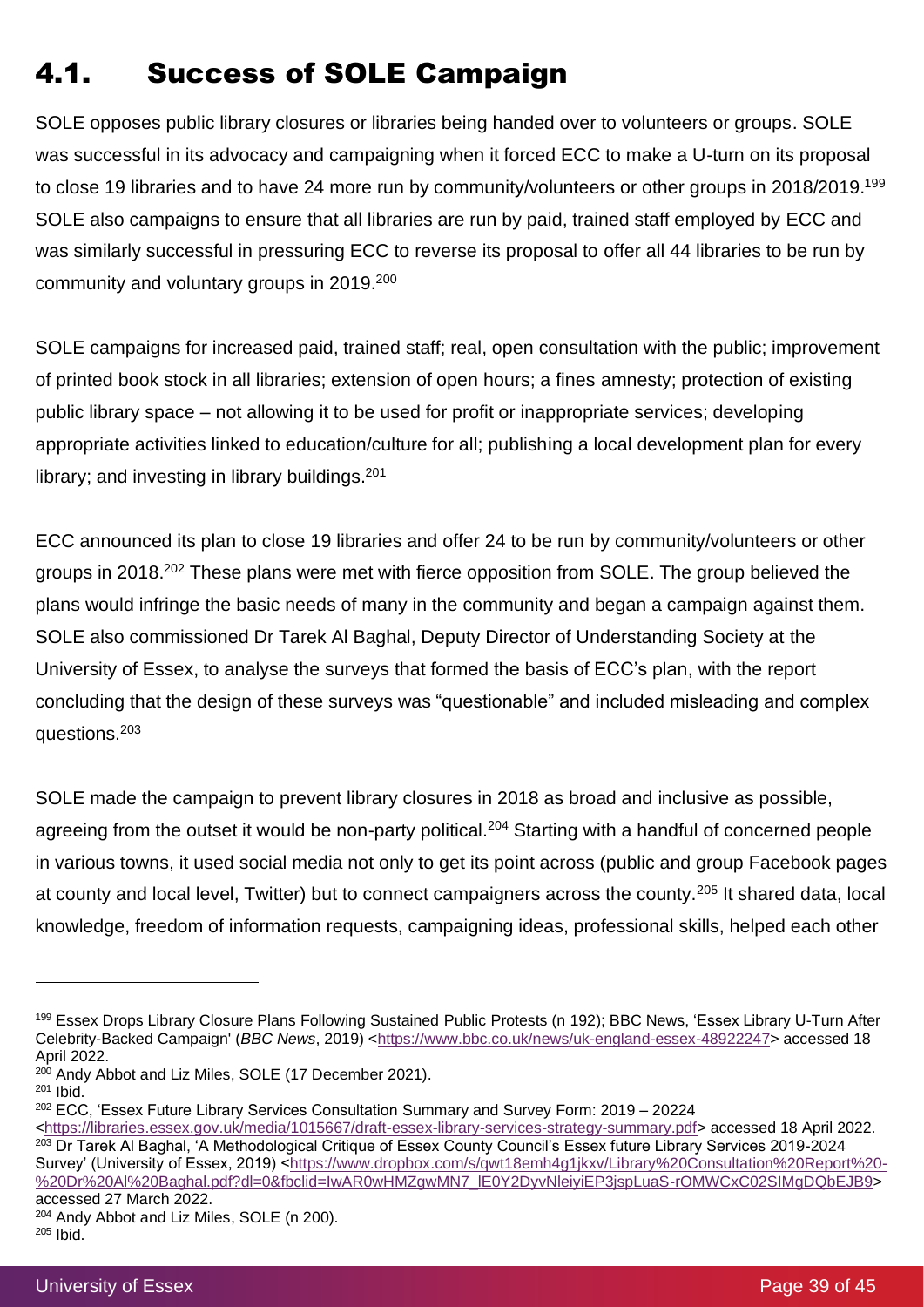# <span id="page-38-0"></span>4.1. Success of SOLE Campaign

SOLE opposes public library closures or libraries being handed over to volunteers or groups. SOLE was successful in its advocacy and campaigning when it forced ECC to make a U-turn on its proposal to close 19 libraries and to have 24 more run by community/volunteers or other groups in 2018/2019.<sup>199</sup> SOLE also campaigns to ensure that all libraries are run by paid, trained staff employed by ECC and was similarly successful in pressuring ECC to reverse its proposal to offer all 44 libraries to be run by community and voluntary groups in 2019.<sup>200</sup>

SOLE campaigns for increased paid, trained staff; real, open consultation with the public; improvement of printed book stock in all libraries; extension of open hours; a fines amnesty; protection of existing public library space – not allowing it to be used for profit or inappropriate services; developing appropriate activities linked to education/culture for all; publishing a local development plan for every library; and investing in library buildings.<sup>201</sup>

ECC announced its plan to close 19 libraries and offer 24 to be run by community/volunteers or other groups in 2018.<sup>202</sup> These plans were met with fierce opposition from SOLE. The group believed the plans would infringe the basic needs of many in the community and began a campaign against them. SOLE also commissioned Dr Tarek Al Baghal, Deputy Director of Understanding Society at the University of Essex, to analyse the surveys that formed the basis of ECC's plan, with the report concluding that the design of these surveys was "questionable" and included misleading and complex questions.<sup>203</sup>

SOLE made the campaign to prevent library closures in 2018 as broad and inclusive as possible, agreeing from the outset it would be non-party political.<sup>204</sup> Starting with a handful of concerned people in various towns, it used social media not only to get its point across (public and group Facebook pages at county and local level, Twitter) but to connect campaigners across the county.<sup>205</sup> It shared data, local knowledge, freedom of information requests, campaigning ideas, professional skills, helped each other

<sup>200</sup> Andy Abbot and Liz Miles, SOLE (17 December 2021).

<sup>199</sup> Essex Drops Library Closure Plans Following Sustained Public Protests (n 192); BBC News, 'Essex Library U-Turn After Celebrity-Backed Campaign' (*BBC News*, 2019) [<https://www.bbc.co.uk/news/uk-england-essex-48922247>](https://www.bbc.co.uk/news/uk-england-essex-48922247) accessed 18 April 2022.

<sup>201</sup> Ibid.

<sup>&</sup>lt;sup>202</sup> ECC, 'Essex Future Library Services Consultation Summary and Survey Form: 2019 - 20224

[<sup>&</sup>lt;https://libraries.essex.gov.uk/media/1015667/draft-essex-library-services-strategy-summary.pdf>](https://libraries.essex.gov.uk/media/1015667/draft-essex-library-services-strategy-summary.pdf) accessed 18 April 2022. <sup>203</sup> Dr Tarek Al Baghal, 'A Methodological Critique of Essex County Council's Essex future Library Services 2019-2024 Survey' (University of Essex, 2019) [<https://www.dropbox.com/s/qwt18emh4g1jkxv/Library%20Consultation%20Report%20-](https://www.dropbox.com/s/qwt18emh4g1jkxv/Library%20Consultation%20Report%20-%20Dr%20Al%20Baghal.pdf?dl=0&fbclid=IwAR0wHMZgwMN7_lE0Y2DyvNleiyiEP3jspLuaS-rOMWCxC02SIMgDQbEJB9) %20Dr%20Al%20Baghal.pdf?dl=0&fbclid=IwAR0wHMZgwMN7\_IE0Y2DyvNleiviEP3ispLuaS-rOMWCxC02SIMgDQbEJB9> accessed 27 March 2022.

<sup>204</sup> Andy Abbot and Liz Miles, SOLE (n 200).  $205$  Ibid.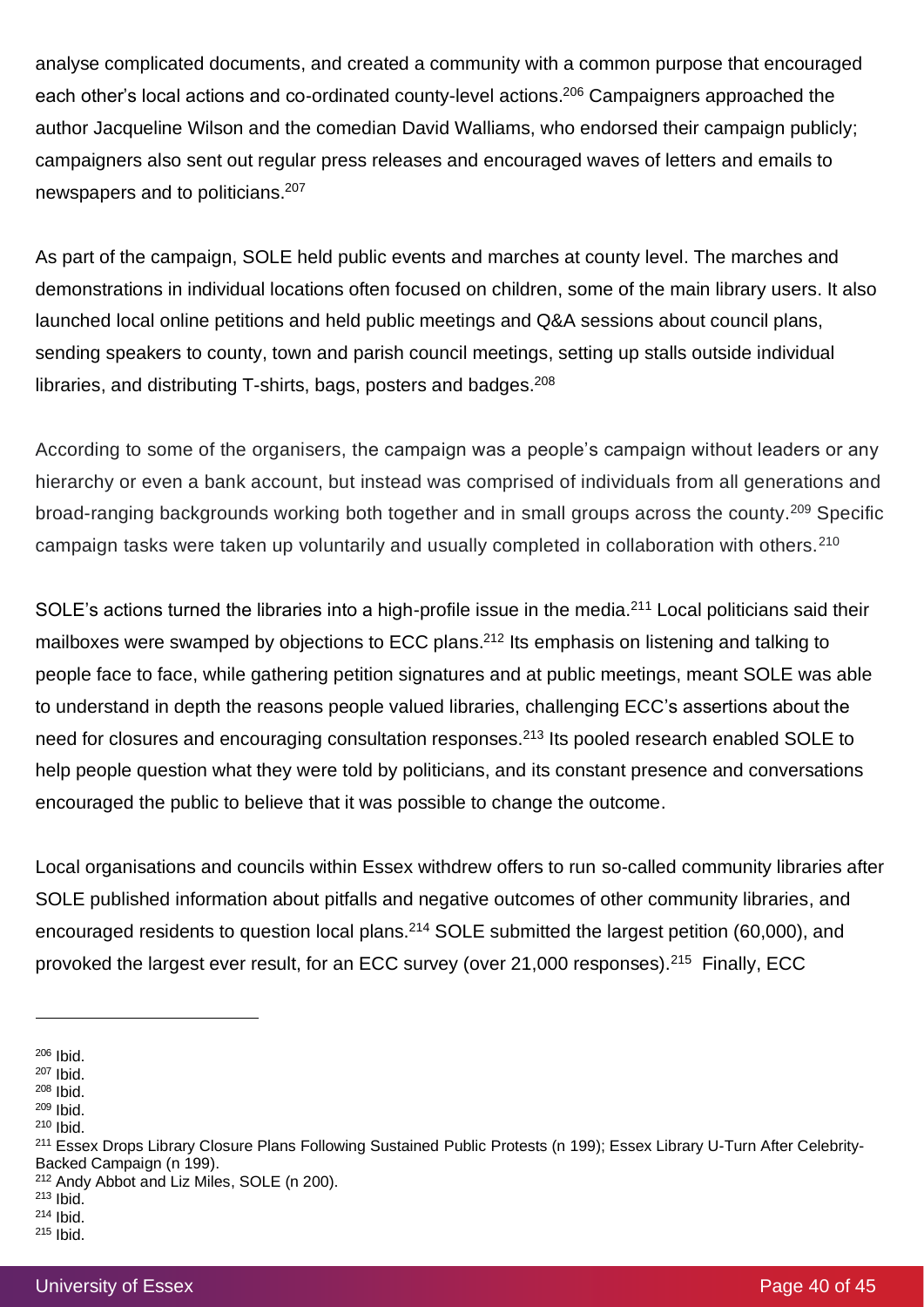analyse complicated documents, and created a community with a common purpose that encouraged each other's local actions and co-ordinated county-level actions.<sup>206</sup> Campaigners approached the author Jacqueline Wilson and the comedian David Walliams, who endorsed their campaign publicly; campaigners also sent out regular press releases and encouraged waves of letters and emails to newspapers and to politicians.<sup>207</sup>

As part of the campaign, SOLE held public events and marches at county level. The marches and demonstrations in individual locations often focused on children, some of the main library users. It also launched local online petitions and held public meetings and Q&A sessions about council plans, sending speakers to county, town and parish council meetings, setting up stalls outside individual libraries, and distributing T-shirts, bags, posters and badges.<sup>208</sup>

According to some of the organisers, the campaign was a people's campaign without leaders or any hierarchy or even a bank account, but instead was comprised of individuals from all generations and broad-ranging backgrounds working both together and in small groups across the county.<sup>209</sup> Specific campaign tasks were taken up voluntarily and usually completed in collaboration with others.<sup>210</sup>

SOLE's actions turned the libraries into a high-profile issue in the media.<sup>211</sup> Local politicians said their mailboxes were swamped by objections to ECC plans.<sup>212</sup> Its emphasis on listening and talking to people face to face, while gathering petition signatures and at public meetings, meant SOLE was able to understand in depth the reasons people valued libraries, challenging ECC's assertions about the need for closures and encouraging consultation responses.<sup>213</sup> Its pooled research enabled SOLE to help people question what they were told by politicians, and its constant presence and conversations encouraged the public to believe that it was possible to change the outcome.

Local organisations and councils within Essex withdrew offers to run so-called community libraries after SOLE published information about pitfalls and negative outcomes of other community libraries, and encouraged residents to question local plans.<sup>214</sup> SOLE submitted the largest petition (60,000), and provoked the largest ever result, for an ECC survey (over 21,000 responses).<sup>215</sup> Finally, ECC

<sup>206</sup> Ibid.

<sup>207</sup> Ibid.

<sup>208</sup> Ibid.

<sup>209</sup> Ibid.

<sup>210</sup> Ibid.

<sup>&</sup>lt;sup>211</sup> Essex Drops Library Closure Plans Following Sustained Public Protests (n 199); Essex Library U-Turn After Celebrity-Backed Campaign (n 199).

<sup>&</sup>lt;sup>212</sup> Andy Abbot and Liz Miles, SOLE (n 200).

<sup>213</sup> Ibid.

<sup>214</sup> Ibid.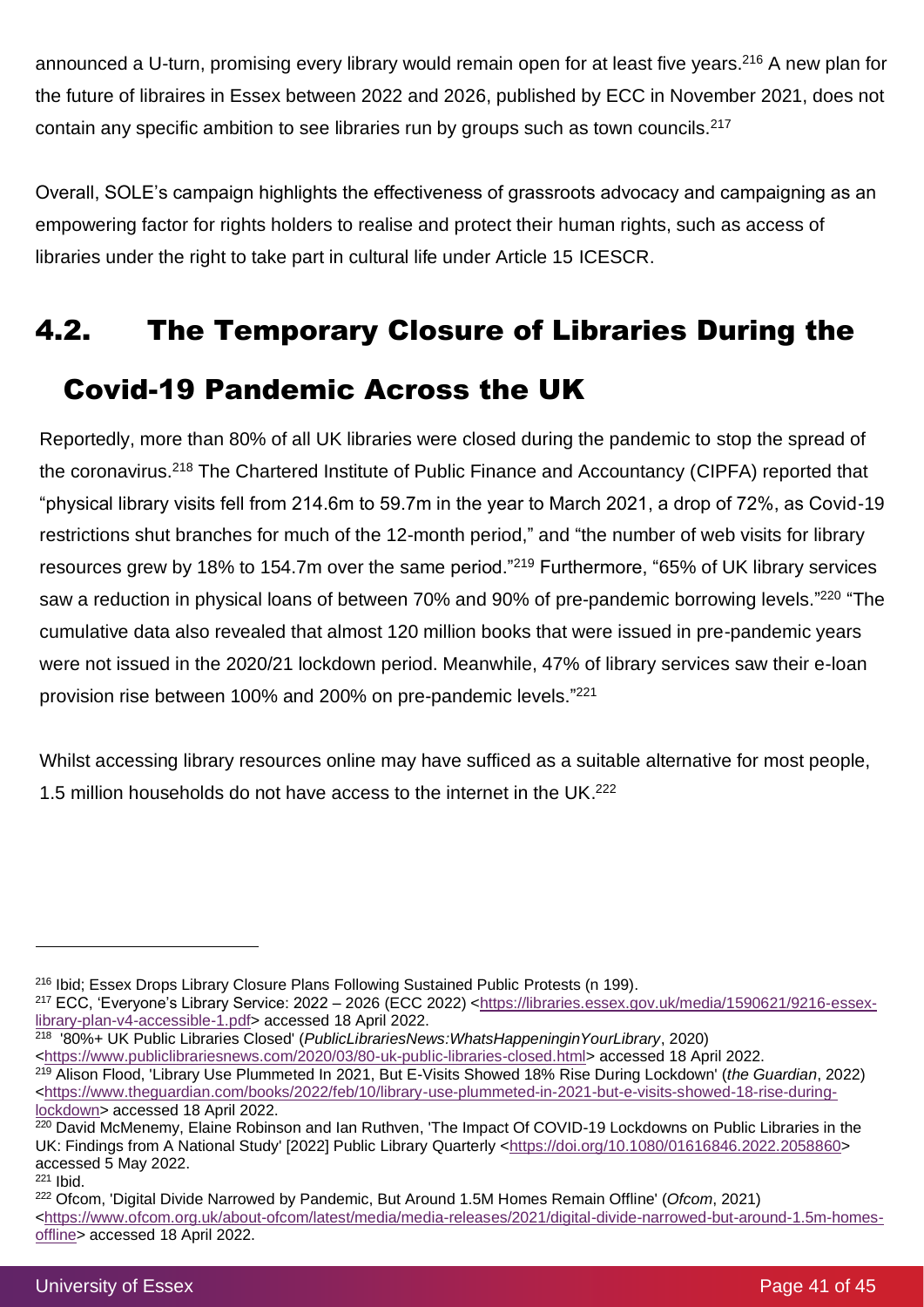announced a U-turn, promising every library would remain open for at least five years.<sup>216</sup> A new plan for the future of libraires in Essex between 2022 and 2026, published by ECC in November 2021, does not contain any specific ambition to see libraries run by groups such as town councils.<sup>217</sup>

Overall, SOLE's campaign highlights the effectiveness of grassroots advocacy and campaigning as an empowering factor for rights holders to realise and protect their human rights, such as access of libraries under the right to take part in cultural life under Article 15 ICESCR.

## <span id="page-40-0"></span>4.2. The Temporary Closure of Libraries During the

# Covid-19 Pandemic Across the UK

Reportedly, more than 80% of all UK libraries were closed during the pandemic to stop the spread of the coronavirus.<sup>218</sup> The Chartered Institute of Public Finance and Accountancy (CIPFA) reported that "physical library visits fell from 214.6m to 59.7m in the year to March 2021, a drop of 72%, as Covid-19 restrictions shut branches for much of the 12-month period," and "the number of web visits for library resources grew by 18% to 154.7m over the same period."<sup>219</sup> Furthermore, "65% of UK library services saw a reduction in physical loans of between 70% and 90% of pre-pandemic borrowing levels."<sup>220</sup> "The cumulative data also revealed that almost 120 million books that were issued in pre-pandemic years were not issued in the 2020/21 lockdown period. Meanwhile, 47% of library services saw their e-loan provision rise between 100% and 200% on pre-pandemic levels."<sup>221</sup>

Whilst accessing library resources online may have sufficed as a suitable alternative for most people, 1.5 million households do not have access to the internet in the UK. 222

<sup>217</sup> ECC, 'Everyone's Library Service: 2022 – 2026 (ECC 2022) [<https://libraries.essex.gov.uk/media/1590621/9216-essex](https://libraries.essex.gov.uk/media/1590621/9216-essex-library-plan-v4-accessible-1.pdf)[library-plan-v4-accessible-1.pdf>](https://libraries.essex.gov.uk/media/1590621/9216-essex-library-plan-v4-accessible-1.pdf) accessed 18 April 2022.

 $221$  Ibid.

<sup>216</sup> Ibid; Essex Drops Library Closure Plans Following Sustained Public Protests (n 199).

<sup>218</sup> '80%+ UK Public Libraries Closed' (*PublicLibrariesNews:WhatsHappeninginYourLibrary*, 2020) [<https://www.publiclibrariesnews.com/2020/03/80-uk-public-libraries-closed.html>](https://www.publiclibrariesnews.com/2020/03/80-uk-public-libraries-closed.html) accessed 18 April 2022.

<sup>219</sup> Alison Flood, 'Library Use Plummeted In 2021, But E-Visits Showed 18% Rise During Lockdown' (*the Guardian*, 2022) [<https://www.theguardian.com/books/2022/feb/10/library-use-plummeted-in-2021-but-e-visits-showed-18-rise-during](https://www.theguardian.com/books/2022/feb/10/library-use-plummeted-in-2021-but-e-visits-showed-18-rise-during-lockdown)[lockdown>](https://www.theguardian.com/books/2022/feb/10/library-use-plummeted-in-2021-but-e-visits-showed-18-rise-during-lockdown) accessed 18 April 2022.

<sup>&</sup>lt;sup>220</sup> David McMenemy, Elaine Robinson and Ian Ruthven, 'The Impact Of COVID-19 Lockdowns on Public Libraries in the UK: Findings from A National Study' [2022] Public Library Quarterly [<https://doi.org/10.1080/01616846.2022.2058860>](https://doi.org/10.1080/01616846.2022.2058860) accessed 5 May 2022.

<sup>222</sup> Ofcom, 'Digital Divide Narrowed by Pandemic, But Around 1.5M Homes Remain Offline' (*Ofcom*, 2021) [<https://www.ofcom.org.uk/about-ofcom/latest/media/media-releases/2021/digital-divide-narrowed-but-around-1.5m-homes](https://www.ofcom.org.uk/about-ofcom/latest/media/media-releases/2021/digital-divide-narrowed-but-around-1.5m-homes-offline)[offline>](https://www.ofcom.org.uk/about-ofcom/latest/media/media-releases/2021/digital-divide-narrowed-but-around-1.5m-homes-offline) accessed 18 April 2022.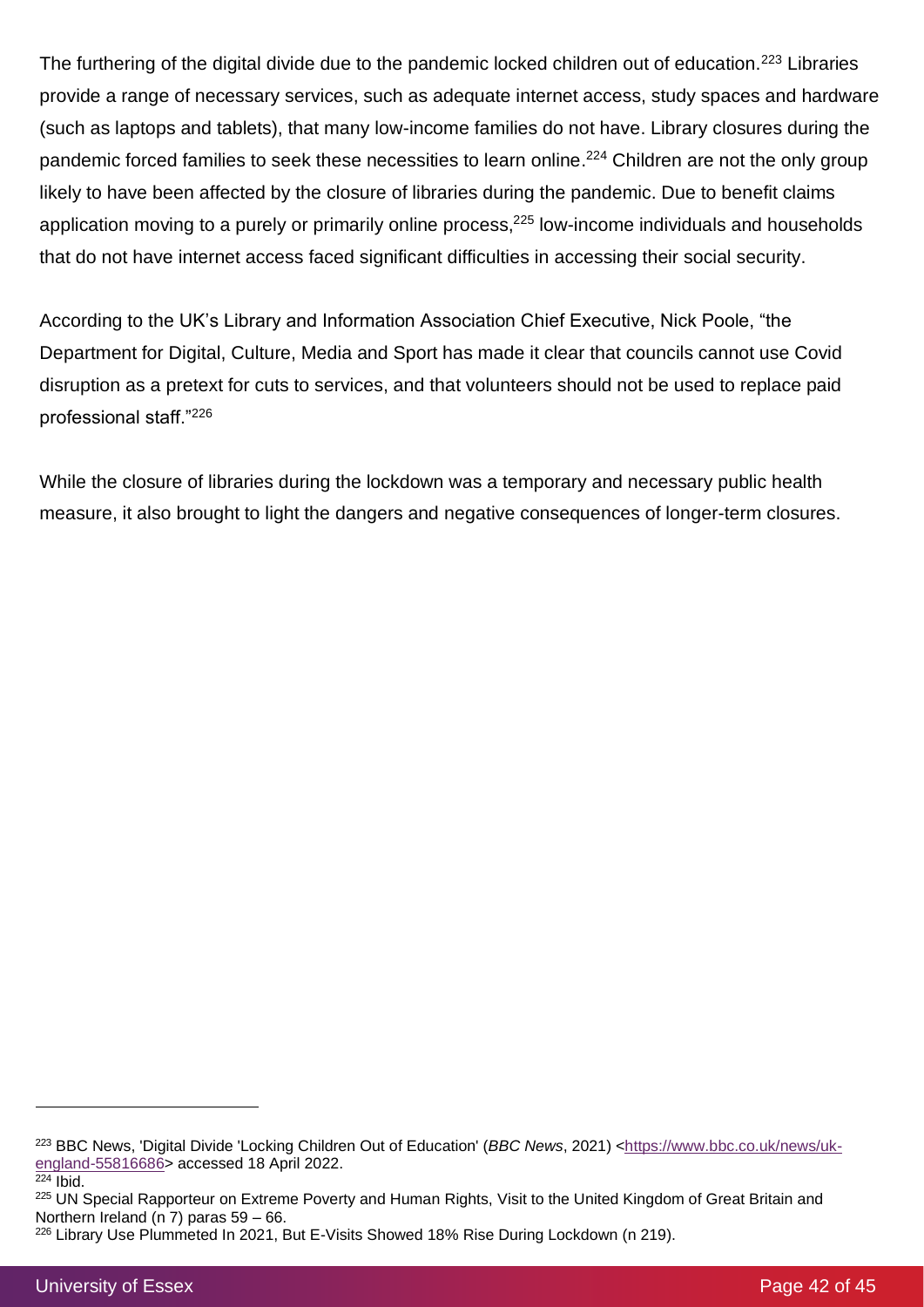The furthering of the digital divide due to the pandemic locked children out of education.<sup>223</sup> Libraries provide a range of necessary services, such as adequate internet access, study spaces and hardware (such as laptops and tablets), that many low-income families do not have. Library closures during the pandemic forced families to seek these necessities to learn online.<sup>224</sup> Children are not the only group likely to have been affected by the closure of libraries during the pandemic. Due to benefit claims application moving to a purely or primarily online process,<sup>225</sup> low-income individuals and households that do not have internet access faced significant difficulties in accessing their social security.

According to the UK's Library and Information Association Chief Executive, Nick Poole, "the Department for Digital, Culture, Media and Sport has made it clear that councils cannot use Covid disruption as a pretext for cuts to services, and that volunteers should not be used to replace paid professional staff."<sup>226</sup>

While the closure of libraries during the lockdown was a temporary and necessary public health measure, it also brought to light the dangers and negative consequences of longer-term closures.

<sup>223</sup> BBC News, 'Digital Divide 'Locking Children Out of Education' (*BBC News*, 2021) [<https://www.bbc.co.uk/news/uk](https://www.bbc.co.uk/news/uk-england-55816686)[england-55816686>](https://www.bbc.co.uk/news/uk-england-55816686) accessed 18 April 2022.

 $224$  Ibid.

<sup>&</sup>lt;sup>225</sup> UN Special Rapporteur on Extreme Poverty and Human Rights, Visit to the United Kingdom of Great Britain and Northern Ireland (n  $7$ ) paras 59 – 66.

<sup>226</sup> Library Use Plummeted In 2021, But E-Visits Showed 18% Rise During Lockdown (n 219).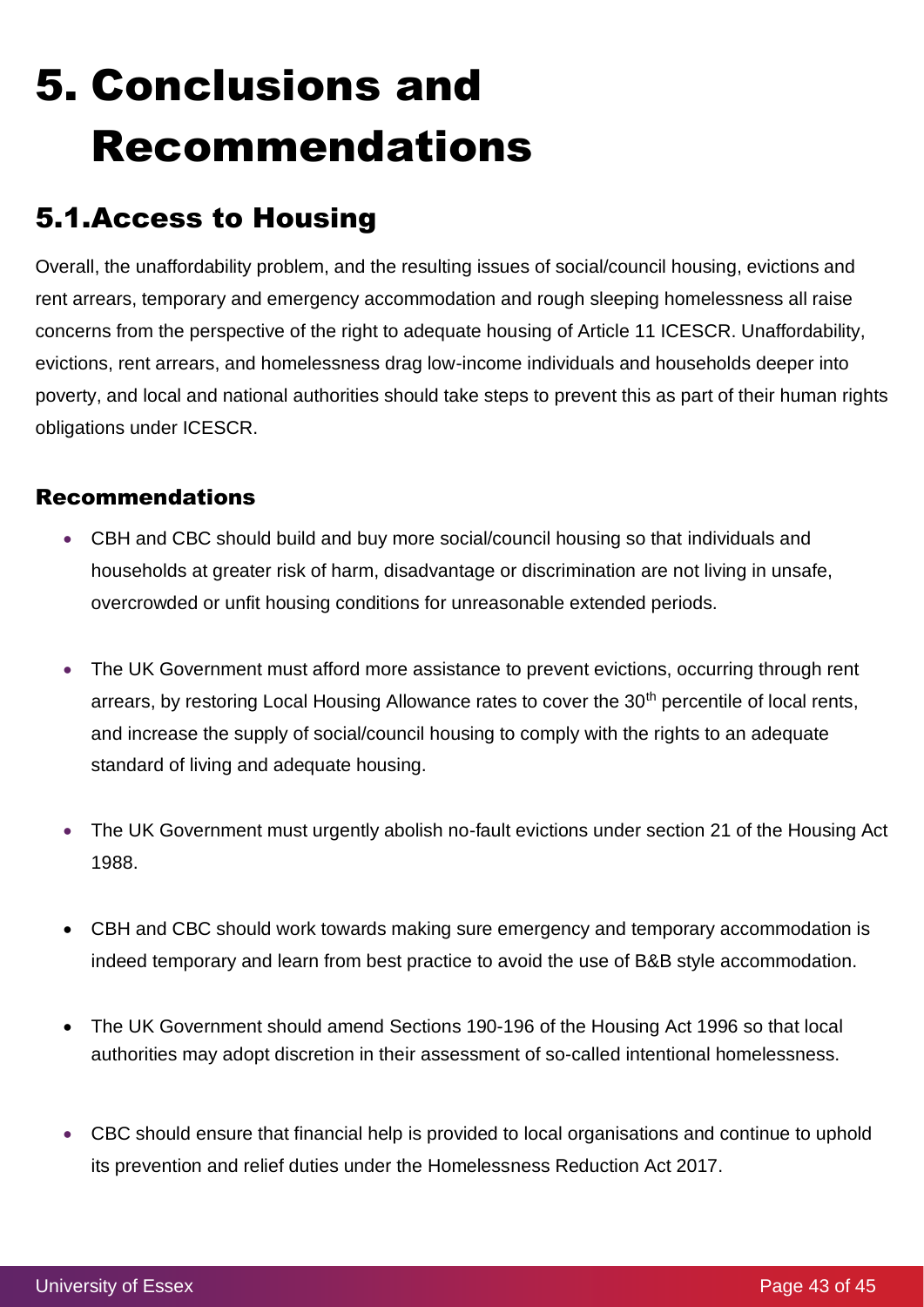# <span id="page-42-0"></span>5. Conclusions and Recommendations

# <span id="page-42-1"></span>5.1.Access to Housing

Overall, the unaffordability problem, and the resulting issues of social/council housing, evictions and rent arrears, temporary and emergency accommodation and rough sleeping homelessness all raise concerns from the perspective of the right to adequate housing of Article 11 ICESCR. Unaffordability, evictions, rent arrears, and homelessness drag low-income individuals and households deeper into poverty, and local and national authorities should take steps to prevent this as part of their human rights obligations under ICESCR.

#### Recommendations

- CBH and CBC should build and buy more social/council housing so that individuals and households at greater risk of harm, disadvantage or discrimination are not living in unsafe, overcrowded or unfit housing conditions for unreasonable extended periods.
- The UK Government must afford more assistance to prevent evictions, occurring through rent arrears, by restoring Local Housing Allowance rates to cover the 30<sup>th</sup> percentile of local rents, and increase the supply of social/council housing to comply with the rights to an adequate standard of living and adequate housing.
- The UK Government must urgently abolish no-fault evictions under section 21 of the Housing Act 1988.
- CBH and CBC should work towards making sure emergency and temporary accommodation is indeed temporary and learn from best practice to avoid the use of B&B style accommodation.
- The UK Government should amend Sections 190-196 of the Housing Act 1996 so that local authorities may adopt discretion in their assessment of so-called intentional homelessness.
- CBC should ensure that financial help is provided to local organisations and continue to uphold its prevention and relief duties under the Homelessness Reduction Act 2017.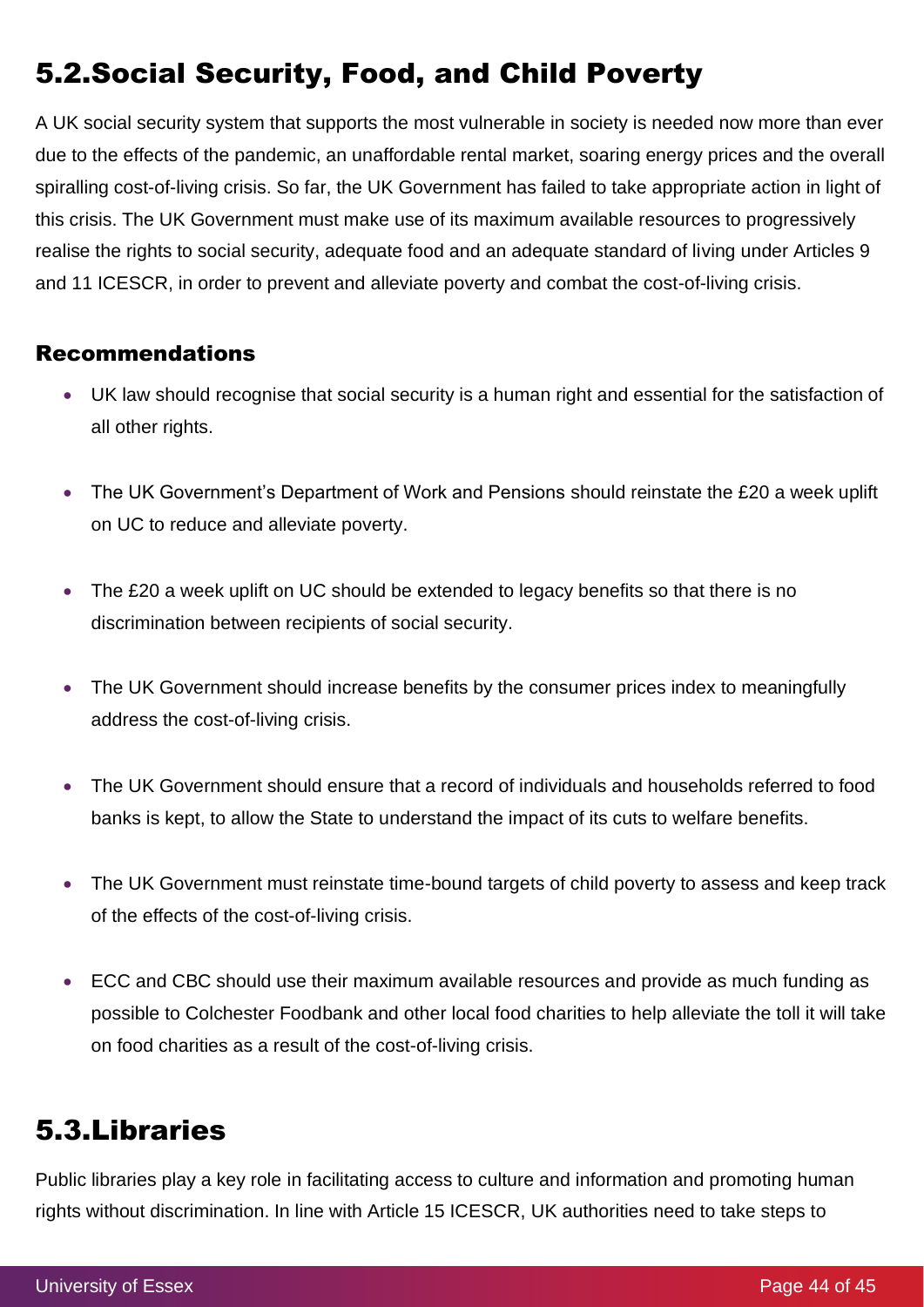# <span id="page-43-0"></span>5.2.Social Security, Food, and Child Poverty

A UK social security system that supports the most vulnerable in society is needed now more than ever due to the effects of the pandemic, an unaffordable rental market, soaring energy prices and the overall spiralling cost-of-living crisis. So far, the UK Government has failed to take appropriate action in light of this crisis. The UK Government must make use of its maximum available resources to progressively realise the rights to social security, adequate food and an adequate standard of living under Articles 9 and 11 ICESCR, in order to prevent and alleviate poverty and combat the cost-of-living crisis.

#### Recommendations

- UK law should recognise that social security is a human right and essential for the satisfaction of all other rights.
- The UK Government's Department of Work and Pensions should reinstate the £20 a week uplift on UC to reduce and alleviate poverty.
- The £20 a week uplift on UC should be extended to legacy benefits so that there is no discrimination between recipients of social security.
- The UK Government should increase benefits by the consumer prices index to meaningfully address the cost-of-living crisis.
- The UK Government should ensure that a record of individuals and households referred to food banks is kept, to allow the State to understand the impact of its cuts to welfare benefits.
- The UK Government must reinstate time-bound targets of child poverty to assess and keep track of the effects of the cost-of-living crisis.
- ECC and CBC should use their maximum available resources and provide as much funding as possible to Colchester Foodbank and other local food charities to help alleviate the toll it will take on food charities as a result of the cost-of-living crisis.

### <span id="page-43-1"></span>5.3.Libraries

Public libraries play a key role in facilitating access to culture and information and promoting human rights without discrimination. In line with Article 15 ICESCR, UK authorities need to take steps to